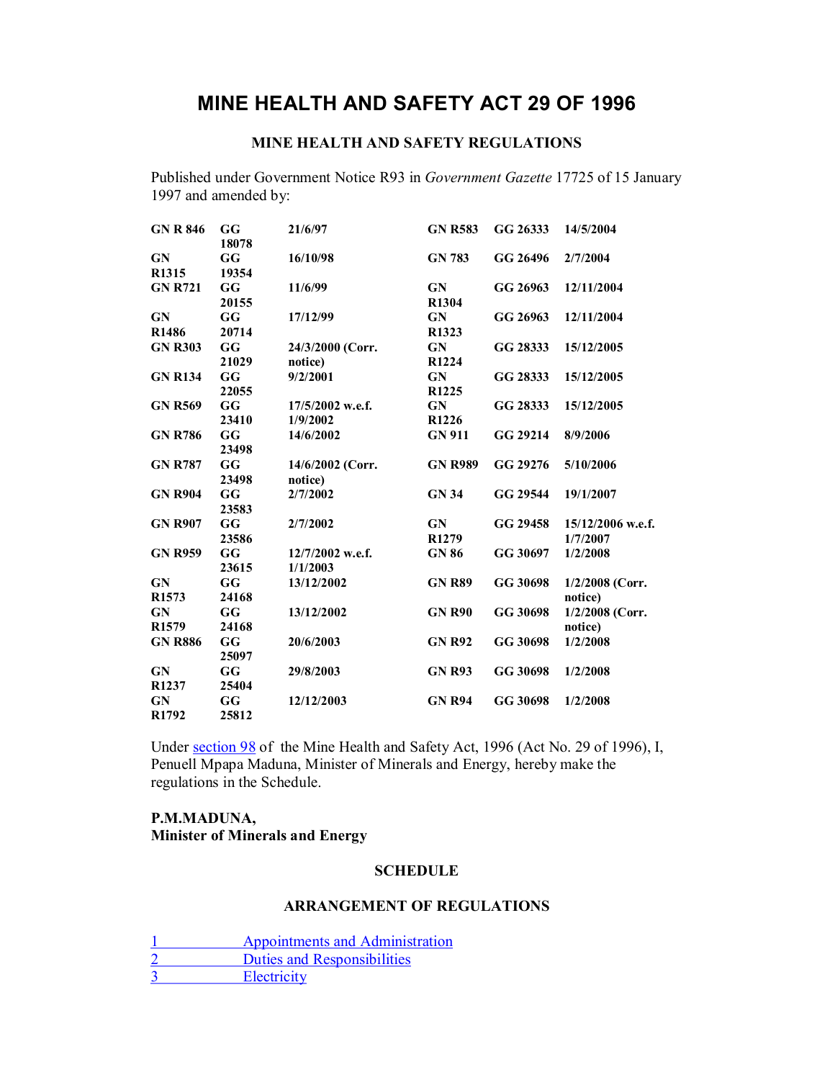# **MINE HEALTH AND SAFETY ACT 29 OF 1996**

## **MINE HEALTH AND SAFETY REGULATIONS**

Published under Government Notice R93 in *Government Gazette* 17725 of 15 January 1997 and amended by:

| <b>GN R 846</b>                | GG<br>18078 | 21/6/97                      | <b>GN R583</b>                 | GG 26333 | 14/5/2004                       |
|--------------------------------|-------------|------------------------------|--------------------------------|----------|---------------------------------|
| GN<br>R1315                    | GG<br>19354 | 16/10/98                     | <b>GN 783</b>                  | GG 26496 | 2/7/2004                        |
| <b>GN R721</b>                 | GG<br>20155 | 11/6/99                      | GN<br>R1304                    | GG 26963 | 12/11/2004                      |
| <b>GN</b><br>R <sub>1486</sub> | GG<br>20714 | 17/12/99                     | <b>GN</b><br>R <sub>1323</sub> | GG 26963 | 12/11/2004                      |
| <b>GN R303</b>                 | GG<br>21029 | 24/3/2000 (Corr.<br>notice)  | GN<br>R <sub>1224</sub>        | GG 28333 | 15/12/2005                      |
| <b>GN R134</b>                 | GG<br>22055 | 9/2/2001                     | <b>GN</b><br>R <sub>1225</sub> | GG 28333 | 15/12/2005                      |
| <b>GN R569</b>                 | GG<br>23410 | 17/5/2002 w.e.f.<br>1/9/2002 | GN<br>R <sub>1226</sub>        | GG 28333 | 15/12/2005                      |
| <b>GN R786</b>                 | GG<br>23498 | 14/6/2002                    | <b>GN 911</b>                  | GG 29214 | 8/9/2006                        |
| <b>GN R787</b>                 | GG<br>23498 | 14/6/2002 (Corr.<br>notice)  | <b>GN R989</b>                 | GG 29276 | 5/10/2006                       |
| <b>GN R904</b>                 | GG<br>23583 | 2/7/2002                     | <b>GN 34</b>                   | GG 29544 | 19/1/2007                       |
| <b>GN R907</b>                 | GG<br>23586 | 2/7/2002                     | GN<br>R <sub>1279</sub>        | GG 29458 | $15/12/2006$ w.e.f.<br>1/7/2007 |
| <b>GN R959</b>                 | GG<br>23615 | 12/7/2002 w.e.f.<br>1/1/2003 | <b>GN 86</b>                   | GG 30697 | 1/2/2008                        |
| <b>GN</b><br>R1573             | GG<br>24168 | 13/12/2002                   | <b>GN R89</b>                  | GG 30698 | 1/2/2008 (Corr.<br>notice)      |
| <b>GN</b><br>R <sub>1579</sub> | GG<br>24168 | 13/12/2002                   | <b>GN R90</b>                  | GG 30698 | 1/2/2008 (Corr.<br>notice)      |
| <b>GN R886</b>                 | GG<br>25097 | 20/6/2003                    | <b>GN R92</b>                  | GG 30698 | 1/2/2008                        |
| GN<br>R1237                    | GG<br>25404 | 29/8/2003                    | <b>GN R93</b>                  | GG 30698 | 1/2/2008                        |
| GN<br>R <sub>1792</sub>        | GG<br>25812 | 12/12/2003                   | <b>GN R94</b>                  | GG 30698 | 1/2/2008                        |

Under section 98 of the Mine Health and Safety Act, 1996 (Act No. 29 of 1996), I, Penuell Mpapa Maduna, Minister of Minerals and Energy, hereby make the regulations in the Schedule.

## **P.M.MADUNA, Minister of Minerals and Energy**

### **SCHEDULE**

#### **ARRANGEMENT OF REGULATIONS**

- 1 Appointments and Administration
- 2 Duties and Responsibilities<br>3 Electricity

**Electricity**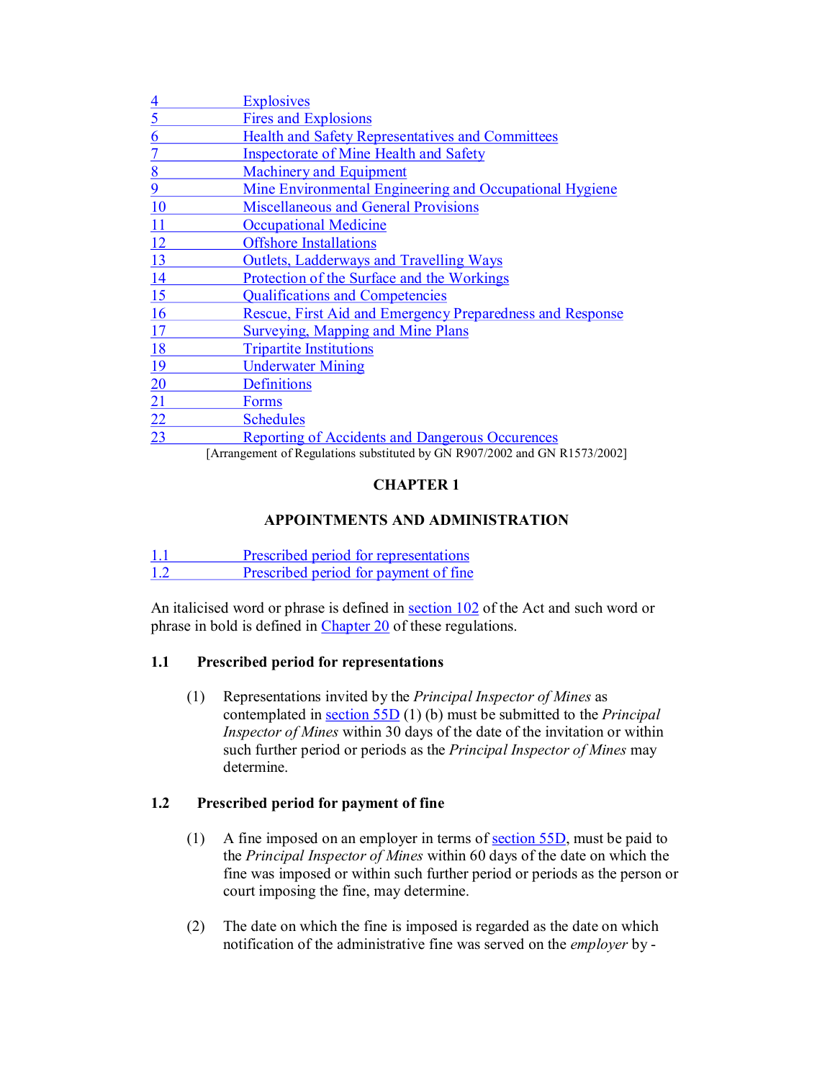| <u>4</u>  | <b>Explosives</b>                                                          |
|-----------|----------------------------------------------------------------------------|
| 5         | <b>Fires and Explosions</b>                                                |
| 6         | <b>Health and Safety Representatives and Committees</b>                    |
|           | <b>Inspectorate of Mine Health and Safety</b>                              |
| 8         | <b>Machinery and Equipment</b>                                             |
| 9         | Mine Environmental Engineering and Occupational Hygiene                    |
| 10        | <b>Miscellaneous and General Provisions</b>                                |
| 11        | <b>Occupational Medicine</b>                                               |
| 12        | <b>Offshore Installations</b>                                              |
| 13        | <b>Outlets, Ladderways and Travelling Ways</b>                             |
| 14        | Protection of the Surface and the Workings                                 |
| 15        | <b>Qualifications and Competencies</b>                                     |
| 16        | Rescue, First Aid and Emergency Preparedness and Response                  |
| 17        | <b>Surveying, Mapping and Mine Plans</b>                                   |
| <u>18</u> | <b>Tripartite Institutions</b>                                             |
| <u>19</u> | <b>Underwater Mining</b>                                                   |
| 20        | Definitions                                                                |
| 21        | <b>Forms</b>                                                               |
| 22        | <b>Schedules</b>                                                           |
| 23        | <b>Reporting of Accidents and Dangerous Occurences</b>                     |
|           | [Arrangement of Regulations substituted by GN R007/2002 and GN R1573/2002] |

[Arrangement of Regulations substituted by GN R907/2002 and GN R1573/2002]

## **CHAPTER 1**

## **APPOINTMENTS AND ADMINISTRATION**

1.1 Prescribed period for representations<br>1.2 Prescribed period for navment of fine Prescribed period for payment of fine

An italicised word or phrase is defined in section 102 of the Act and such word or phrase in bold is defined in Chapter 20 of these regulations.

## **1.1 Prescribed period for representations**

(1) Representations invited by the *Principal Inspector of Mines* as contemplated in section 55D (1) (b) must be submitted to the *Principal Inspector of Mines* within 30 days of the date of the invitation or within such further period or periods as the *Principal Inspector of Mines* may determine.

## **1.2 Prescribed period for payment of fine**

- (1) A fine imposed on an employer in terms of <u>section 55D</u>, must be paid to the *Principal Inspector of Mines* within 60 days of the date on which the fine was imposed or within such further period or periods as the person or court imposing the fine, may determine.
- (2) The date on which the fine is imposed is regarded as the date on which notification of the administrative fine was served on the *employer* by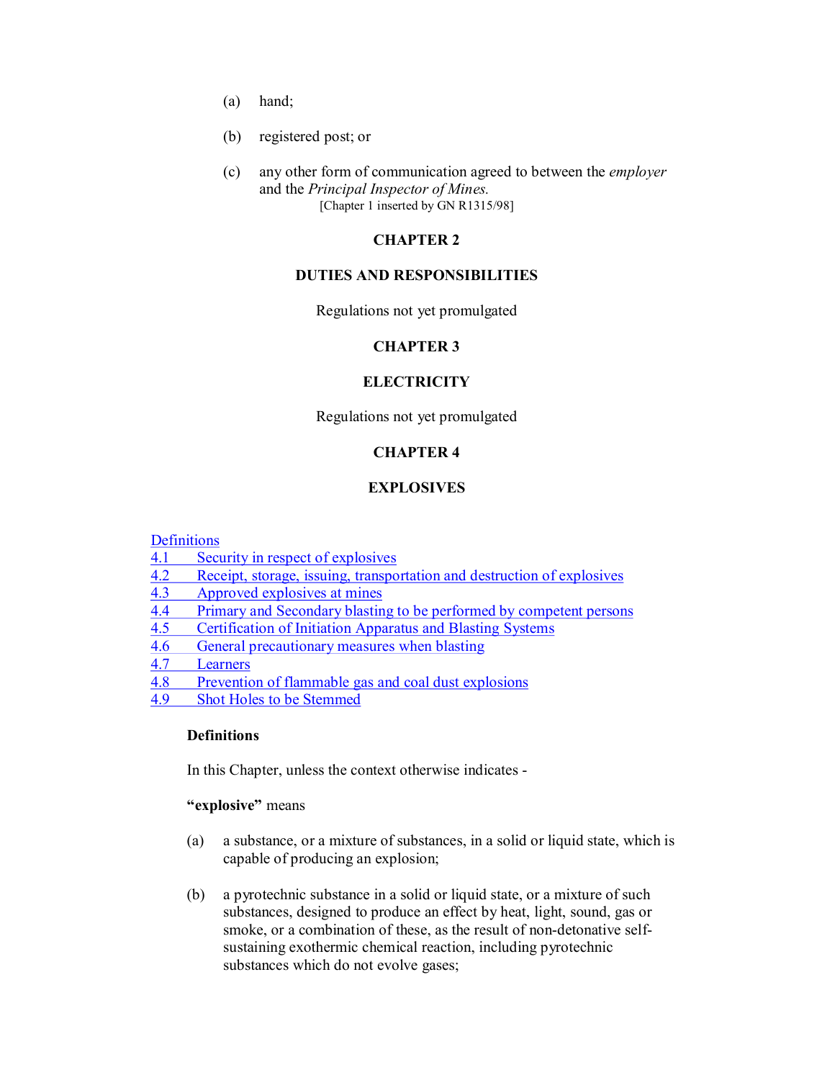- (a) hand;
- (b) registered post; or
- (c) any other form of communication agreed to between the *employer* and the *Principal Inspector of Mines.* [Chapter 1 inserted by GN R1315/98]

### **CHAPTER 2**

#### **DUTIES AND RESPONSIBILITIES**

Regulations not yet promulgated

#### **CHAPTER 3**

#### **ELECTRICITY**

Regulations not yet promulgated

#### **CHAPTER 4**

#### **EXPLOSIVES**

Definitions<br>4.1 Secu

- Security in respect of explosives
- 4.2 Receipt, storage, issuing, transportation and destruction of explosives 4.3 Approved explosives at mines
- Approved explosives at mines
- 4.4 Primary and Secondary blasting to be performed by competent persons
- 4.5 Certification of Initiation Apparatus and Blasting Systems<br>4.6 General precautionary measures when blasting
- 4.6 General precautionary measures when blasting<br>4.7 Learners
- **Learners**
- 4.8 Prevention of flammable gas and coal dust explosions
- 4.9 Shot Holes to be Stemmed

### **Definitions**

In this Chapter, unless the context otherwise indicates

#### **"explosive"** means

- (a) a substance, or a mixture of substances, in a solid or liquid state, which is capable of producing an explosion;
- (b) a pyrotechnic substance in a solid or liquid state, or a mixture of such substances, designed to produce an effect by heat, light, sound, gas or smoke, or a combination of these, as the result of non-detonative selfsustaining exothermic chemical reaction, including pyrotechnic substances which do not evolve gases;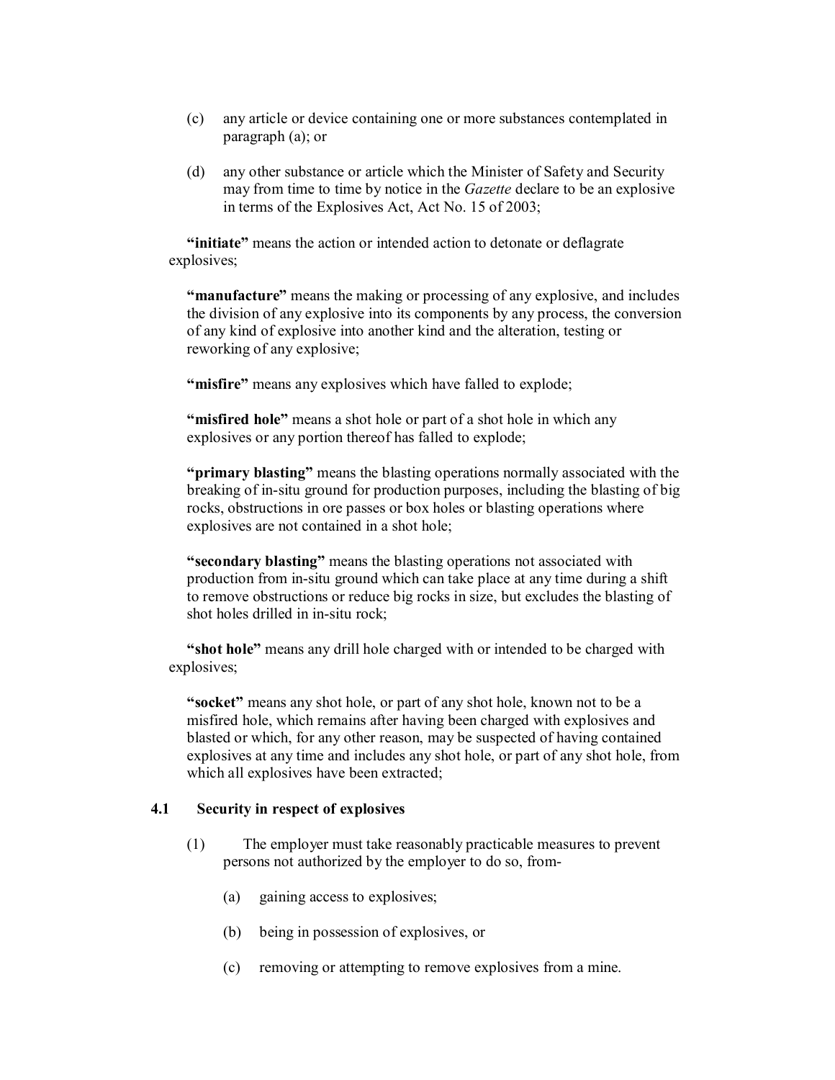- (c) any article or device containing one or more substances contemplated in paragraph (a); or
- (d) any other substance or article which the Minister of Safety and Security may from time to time by notice in the *Gazette* declare to be an explosive in terms of the Explosives Act, Act No. 15 of 2003;

**"initiate"** means the action or intended action to detonate or deflagrate explosives;

**"manufacture"** means the making or processing of any explosive, and includes the division of any explosive into its components by any process, the conversion of any kind of explosive into another kind and the alteration, testing or reworking of any explosive;

**"misfire"** means any explosives which have falled to explode;

**"misfired hole"** means a shot hole or part of a shot hole in which any explosives or any portion thereof has falled to explode;

**"primary blasting"** means the blasting operations normally associated with the breaking of in-situ ground for production purposes, including the blasting of big rocks, obstructions in ore passes or box holes or blasting operations where explosives are not contained in a shot hole;

**"secondary blasting"** means the blasting operations not associated with production from in-situ ground which can take place at any time during a shift to remove obstructions or reduce big rocks in size, but excludes the blasting of shot holes drilled in in-situ rock;

**"shot hole"** means any drill hole charged with or intended to be charged with explosives;

**"socket"** means any shot hole, or part of any shot hole, known not to be a misfired hole, which remains after having been charged with explosives and blasted or which, for any other reason, may be suspected of having contained explosives at any time and includes any shot hole, or part of any shot hole, from which all explosives have been extracted;

#### **4.1 Security in respect of explosives**

- (1) The employer must take reasonably practicable measures to prevent persons not authorized by the employer to do so, from
	- (a) gaining access to explosives;
	- (b) being in possession of explosives, or
	- (c) removing or attempting to remove explosives from a mine.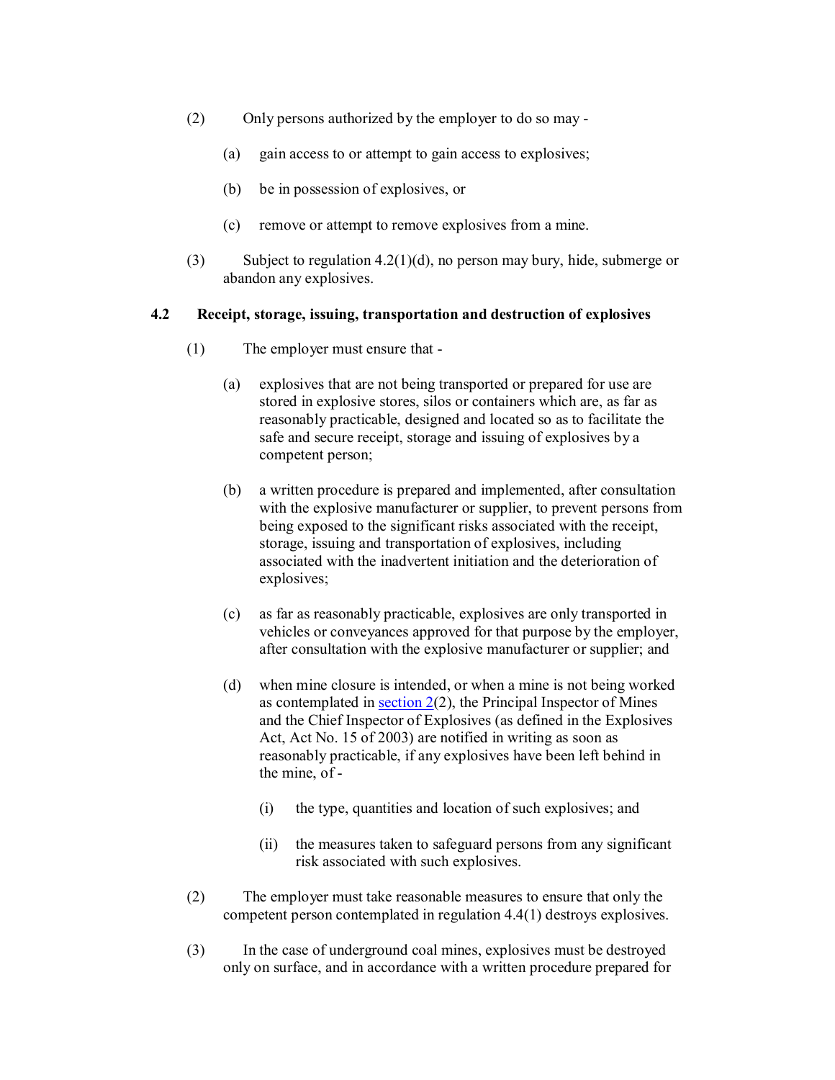- (2) Only persons authorized by the employer to do so may
	- (a) gain access to or attempt to gain access to explosives;
	- (b) be in possession of explosives, or
	- (c) remove or attempt to remove explosives from a mine.
- (3) Subject to regulation 4.2(1)(d), no person may bury, hide, submerge or abandon any explosives.

#### **4.2 Receipt, storage, issuing, transportation and destruction of explosives**

- (1) The employer must ensure that
	- (a) explosives that are not being transported or prepared for use are stored in explosive stores, silos or containers which are, as far as reasonably practicable, designed and located so as to facilitate the safe and secure receipt, storage and issuing of explosives by a competent person;
	- (b) a written procedure is prepared and implemented, after consultation with the explosive manufacturer or supplier, to prevent persons from being exposed to the significant risks associated with the receipt, storage, issuing and transportation of explosives, including associated with the inadvertent initiation and the deterioration of explosives;
	- (c) as far as reasonably practicable, explosives are only transported in vehicles or conveyances approved for that purpose by the employer, after consultation with the explosive manufacturer or supplier; and
	- (d) when mine closure is intended, or when a mine is not being worked as contemplated in section 2(2), the Principal Inspector of Mines and the Chief Inspector of Explosives (as defined in the Explosives Act, Act No. 15 of 2003) are notified in writing as soon as reasonably practicable, if any explosives have been left behind in the mine, of
		- (i) the type, quantities and location of such explosives; and
		- (ii) the measures taken to safeguard persons from any significant risk associated with such explosives.
- (2) The employer must take reasonable measures to ensure that only the competent person contemplated in regulation 4.4(1) destroys explosives.
- (3) In the case of underground coal mines, explosives must be destroyed only on surface, and in accordance with a written procedure prepared for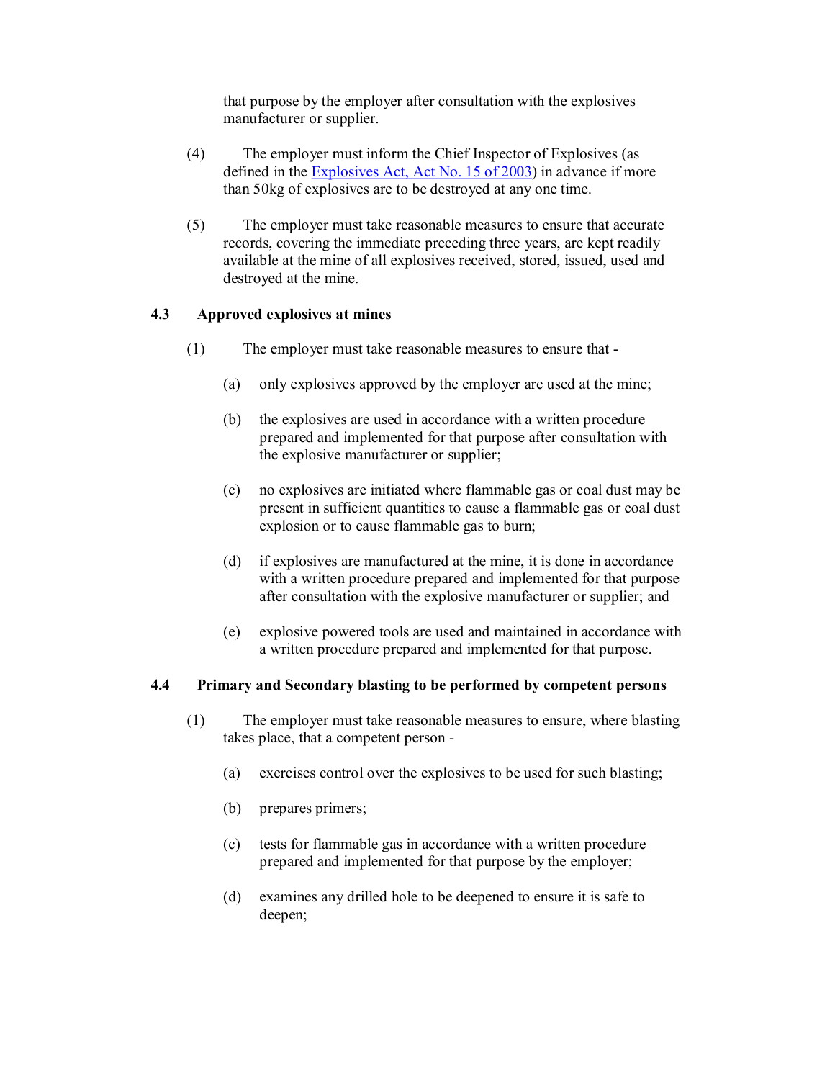that purpose by the employer after consultation with the explosives manufacturer or supplier.

- (4) The employer must inform the Chief Inspector of Explosives (as defined in the Explosives Act, Act No. 15 of 2003) in advance if more than 50kg of explosives are to be destroyed at any one time.
- (5) The employer must take reasonable measures to ensure that accurate records, covering the immediate preceding three years, are kept readily available at the mine of all explosives received, stored, issued, used and destroyed at the mine.

#### **4.3 Approved explosives at mines**

- (1) The employer must take reasonable measures to ensure that
	- (a) only explosives approved by the employer are used at the mine;
	- (b) the explosives are used in accordance with a written procedure prepared and implemented for that purpose after consultation with the explosive manufacturer or supplier;
	- (c) no explosives are initiated where flammable gas or coal dust may be present in sufficient quantities to cause a flammable gas or coal dust explosion or to cause flammable gas to burn;
	- (d) if explosives are manufactured at the mine, it is done in accordance with a written procedure prepared and implemented for that purpose after consultation with the explosive manufacturer or supplier; and
	- (e) explosive powered tools are used and maintained in accordance with a written procedure prepared and implemented for that purpose.

#### **4.4 Primary and Secondary blasting to be performed by competent persons**

- (1) The employer must take reasonable measures to ensure, where blasting takes place, that a competent person
	- (a) exercises control over the explosives to be used for such blasting;
	- (b) prepares primers;
	- (c) tests for flammable gas in accordance with a written procedure prepared and implemented for that purpose by the employer;
	- (d) examines any drilled hole to be deepened to ensure it is safe to deepen;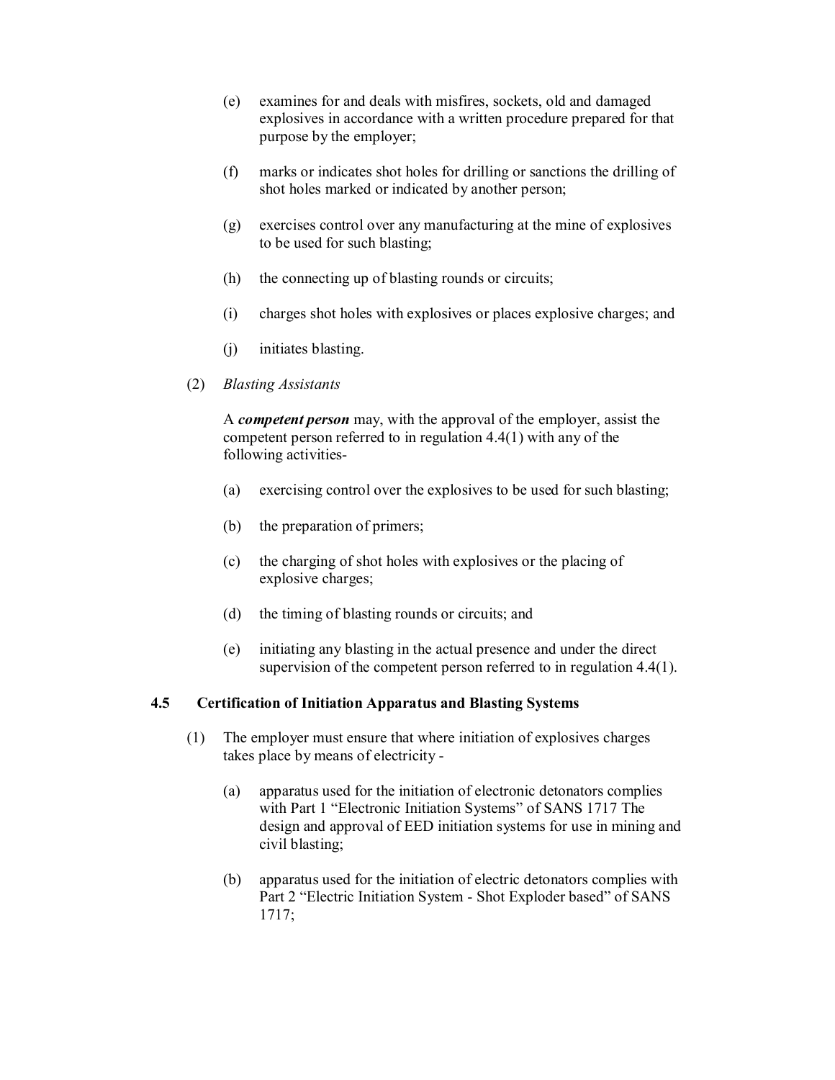- (e) examines for and deals with misfires, sockets, old and damaged explosives in accordance with a written procedure prepared for that purpose by the employer;
- (f) marks or indicates shot holes for drilling or sanctions the drilling of shot holes marked or indicated by another person;
- (g) exercises control over any manufacturing at the mine of explosives to be used for such blasting;
- (h) the connecting up of blasting rounds or circuits;
- (i) charges shot holes with explosives or places explosive charges; and
- (j) initiates blasting.
- (2) *Blasting Assistants*

A *competent person* may, with the approval of the employer, assist the competent person referred to in regulation 4.4(1) with any of the following activities

- (a) exercising control over the explosives to be used for such blasting;
- (b) the preparation of primers;
- (c) the charging of shot holes with explosives or the placing of explosive charges;
- (d) the timing of blasting rounds or circuits; and
- (e) initiating any blasting in the actual presence and under the direct supervision of the competent person referred to in regulation 4.4(1).

## **4.5 Certification of Initiation Apparatus and Blasting Systems**

- (1) The employer must ensure that where initiation of explosives charges takes place by means of electricity
	- (a) apparatus used for the initiation of electronic detonators complies with Part 1 "Electronic Initiation Systems" of SANS 1717 The design and approval of EED initiation systems for use in mining and civil blasting;
	- (b) apparatus used for the initiation of electric detonators complies with Part 2 "Electric Initiation System - Shot Exploder based" of SANS 1717;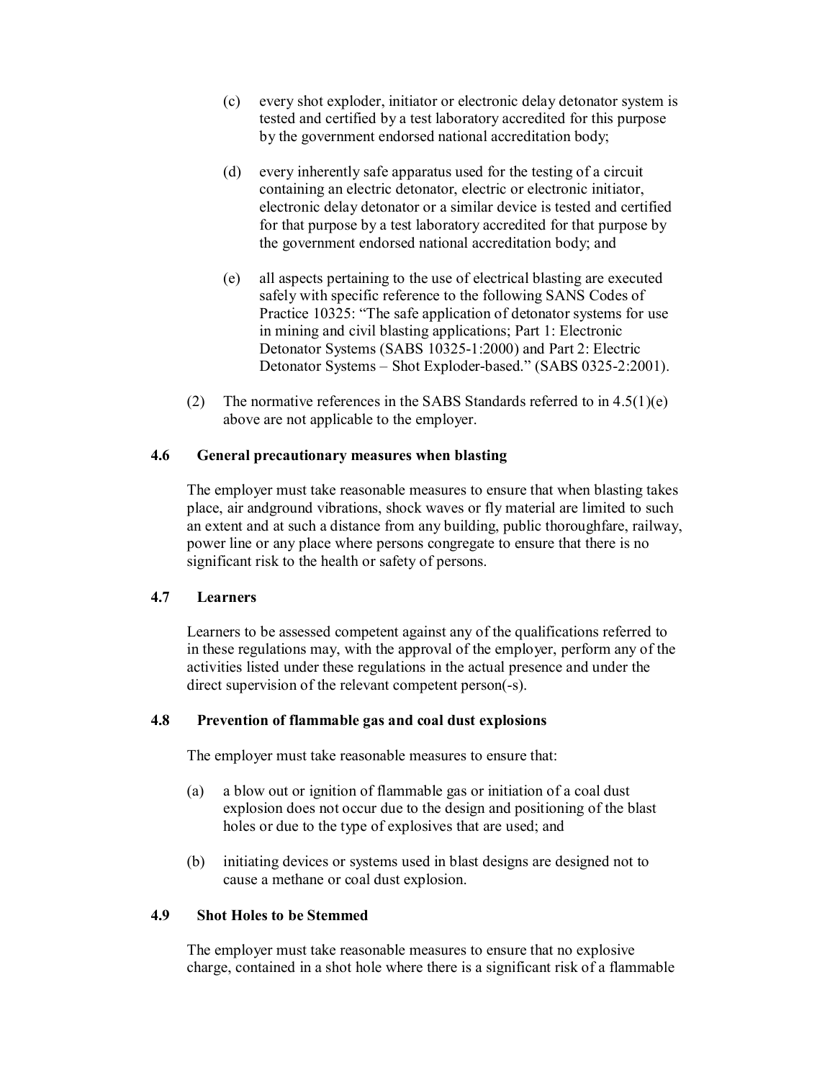- (c) every shot exploder, initiator or electronic delay detonator system is tested and certified by a test laboratory accredited for this purpose by the government endorsed national accreditation body;
- (d) every inherently safe apparatus used for the testing of a circuit containing an electric detonator, electric or electronic initiator, electronic delay detonator or a similar device is tested and certified for that purpose by a test laboratory accredited for that purpose by the government endorsed national accreditation body; and
- (e) all aspects pertaining to the use of electrical blasting are executed safely with specific reference to the following SANS Codes of Practice 10325: "The safe application of detonator systems for use in mining and civil blasting applications; Part 1: Electronic Detonator Systems (SABS 10325-1:2000) and Part 2: Electric Detonator Systems - Shot Exploder-based." (SABS 0325-2:2001).
- (2) The normative references in the SABS Standards referred to in  $4.5(1)(e)$ above are not applicable to the employer.

#### **4.6 General precautionary measures when blasting**

The employer must take reasonable measures to ensure that when blasting takes place, air andground vibrations, shock waves or fly material are limited to such an extent and at such a distance from any building, public thoroughfare, railway, power line or any place where persons congregate to ensure that there is no significant risk to the health or safety of persons.

#### **4.7 Learners**

Learners to be assessed competent against any of the qualifications referred to in these regulations may, with the approval of the employer, perform any of the activities listed under these regulations in the actual presence and under the direct supervision of the relevant competent person(-s).

#### **4.8 Prevention of flammable gas and coal dust explosions**

The employer must take reasonable measures to ensure that:

- (a) a blow out or ignition of flammable gas or initiation of a coal dust explosion does not occur due to the design and positioning of the blast holes or due to the type of explosives that are used; and
- (b) initiating devices or systems used in blast designs are designed not to cause a methane or coal dust explosion.

#### **4.9 Shot Holes to be Stemmed**

The employer must take reasonable measures to ensure that no explosive charge, contained in a shot hole where there is a significant risk of a flammable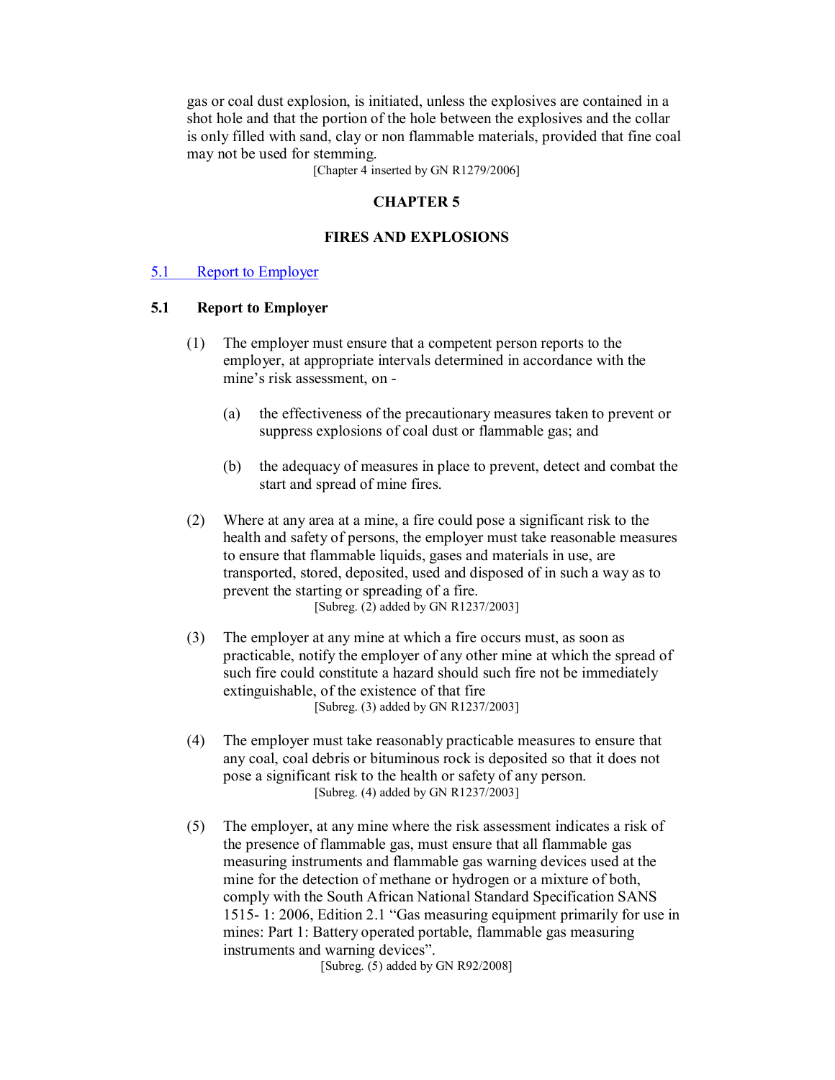gas or coal dust explosion, is initiated, unless the explosives are contained in a shot hole and that the portion of the hole between the explosives and the collar is only filled with sand, clay or non flammable materials, provided that fine coal may not be used for stemming.

[Chapter 4 inserted by GN R1279/2006]

#### **CHAPTER 5**

#### **FIRES AND EXPLOSIONS**

#### 5.1 Report to Employer

#### **5.1 Report to Employer**

- (1) The employer must ensure that a competent person reports to the employer, at appropriate intervals determined in accordance with the mine's risk assessment, on
	- (a) the effectiveness of the precautionary measures taken to prevent or suppress explosions of coal dust or flammable gas; and
	- (b) the adequacy of measures in place to prevent, detect and combat the start and spread of mine fires.
- (2) Where at any area at a mine, a fire could pose a significant risk to the health and safety of persons, the employer must take reasonable measures to ensure that flammable liquids, gases and materials in use, are transported, stored, deposited, used and disposed of in such a way as to prevent the starting or spreading of a fire. [Subreg. (2) added by GN R1237/2003]
- (3) The employer at any mine at which a fire occurs must, as soon as practicable, notify the employer of any other mine at which the spread of such fire could constitute a hazard should such fire not be immediately extinguishable, of the existence of that fire [Subreg. (3) added by GN R1237/2003]
- (4) The employer must take reasonably practicable measures to ensure that any coal, coal debris or bituminous rock is deposited so that it does not pose a significant risk to the health or safety of any person. [Subreg. (4) added by GN R1237/2003]
- (5) The employer, at any mine where the risk assessment indicates a risk of the presence of flammable gas, must ensure that all flammable gas measuring instruments and flammable gas warning devices used at the mine for the detection of methane or hydrogen or a mixture of both, comply with the South African National Standard Specification SANS 1515 1: 2006, Edition 2.1 "Gas measuring equipment primarily for use in mines: Part 1: Battery operated portable, flammable gas measuring instruments and warning devices".

[Subreg. (5) added by GN R92/2008]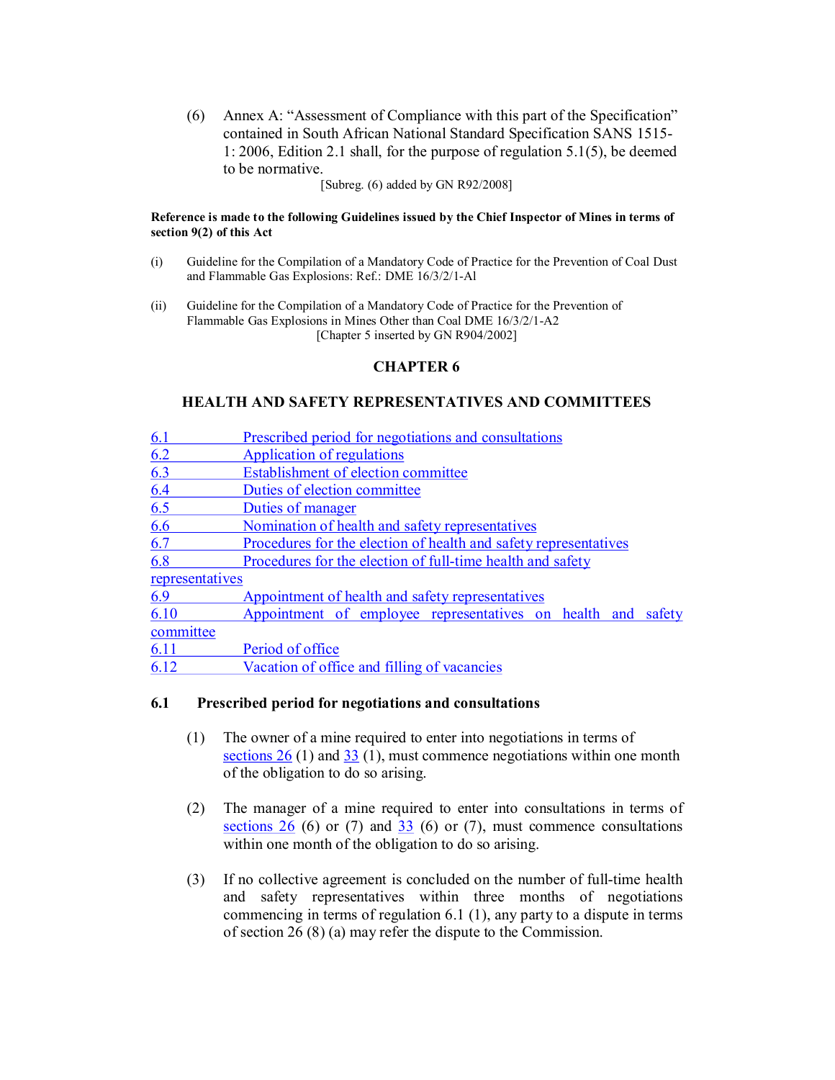(6) Annex A: "Assessment of Compliance with this part of the Specification" contained in South African National Standard Specification SANS 1515 1: 2006, Edition 2.1 shall, for the purpose of regulation 5.1(5), be deemed to be normative.

[Subreg. (6) added by GN R92/2008]

#### **Reference is made to the following Guidelines issued by the Chief Inspector of Mines in terms of section 9(2) of this Act**

- (i) Guideline for the Compilation of a Mandatory Code of Practice for the Prevention of Coal Dust and Flammable Gas Explosions: Ref.: DME 16/3/2/1-Al
- (ii) Guideline for the Compilation of a Mandatory Code of Practice for the Prevention of Flammable Gas Explosions in Mines Other than Coal DME 16/3/2/1-A2 [Chapter 5 inserted by GN R904/2002]

## **CHAPTER 6**

### **HEALTH AND SAFETY REPRESENTATIVES AND COMMITTEES**

| 6.1             | Prescribed period for negotiations and consultations             |  |  |
|-----------------|------------------------------------------------------------------|--|--|
| 6.2             | Application of regulations                                       |  |  |
| 6.3             | Establishment of election committee                              |  |  |
| 6.4             | Duties of election committee                                     |  |  |
| 6.5             | Duties of manager                                                |  |  |
| 6.6             | Nomination of health and safety representatives                  |  |  |
| 6.7             | Procedures for the election of health and safety representatives |  |  |
| 6.8             | Procedures for the election of full-time health and safety       |  |  |
| representatives |                                                                  |  |  |
| 6.9             | Appointment of health and safety representatives                 |  |  |
| 6.10            | Appointment of employee representatives on health and<br>safety  |  |  |
| committee       |                                                                  |  |  |
| 6.11            | Period of office                                                 |  |  |
| 6.12            | Vacation of office and filling of vacancies                      |  |  |

#### **6.1 Prescribed period for negotiations and consultations**

- (1) The owner of a mine required to enter into negotiations in terms of sections 26 (1) and 33 (1), must commence negotiations within one month of the obligation to do so arising.
- (2) The manager of a mine required to enter into consultations in terms of sections  $26$  (6) or (7) and  $33$  (6) or (7), must commence consultations within one month of the obligation to do so arising.
- $(3)$  If no collective agreement is concluded on the number of full-time health and safety representatives within three months of negotiations commencing in terms of regulation 6.1 (1), any party to a dispute in terms of section 26 (8) (a) may refer the dispute to the Commission.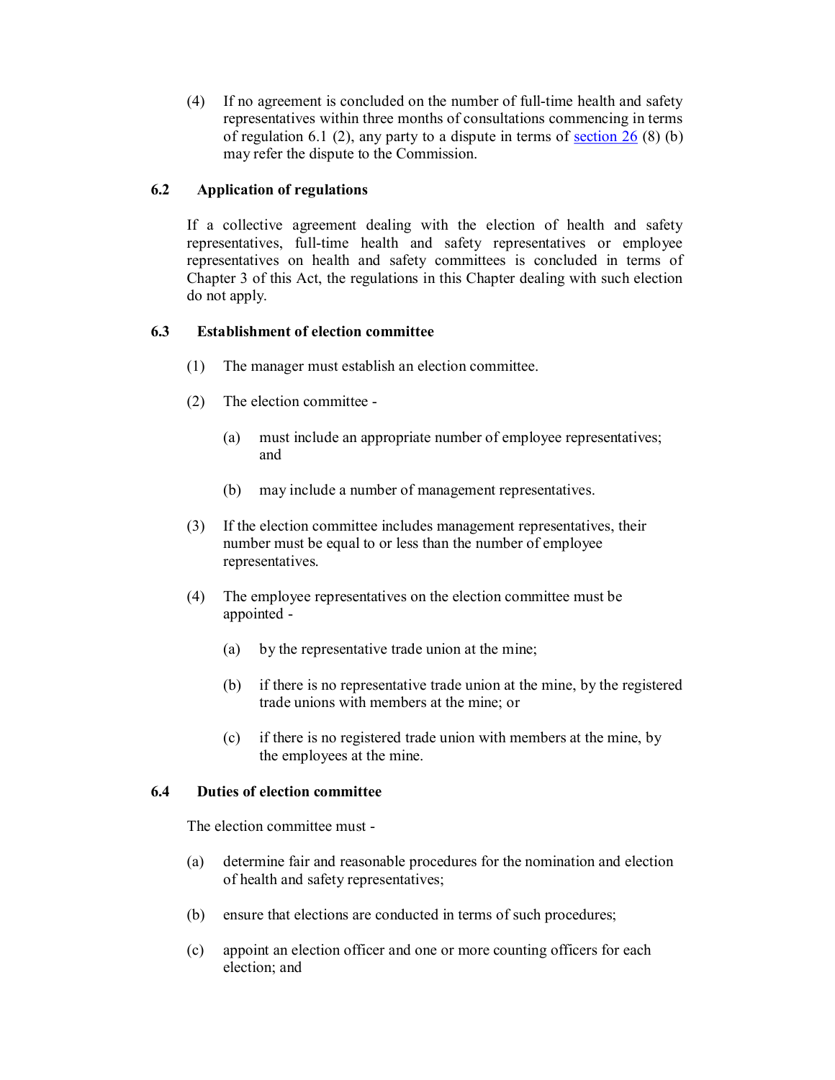$(4)$  If no agreement is concluded on the number of full-time health and safety representatives within three months of consultations commencing in terms of regulation 6.1 (2), any party to a dispute in terms of section 26 (8) (b) may refer the dispute to the Commission.

## **6.2 Application of regulations**

If a collective agreement dealing with the election of health and safety representatives, full-time health and safety representatives or employee representatives on health and safety committees is concluded in terms of Chapter 3 of this Act, the regulations in this Chapter dealing with such election do not apply.

## **6.3 Establishment of election committee**

- (1) The manager must establish an election committee.
- (2) The election committee
	- (a) must include an appropriate number of employee representatives; and
	- (b) may include a number of management representatives.
- (3) If the election committee includes management representatives, their number must be equal to or less than the number of employee representatives.
- (4) The employee representatives on the election committee must be appointed
	- (a) by the representative trade union at the mine;
	- (b) if there is no representative trade union at the mine, by the registered trade unions with members at the mine; or
	- (c) if there is no registered trade union with members at the mine, by the employees at the mine.

#### **6.4 Duties of election committee**

The election committee must

- (a) determine fair and reasonable procedures for the nomination and election of health and safety representatives;
- (b) ensure that elections are conducted in terms of such procedures;
- (c) appoint an election officer and one or more counting officers for each election; and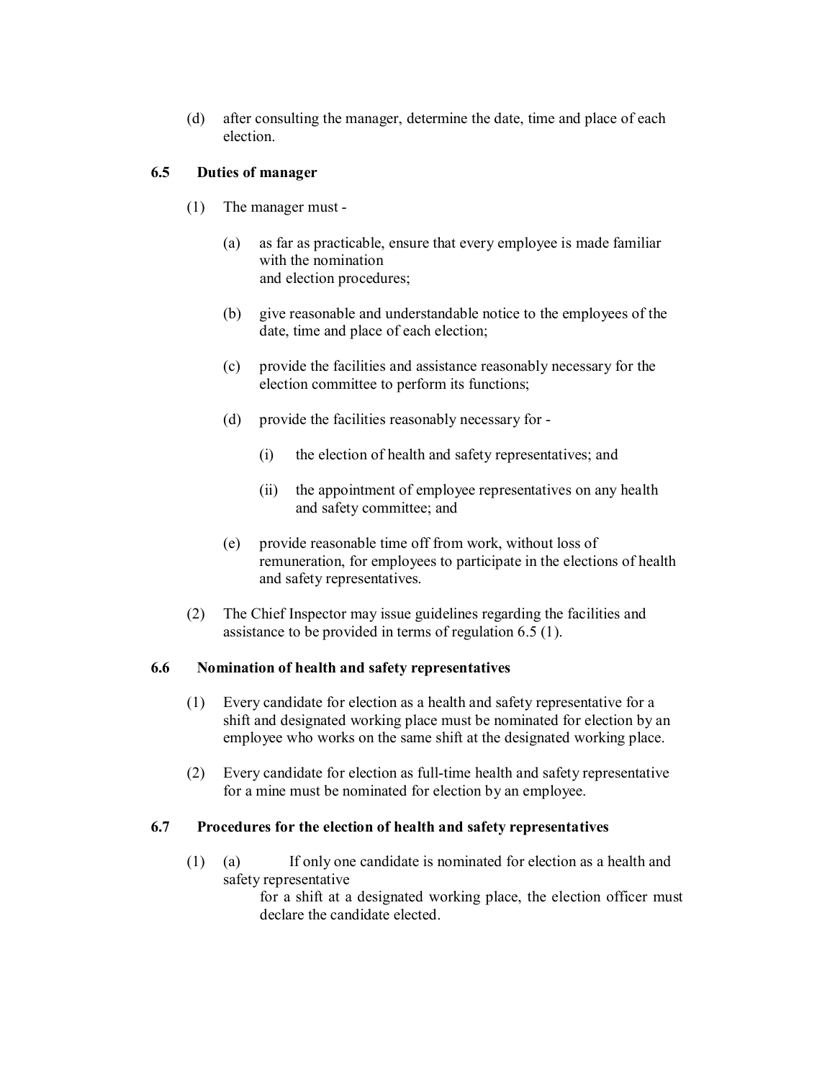(d) after consulting the manager, determine the date, time and place of each election.

## **6.5 Duties of manager**

- (1) The manager must
	- (a) as far as practicable, ensure that every employee is made familiar with the nomination and election procedures;
	- (b) give reasonable and understandable notice to the employees of the date, time and place of each election;
	- (c) provide the facilities and assistance reasonably necessary for the election committee to perform its functions;
	- (d) provide the facilities reasonably necessary for
		- (i) the election of health and safety representatives; and
		- (ii) the appointment of employee representatives on any health and safety committee; and
	- (e) provide reasonable time off from work, without loss of remuneration, for employees to participate in the elections of health and safety representatives.
- (2) The Chief Inspector may issue guidelines regarding the facilities and assistance to be provided in terms of regulation 6.5 (1).

#### **6.6 Nomination of health and safety representatives**

- (1) Every candidate for election as a health and safety representative for a shift and designated working place must be nominated for election by an employee who works on the same shift at the designated working place.
- $(2)$  Every candidate for election as full-time health and safety representative for a mine must be nominated for election by an employee.

#### **6.7 Procedures for the election of health and safety representatives**

(1) (a) If only one candidate is nominated for election as a health and safety representative

for a shift at a designated working place, the election officer must declare the candidate elected.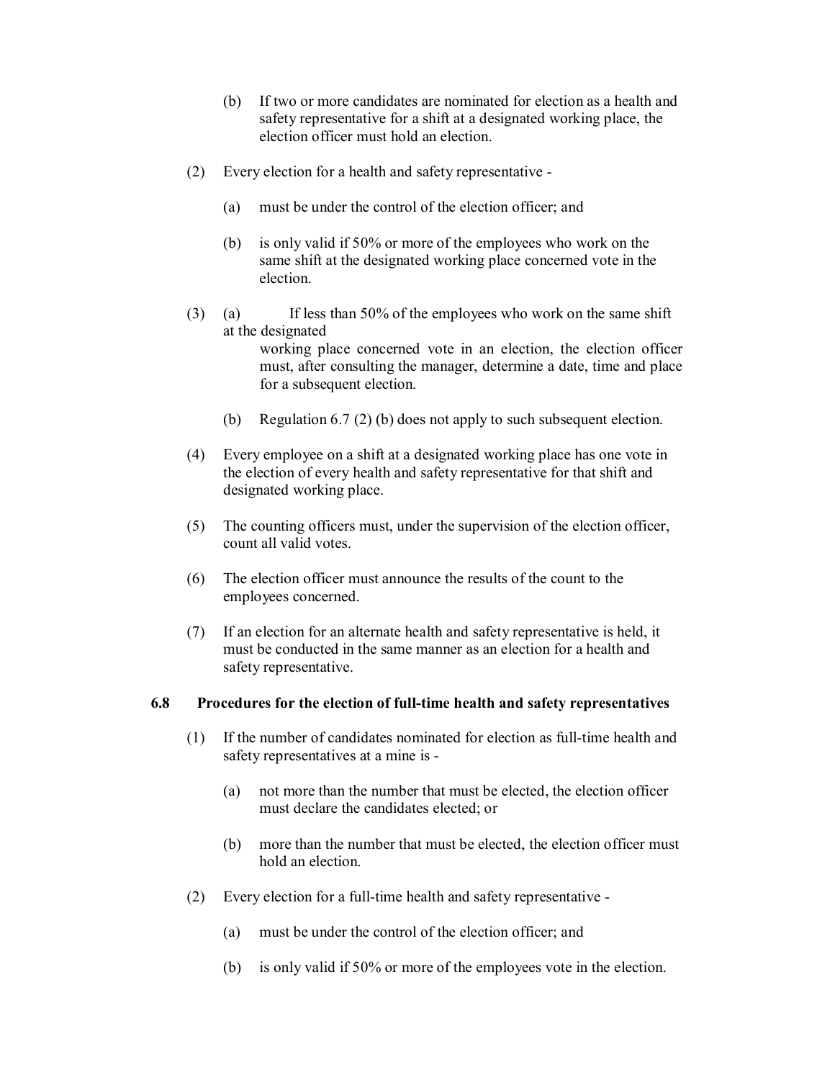- (b) If two or more candidates are nominated for election as a health and safety representative for a shift at a designated working place, the election officer must hold an election.
- (2) Every election for a health and safety representative
	- (a) must be under the control of the election officer; and
	- (b) is only valid if 50% or more of the employees who work on the same shift at the designated working place concerned vote in the election.
- (3) (a) If less than 50% of the employees who work on the same shift at the designated working place concerned vote in an election, the election officer must, after consulting the manager, determine a date, time and place for a subsequent election.
	- (b) Regulation 6.7 (2) (b) does not apply to such subsequent election.
- (4) Every employee on a shift at a designated working place has one vote in the election of every health and safety representative for that shift and designated working place.
- (5) The counting officers must, under the supervision of the election officer, count all valid votes.
- (6) The election officer must announce the results of the count to the employees concerned.
- (7) If an election for an alternate health and safety representative is held, it must be conducted in the same manner as an election for a health and safety representative.

#### **6.8** Procedures for the election of full-time health and safety representatives

- $(1)$  If the number of candidates nominated for election as full-time health and safety representatives at a mine is
	- (a) not more than the number that must be elected, the election officer must declare the candidates elected; or
	- (b) more than the number that must be elected, the election officer must hold an election.
- $(2)$  Every election for a full-time health and safety representative -
	- (a) must be under the control of the election officer; and
	- (b) is only valid if 50% or more of the employees vote in the election.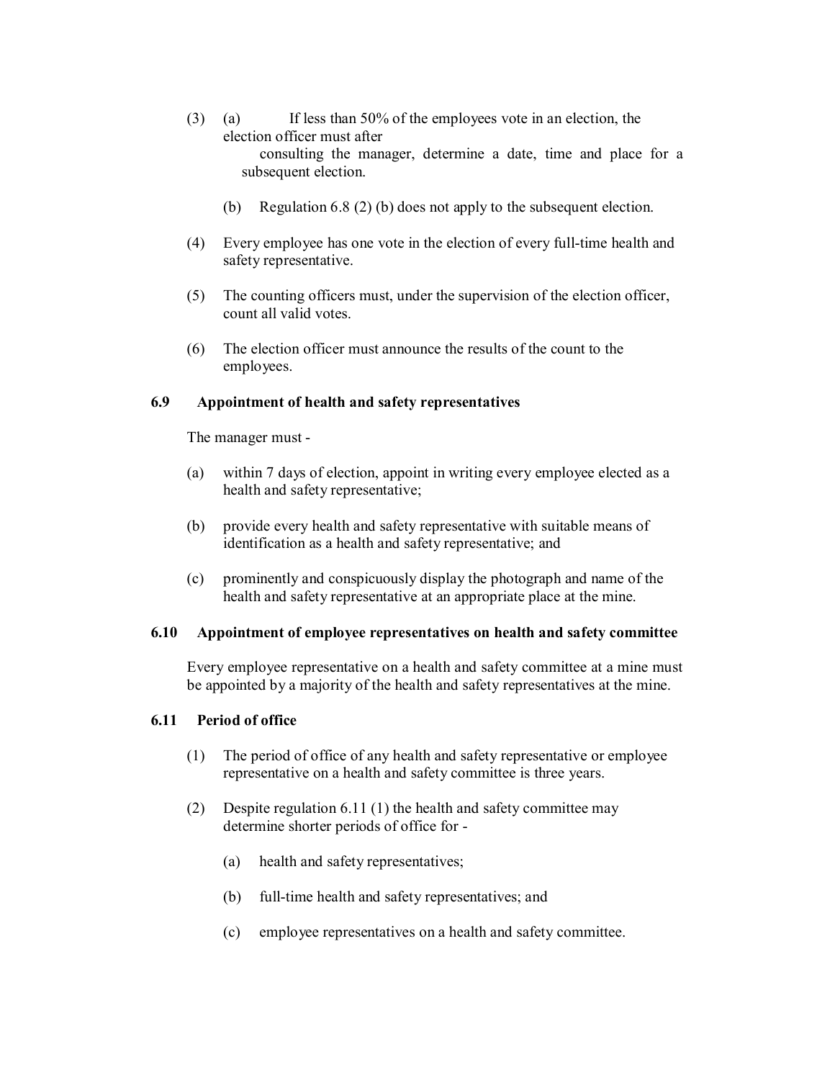- (3) (a) If less than 50% of the employees vote in an election, the election officer must after consulting the manager, determine a date, time and place for a subsequent election.
	- (b) Regulation 6.8 (2) (b) does not apply to the subsequent election.
- (4) Every employee has one vote in the election of every full-time health and safety representative.
- (5) The counting officers must, under the supervision of the election officer, count all valid votes.
- (6) The election officer must announce the results of the count to the employees.

#### **6.9 Appointment of health and safety representatives**

The manager must

- (a) within 7 days of election, appoint in writing every employee elected as a health and safety representative;
- (b) provide every health and safety representative with suitable means of identification as a health and safety representative; and
- (c) prominently and conspicuously display the photograph and name of the health and safety representative at an appropriate place at the mine.

#### **6.10 Appointment of employee representatives on health and safety committee**

Every employee representative on a health and safety committee at a mine must be appointed by a majority of the health and safety representatives at the mine.

#### **6.11 Period of office**

- (1) The period of office of any health and safety representative or employee representative on a health and safety committee is three years.
- (2) Despite regulation 6.11 (1) the health and safety committee may determine shorter periods of office for
	- (a) health and safety representatives;
	- (b) full-time health and safety representatives; and
	- (c) employee representatives on a health and safety committee.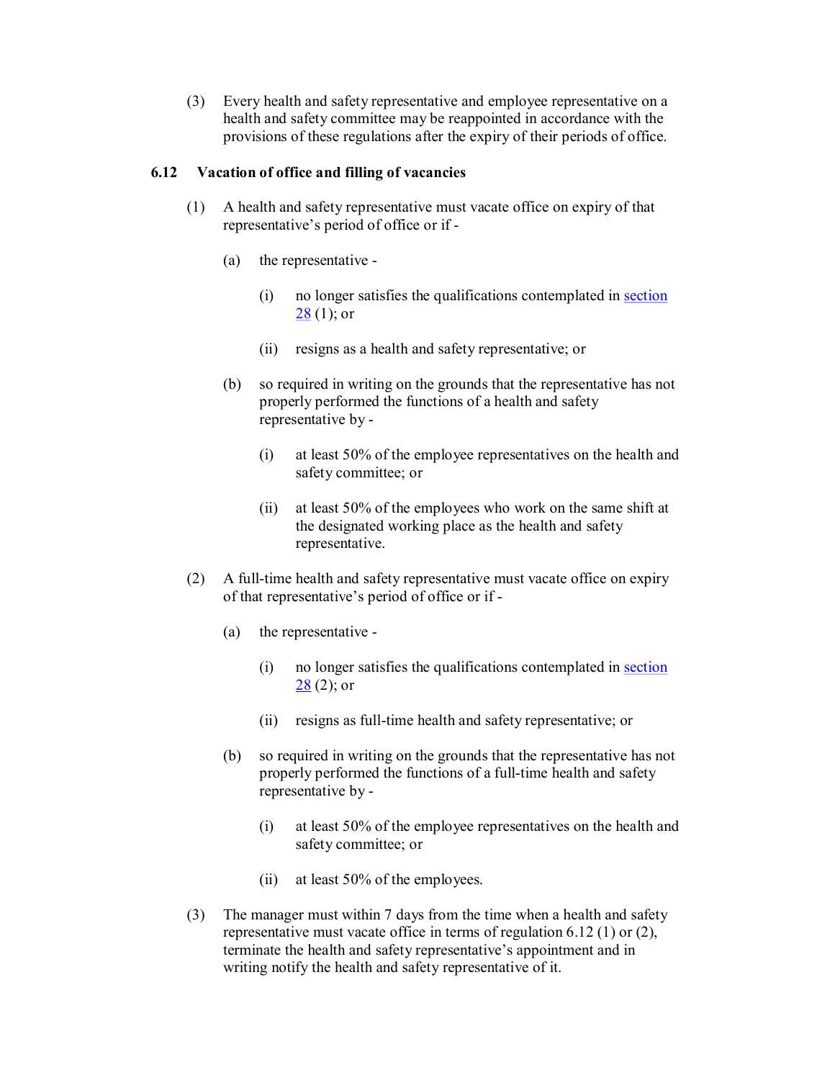(3) Every health and safety representative and employee representative on a health and safety committee may be reappointed in accordance with the provisions of these regulations after the expiry of their periods of office.

### **6.12 Vacation of office and filling of vacancies**

- (1) A health and safety representative must vacate office on expiry of that representative's period of office or if
	- (a) the representative
		- (i) no longer satisfies the qualifications contemplated in section  $28(1)$ ; or
		- (ii) resigns as a health and safety representative; or
	- (b) so required in writing on the grounds that the representative has not properly performed the functions of a health and safety representative by
		- (i) at least 50% of the employee representatives on the health and safety committee; or
		- (ii) at least 50% of the employees who work on the same shift at the designated working place as the health and safety representative.
- $(2)$  A full-time health and safety representative must vacate office on expiry of that representative's period of office or if
	- (a) the representative
		- (i) no longer satisfies the qualifications contemplated in section  $28(2)$ ; or
		- (ii) resigns as full-time health and safety representative; or
	- (b) so required in writing on the grounds that the representative has not properly performed the functions of a full-time health and safety representative by
		- (i) at least 50% of the employee representatives on the health and safety committee; or
		- (ii) at least 50% of the employees.
- (3) The manager must within 7 days from the time when a health and safety representative must vacate office in terms of regulation 6.12 (1) or (2), terminate the health and safety representative's appointment and in writing notify the health and safety representative of it.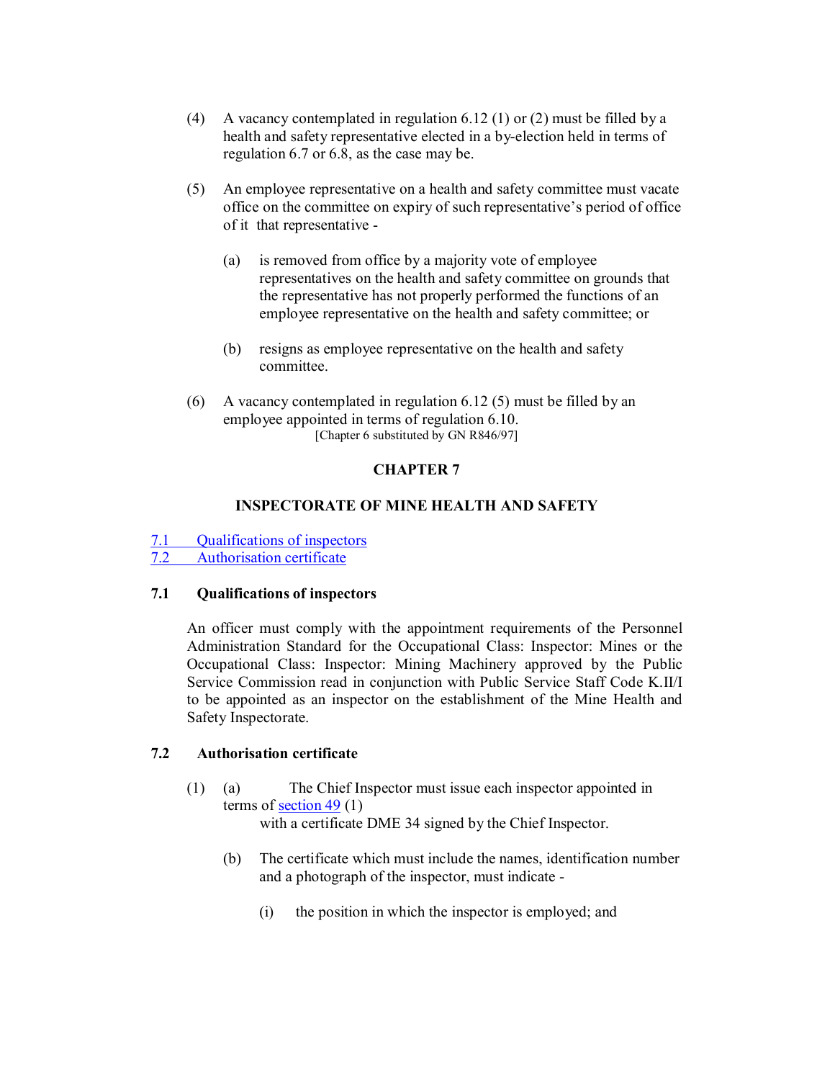- (4) A vacancy contemplated in regulation 6.12 (1) or (2) must be filled by a health and safety representative elected in a by-election held in terms of regulation 6.7 or 6.8, as the case may be.
- (5) An employee representative on a health and safety committee must vacate office on the committee on expiry of such representative's period of office of it that representative
	- (a) is removed from office by a majority vote of employee representatives on the health and safety committee on grounds that the representative has not properly performed the functions of an employee representative on the health and safety committee; or
	- (b) resigns as employee representative on the health and safety committee.
- (6) A vacancy contemplated in regulation 6.12 (5) must be filled by an employee appointed in terms of regulation 6.10. [Chapter 6 substituted by GN R846/97]

### **CHAPTER 7**

### **INSPECTORATE OF MINE HEALTH AND SAFETY**

7.1 Qualifications of inspectors<br>7.2 Authorisation certificate

Authorisation certificate

#### **7.1 Qualifications of inspectors**

An officer must comply with the appointment requirements of the Personnel Administration Standard for the Occupational Class: Inspector: Mines or the Occupational Class: Inspector: Mining Machinery approved by the Public Service Commission read in conjunction with Public Service Staff Code K.II/I to be appointed as an inspector on the establishment of the Mine Health and Safety Inspectorate.

#### **7.2 Authorisation certificate**

(1) (a) The Chief Inspector must issue each inspector appointed in terms of section 49 (1)

with a certificate DME 34 signed by the Chief Inspector.

- (b) The certificate which must include the names, identification number and a photograph of the inspector, must indicate
	- (i) the position in which the inspector is employed; and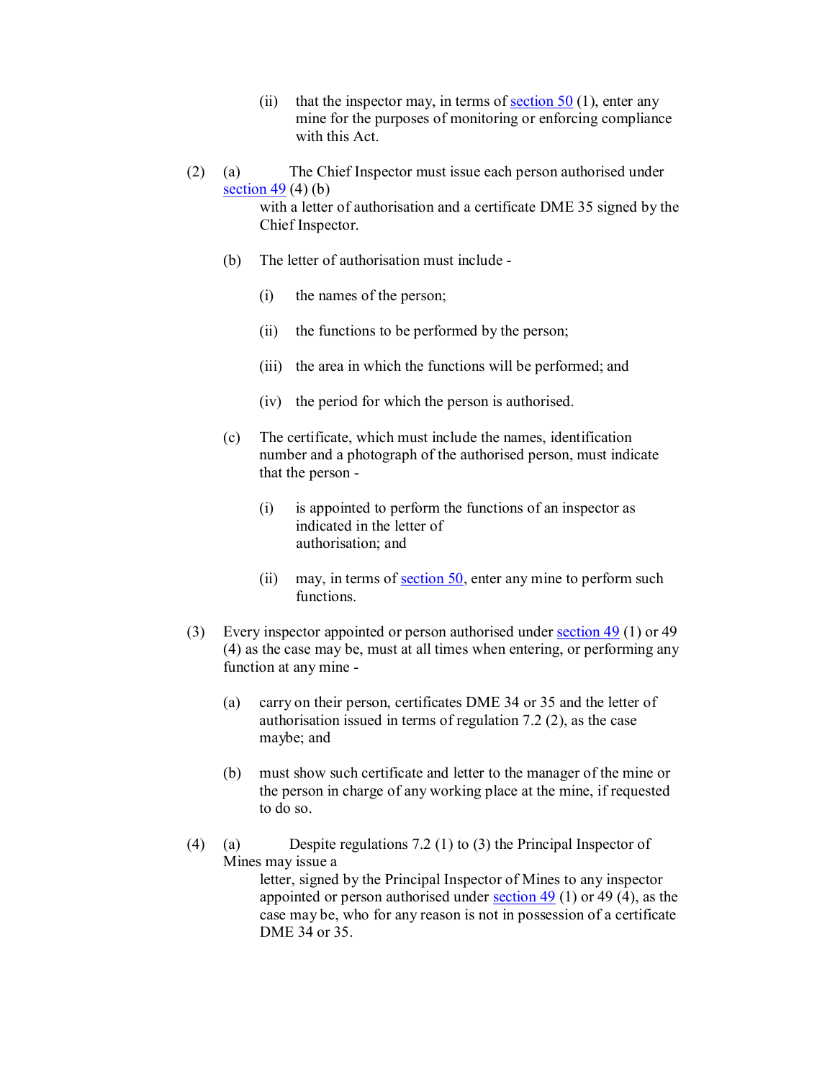- (ii) that the inspector may, in terms of section  $50(1)$ , enter any mine for the purposes of monitoring or enforcing compliance with this Act.
- (2) (a) The Chief Inspector must issue each person authorised under section  $49(4)(b)$ with a letter of authorisation and a certificate DME 35 signed by the Chief Inspector.
	- (b) The letter of authorisation must include
		- (i) the names of the person;
		- (ii) the functions to be performed by the person;
		- (iii) the area in which the functions will be performed; and
		- (iv) the period for which the person is authorised.
	- (c) The certificate, which must include the names, identification number and a photograph of the authorised person, must indicate that the person
		- (i) is appointed to perform the functions of an inspector as indicated in the letter of authorisation; and
		- (ii) may, in terms of section 50, enter any mine to perform such functions.
- (3) Every inspector appointed or person authorised under section 49 (1) or 49 (4) as the case may be, must at all times when entering, or performing any function at any mine
	- (a) carry on their person, certificates DME 34 or 35 and the letter of authorisation issued in terms of regulation 7.2 (2), as the case maybe; and
	- (b) must show such certificate and letter to the manager of the mine or the person in charge of any working place at the mine, if requested to do so.
- (4) (a) Despite regulations 7.2 (1) to (3) the Principal Inspector of Mines may issue a letter, signed by the Principal Inspector of Mines to any inspector appointed or person authorised under section  $49$  (1) or 49 (4), as the case may be, who for any reason is not in possession of a certificate

DME 34 or 35.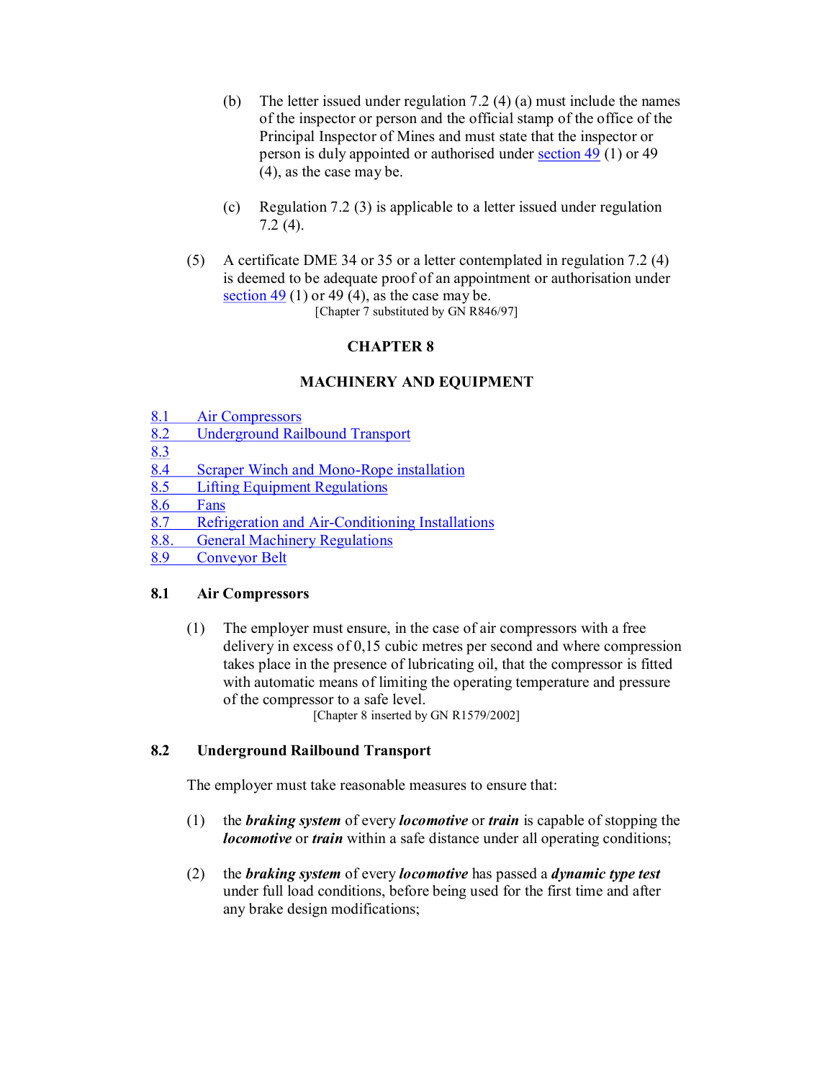- (b) The letter issued under regulation 7.2 (4) (a) must include the names of the inspector or person and the official stamp of the office of the Principal Inspector of Mines and must state that the inspector or person is duly appointed or authorised under section 49 (1) or 49 (4), as the case may be.
- (c) Regulation 7.2 (3) is applicable to a letter issued under regulation 7.2 (4).
- (5) A certificate DME 34 or 35 or a letter contemplated in regulation 7.2 (4) is deemed to be adequate proof of an appointment or authorisation under section  $49$  (1) or 49 (4), as the case may be. [Chapter 7 substituted by GN R846/97]

### **CHAPTER 8**

#### **MACHINERY AND EQUIPMENT**

- 8.1 Air Compressors
- 8.2 Underground Railbound Transport
- $\frac{8.3}{8.4}$
- Scraper Winch and Mono-Rope installation
- 8.5 Lifting Equipment Regulations
- 8.6 Fans
- 8.7 Refrigeration and Air-Conditioning Installations<br>8.8. General Machinery Regulations
- 8.8. General Machinery Regulations<br>8.9 Convevor Belt
- Conveyor Belt

#### **8.1 Air Compressors**

(1) The employer must ensure, in the case of air compressors with a free delivery in excess of 0,15 cubic metres per second and where compression takes place in the presence of lubricating oil, that the compressor is fitted with automatic means of limiting the operating temperature and pressure of the compressor to a safe level.

[Chapter 8 inserted by GN R1579/2002]

#### **8.2 Underground Railbound Transport**

The employer must take reasonable measures to ensure that:

- (1) the *braking system* of every *locomotive* or *train* is capable of stopping the *locomotive* or *train* within a safe distance under all operating conditions;
- (2) the *braking system* of every *locomotive* has passed a *dynamic type test* under full load conditions, before being used for the first time and after any brake design modifications;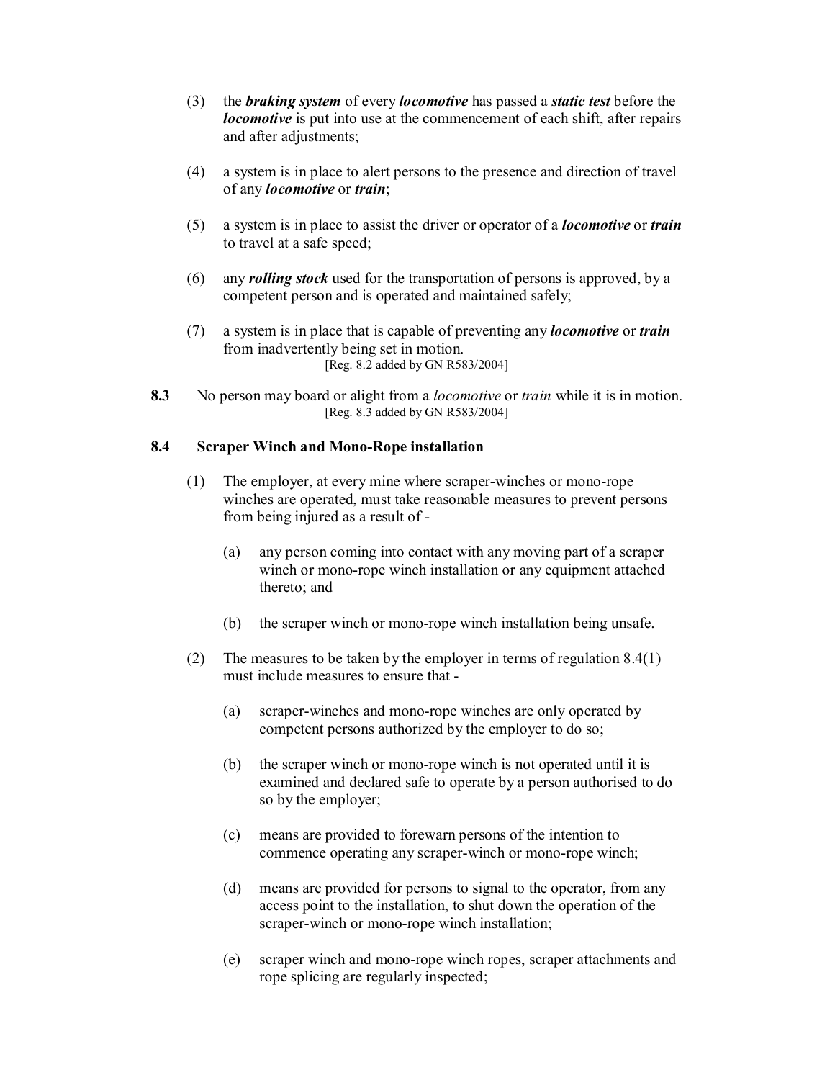- (3) the *braking system* of every *locomotive* has passed a *static test* before the *locomotive* is put into use at the commencement of each shift, after repairs and after adjustments;
- (4) a system is in place to alert persons to the presence and direction of travel of any *locomotive* or *train*;
- (5) a system is in place to assist the driver or operator of a *locomotive* or *train* to travel at a safe speed;
- (6) any *rolling stock* used for the transportation of persons is approved, by a competent person and is operated and maintained safely;
- (7) a system is in place that is capable of preventing any *locomotive* or *train* from inadvertently being set in motion. [Reg. 8.2 added by GN R583/2004]
- **8.3** No person may board or alight from a *locomotive* or *train* while it is in motion. [Reg. 8.3 added by GN R583/2004]

#### **8.4 Scraper Winch and Mono-Rope installation**

- (1) The employer, at every mine where scraper-winches or mono-rope winches are operated, must take reasonable measures to prevent persons from being injured as a result of
	- (a) any person coming into contact with any moving part of a scraper winch or mono-rope winch installation or any equipment attached thereto; and
	- (b) the scraper winch or mono-rope winch installation being unsafe.
- (2) The measures to be taken by the employer in terms of regulation 8.4(1) must include measures to ensure that
	- (a) scraper-winches and mono-rope winches are only operated by competent persons authorized by the employer to do so;
	- (b) the scraper winch or mono-rope winch is not operated until it is examined and declared safe to operate by a person authorised to do so by the employer;
	- (c) means are provided to forewarn persons of the intention to commence operating any scraper-winch or mono-rope winch;
	- (d) means are provided for persons to signal to the operator, from any access point to the installation, to shut down the operation of the scraper-winch or mono-rope winch installation;
	- (e) scraper winch and monorope winch ropes, scraper attachments and rope splicing are regularly inspected;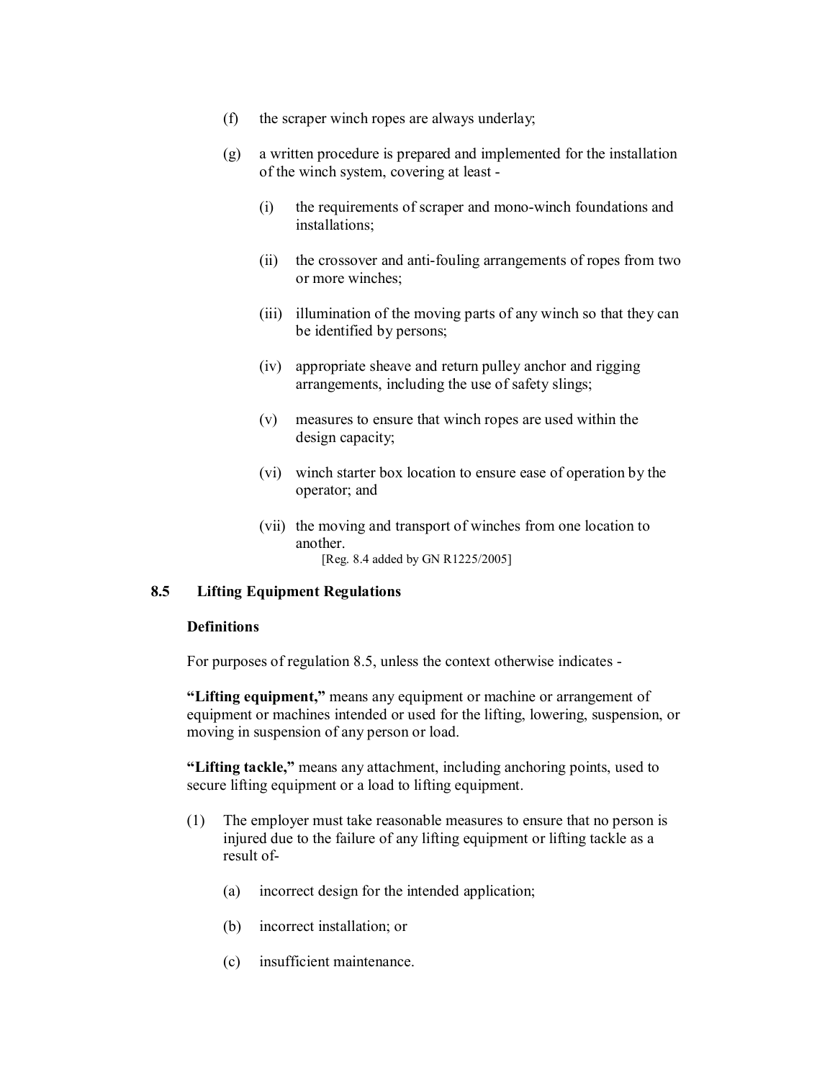- (f) the scraper winch ropes are always underlay;
- (g) a written procedure is prepared and implemented for the installation of the winch system, covering at least
	- (i) the requirements of scraper and monowinch foundations and installations;
	- $(ii)$  the crossover and anti-fouling arrangements of ropes from two or more winches;
	- (iii) illumination of the moving parts of any winch so that they can be identified by persons;
	- (iv) appropriate sheave and return pulley anchor and rigging arrangements, including the use of safety slings;
	- (v) measures to ensure that winch ropes are used within the design capacity;
	- (vi) winch starter box location to ensure ease of operation by the operator; and
	- (vii) the moving and transport of winches from one location to another.
		- [Reg. 8.4 added by GN R1225/2005]

#### **8.5 Lifting Equipment Regulations**

#### **Definitions**

For purposes of regulation 8.5, unless the context otherwise indicates

**"Lifting equipment,"** means any equipment or machine or arrangement of equipment or machines intended or used for the lifting, lowering, suspension, or moving in suspension of any person or load.

**"Lifting tackle,"** means any attachment, including anchoring points, used to secure lifting equipment or a load to lifting equipment.

- (1) The employer must take reasonable measures to ensure that no person is injured due to the failure of any lifting equipment or lifting tackle as a result of
	- (a) incorrect design for the intended application;
	- (b) incorrect installation; or
	- (c) insufficient maintenance.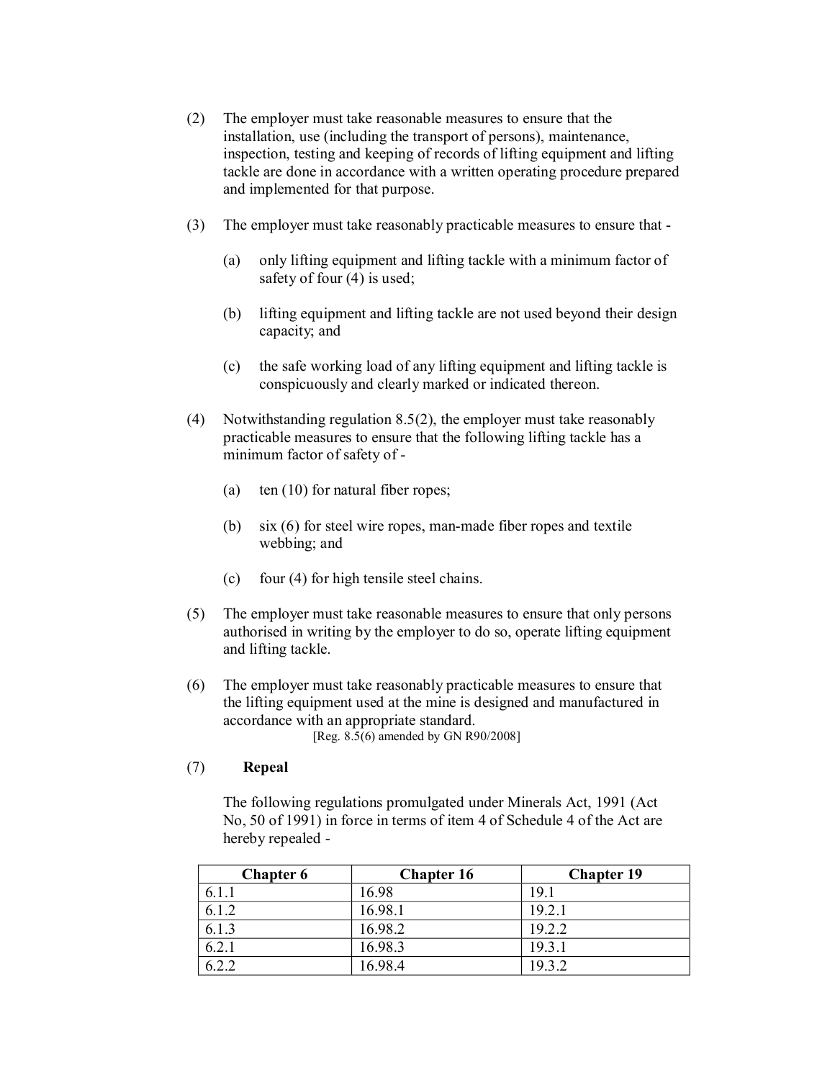- (2) The employer must take reasonable measures to ensure that the installation, use (including the transport of persons), maintenance, inspection, testing and keeping of records of lifting equipment and lifting tackle are done in accordance with a written operating procedure prepared and implemented for that purpose.
- (3) The employer must take reasonably practicable measures to ensure that
	- (a) only lifting equipment and lifting tackle with a minimum factor of safety of four (4) is used;
	- (b) lifting equipment and lifting tackle are not used beyond their design capacity; and
	- (c) the safe working load of any lifting equipment and lifting tackle is conspicuously and clearly marked or indicated thereon.
- (4) Notwithstanding regulation 8.5(2), the employer must take reasonably practicable measures to ensure that the following lifting tackle has a minimum factor of safety of
	- (a) ten (10) for natural fiber ropes;
	- (b)  $\sin(6)$  for steel wire ropes, man-made fiber ropes and textile webbing; and
	- (c) four (4) for high tensile steel chains.
- (5) The employer must take reasonable measures to ensure that only persons authorised in writing by the employer to do so, operate lifting equipment and lifting tackle.
- (6) The employer must take reasonably practicable measures to ensure that the lifting equipment used at the mine is designed and manufactured in accordance with an appropriate standard. [Reg. 8.5(6) amended by GN R90/2008]

## (7) **Repeal**

The following regulations promulgated under Minerals Act, 1991 (Act No, 50 of 1991) in force in terms of item 4 of Schedule 4 of the Act are hereby repealed

| <b>Chapter 6</b> | <b>Chapter 16</b> | <b>Chapter 19</b> |
|------------------|-------------------|-------------------|
|                  | 16.98             | 19.1              |
| 6.1.2            | 16.98.1           | 19.2.1            |
| 6.1.3            | 16.98.2           | 19.2.2            |
| 6.2.1            | 16.98.3           | 19.3.1            |
|                  | 16 98 4           | 19.3.2            |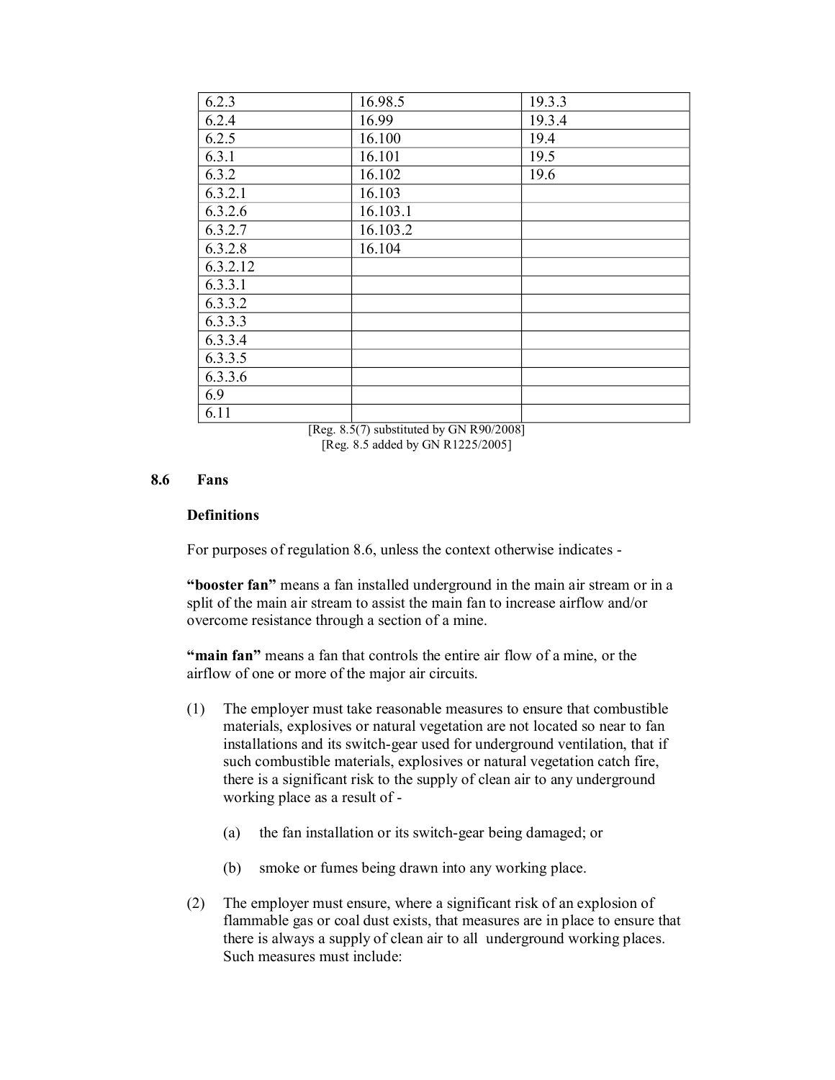| 6.2.3    | 16.98.5  | 19.3.3 |
|----------|----------|--------|
| 6.2.4    | 16.99    | 19.3.4 |
| 6.2.5    | 16.100   | 19.4   |
| 6.3.1    | 16.101   | 19.5   |
| 6.3.2    | 16.102   | 19.6   |
| 6.3.2.1  | 16.103   |        |
| 6.3.2.6  | 16.103.1 |        |
| 6.3.2.7  | 16.103.2 |        |
| 6.3.2.8  | 16.104   |        |
| 6.3.2.12 |          |        |
| 6.3.3.1  |          |        |
| 6.3.3.2  |          |        |
| 6.3.3.3  |          |        |
| 6.3.3.4  |          |        |
| 6.3.3.5  |          |        |
| 6.3.3.6  |          |        |
| 6.9      |          |        |
| 6.11     |          |        |

[Reg. 8.5(7) substituted by GN R90/2008] [Reg. 8.5 added by GN R1225/2005]

#### **8.6 Fans**

#### **Definitions**

For purposes of regulation 8.6, unless the context otherwise indicates

**"booster fan"** means a fan installed underground in the main air stream or in a split of the main air stream to assist the main fan to increase airflow and/or overcome resistance through a section of a mine.

**"main fan"** means a fan that controls the entire air flow of a mine, or the airflow of one or more of the major air circuits.

- (1) The employer must take reasonable measures to ensure that combustible materials, explosives or natural vegetation are not located so near to fan installations and its switch-gear used for underground ventilation, that if such combustible materials, explosives or natural vegetation catch fire, there is a significant risk to the supply of clean air to any underground working place as a result of
	- (a) the fan installation or its switch-gear being damaged; or
	- (b) smoke or fumes being drawn into any working place.
- (2) The employer must ensure, where a significant risk of an explosion of flammable gas or coal dust exists, that measures are in place to ensure that there is always a supply of clean air to all underground working places. Such measures must include: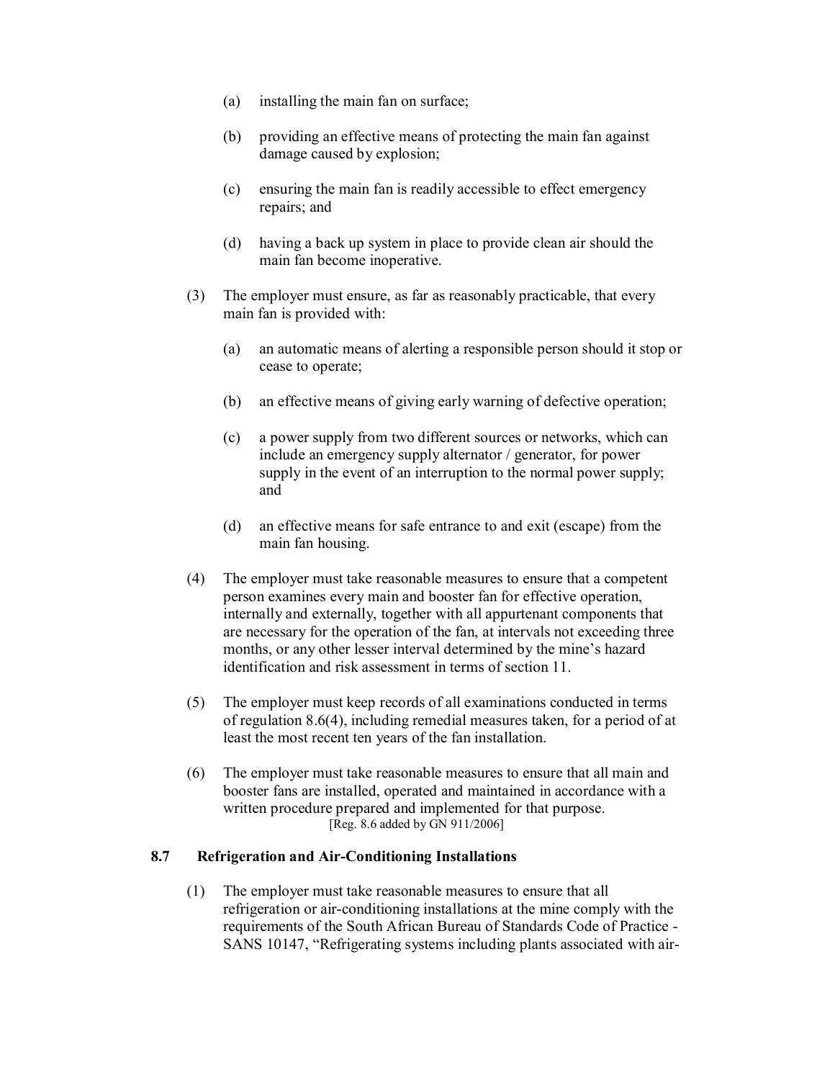- (a) installing the main fan on surface;
- (b) providing an effective means of protecting the main fan against damage caused by explosion;
- (c) ensuring the main fan is readily accessible to effect emergency repairs; and
- (d) having a back up system in place to provide clean air should the main fan become inoperative.
- (3) The employer must ensure, as far as reasonably practicable, that every main fan is provided with:
	- (a) an automatic means of alerting a responsible person should it stop or cease to operate;
	- (b) an effective means of giving early warning of defective operation;
	- (c) a power supply from two different sources or networks, which can include an emergency supply alternator / generator, for power supply in the event of an interruption to the normal power supply; and
	- (d) an effective means for safe entrance to and exit (escape) from the main fan housing.
- (4) The employer must take reasonable measures to ensure that a competent person examines every main and booster fan for effective operation, internally and externally, together with all appurtenant components that are necessary for the operation of the fan, at intervals not exceeding three months, or any other lesser interval determined by the mine's hazard identification and risk assessment in terms of section 11.
- (5) The employer must keep records of all examinations conducted in terms of regulation 8.6(4), including remedial measures taken, for a period of at least the most recent ten years of the fan installation.
- (6) The employer must take reasonable measures to ensure that all main and booster fans are installed, operated and maintained in accordance with a written procedure prepared and implemented for that purpose. [Reg. 8.6 added by GN 911/2006]

#### **8.7 Refrigeration and AirConditioning Installations**

(1) The employer must take reasonable measures to ensure that all refrigeration or air-conditioning installations at the mine comply with the requirements of the South African Bureau of Standards Code of Practice SANS 10147, "Refrigerating systems including plants associated with air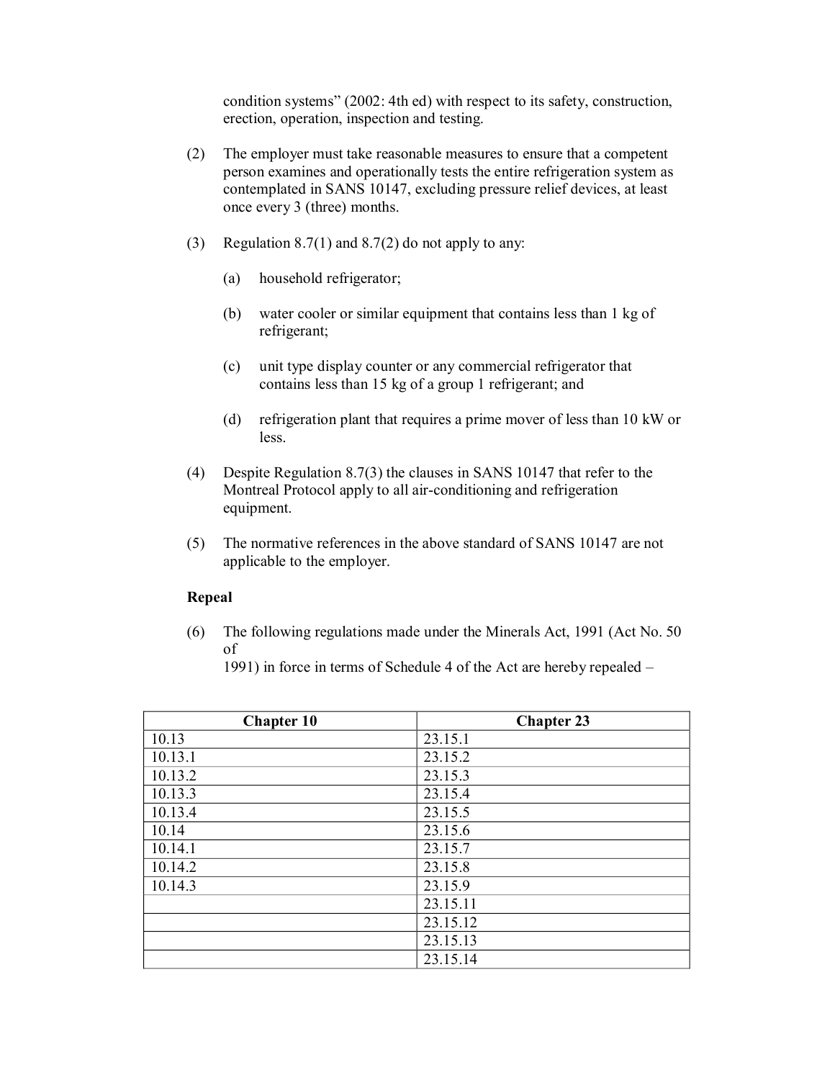condition systems" (2002: 4th ed) with respect to its safety, construction, erection, operation, inspection and testing.

- (2) The employer must take reasonable measures to ensure that a competent person examines and operationally tests the entire refrigeration system as contemplated in SANS 10147, excluding pressure relief devices, at least once every 3 (three) months.
- (3) Regulation 8.7(1) and 8.7(2) do not apply to any:
	- (a) household refrigerator;
	- (b) water cooler or similar equipment that contains less than 1 kg of refrigerant;
	- (c) unit type display counter or any commercial refrigerator that contains less than 15 kg of a group 1 refrigerant; and
	- (d) refrigeration plant that requires a prime mover of less than 10 kW or less.
- (4) Despite Regulation 8.7(3) the clauses in SANS 10147 that refer to the Montreal Protocol apply to all air-conditioning and refrigeration equipment.
- (5) The normative references in the above standard of SANS 10147 are not applicable to the employer.

#### **Repeal**

(6) The following regulations made under the Minerals Act, 1991 (Act No. 50 of

1991) in force in terms of Schedule 4 of the Act are hereby repealed –

| <b>Chapter 10</b> | <b>Chapter 23</b> |
|-------------------|-------------------|
| 10.13             | 23.15.1           |
| 10.13.1           | 23.15.2           |
| 10.13.2           | 23.15.3           |
| 10.13.3           | 23.15.4           |
| 10.13.4           | 23.15.5           |
| 10.14             | 23.15.6           |
| 10.14.1           | 23.15.7           |
| 10.14.2           | 23.15.8           |
| 10.14.3           | 23.15.9           |
|                   | 23.15.11          |
|                   | 23.15.12          |
|                   | 23.15.13          |
|                   | 23.15.14          |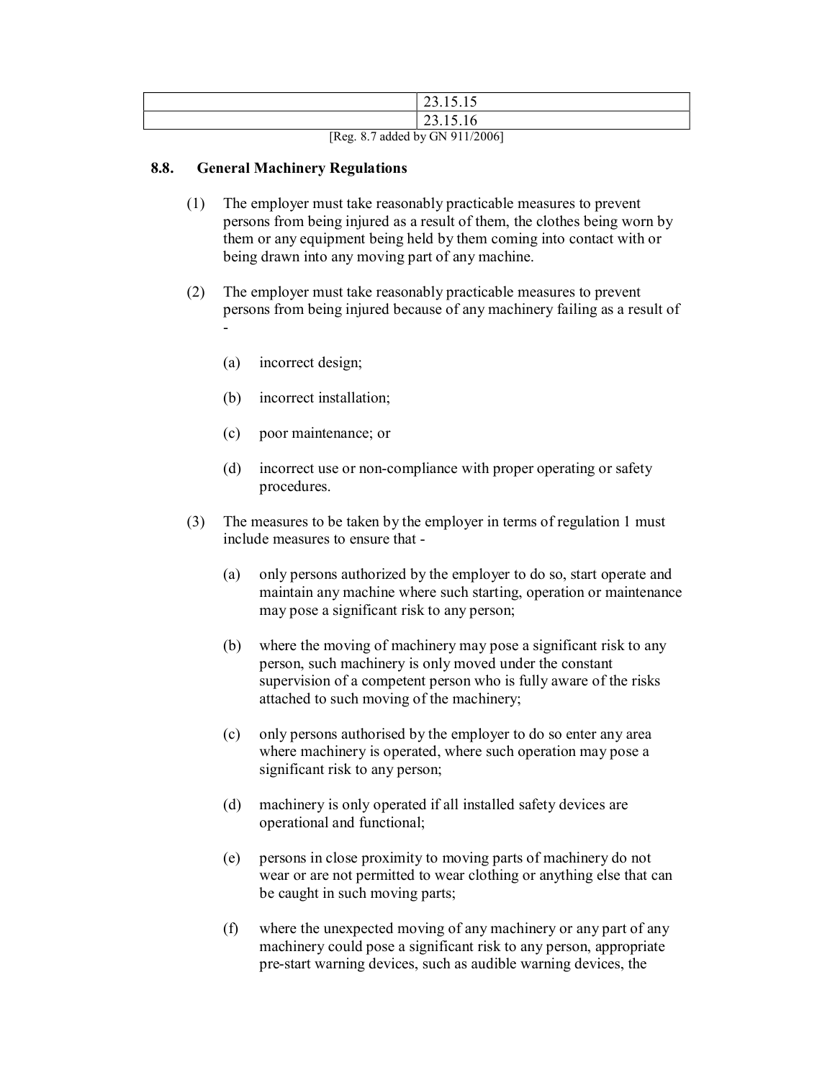|                                                                                                                   | $\mathbf{A}$<br>23.13.13 |
|-------------------------------------------------------------------------------------------------------------------|--------------------------|
|                                                                                                                   | $\mathbf{A}$<br>23.13.10 |
| $ID_{\alpha\alpha}$ , $Q$ , $T_{\alpha}d\partial_{\alpha}d$ , $I_{\alpha\alpha}$ $CN$ , $Q$ $I$ , $Q$ $Q$ $Q$ $I$ |                          |

[Reg. 8.7 added by GN 911/2006]

### **8.8. General Machinery Regulations**

- (1) The employer must take reasonably practicable measures to prevent persons from being injured as a result of them, the clothes being worn by them or any equipment being held by them coming into contact with or being drawn into any moving part of any machine.
- (2) The employer must take reasonably practicable measures to prevent persons from being injured because of any machinery failing as a result of  $\blacksquare$ 
	- (a) incorrect design;
	- (b) incorrect installation;
	- (c) poor maintenance; or
	- (d) incorrect use or non-compliance with proper operating or safety procedures.
- (3) The measures to be taken by the employer in terms of regulation 1 must include measures to ensure that
	- (a) only persons authorized by the employer to do so, start operate and maintain any machine where such starting, operation or maintenance may pose a significant risk to any person;
	- (b) where the moving of machinery may pose a significant risk to any person, such machinery is only moved under the constant supervision of a competent person who is fully aware of the risks attached to such moving of the machinery;
	- (c) only persons authorised by the employer to do so enter any area where machinery is operated, where such operation may pose a significant risk to any person;
	- (d) machinery is only operated if all installed safety devices are operational and functional;
	- (e) persons in close proximity to moving parts of machinery do not wear or are not permitted to wear clothing or anything else that can be caught in such moving parts;
	- (f) where the unexpected moving of any machinery or any part of any machinery could pose a significant risk to any person, appropriate prestart warning devices, such as audible warning devices, the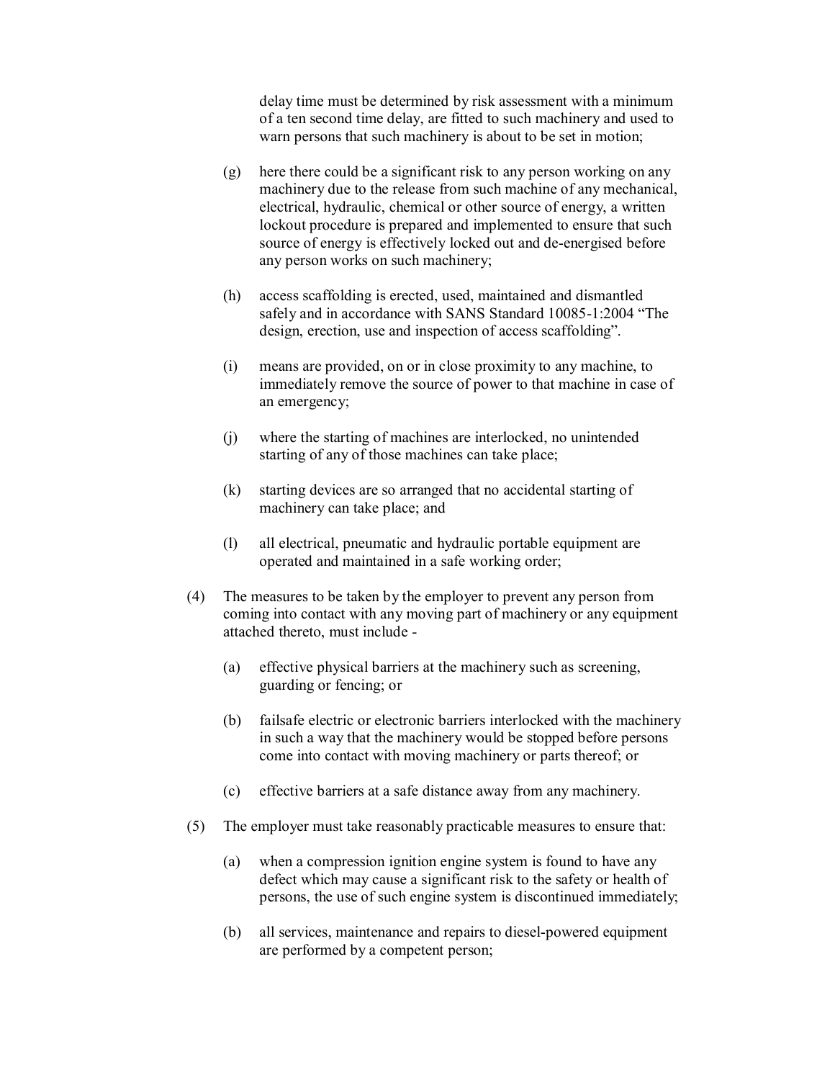delay time must be determined by risk assessment with a minimum of a ten second time delay, are fitted to such machinery and used to warn persons that such machinery is about to be set in motion;

- (g) here there could be a significant risk to any person working on any machinery due to the release from such machine of any mechanical, electrical, hydraulic, chemical or other source of energy, a written lockout procedure is prepared and implemented to ensure that such source of energy is effectively locked out and de-energised before any person works on such machinery;
- (h) access scaffolding is erected, used, maintained and dismantled safely and in accordance with SANS Standard 10085-1:2004 "The design, erection, use and inspection of access scaffolding".
- (i) means are provided, on or in close proximity to any machine, to immediately remove the source of power to that machine in case of an emergency;
- (j) where the starting of machines are interlocked, no unintended starting of any of those machines can take place;
- (k) starting devices are so arranged that no accidental starting of machinery can take place; and
- (l) all electrical, pneumatic and hydraulic portable equipment are operated and maintained in a safe working order;
- (4) The measures to be taken by the employer to prevent any person from coming into contact with any moving part of machinery or any equipment attached thereto, must include
	- (a) effective physical barriers at the machinery such as screening, guarding or fencing; or
	- (b) failsafe electric or electronic barriers interlocked with the machinery in such a way that the machinery would be stopped before persons come into contact with moving machinery or parts thereof; or
	- (c) effective barriers at a safe distance away from any machinery.
- (5) The employer must take reasonably practicable measures to ensure that:
	- (a) when a compression ignition engine system is found to have any defect which may cause a significant risk to the safety or health of persons, the use of such engine system is discontinued immediately;
	- (b) all services, maintenance and repairs to diesel-powered equipment are performed by a competent person;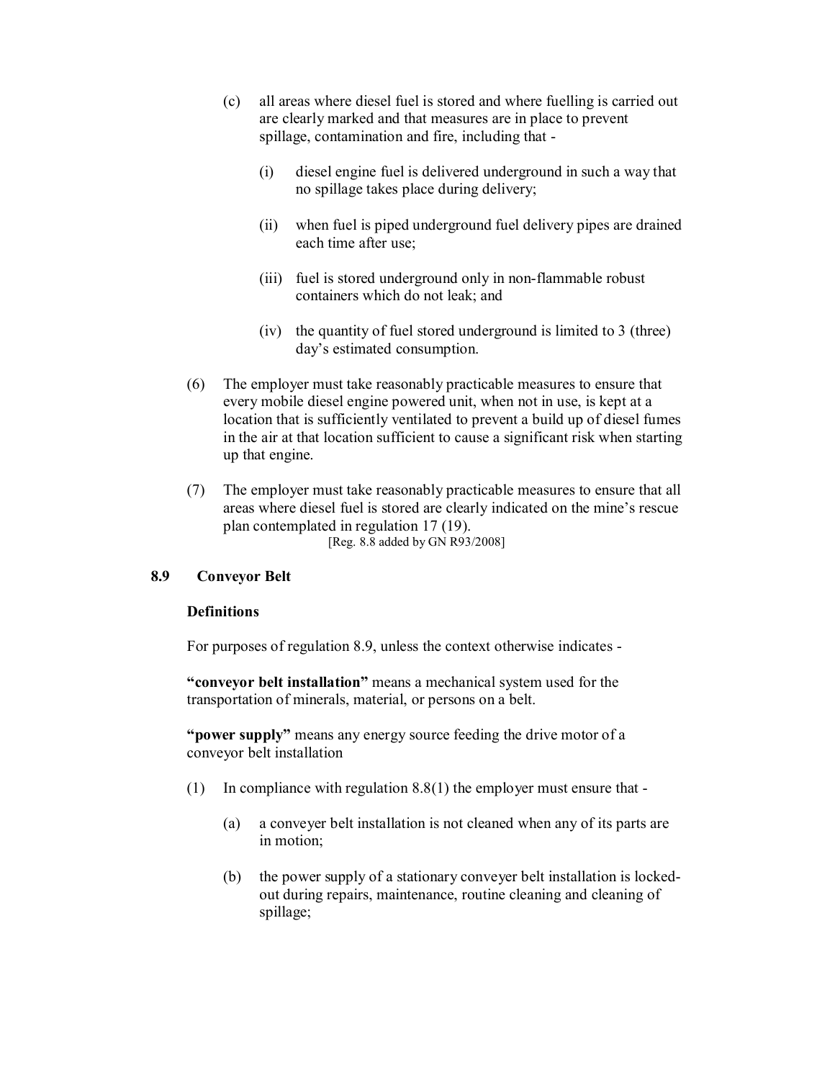- (c) all areas where diesel fuel is stored and where fuelling is carried out are clearly marked and that measures are in place to prevent spillage, contamination and fire, including that
	- (i) diesel engine fuel is delivered underground in such a way that no spillage takes place during delivery;
	- (ii) when fuel is piped underground fuel delivery pipes are drained each time after use;
	- (iii) fuel is stored underground only in non-flammable robust containers which do not leak; and
	- (iv) the quantity of fuel stored underground is limited to 3 (three) day's estimated consumption.
- (6) The employer must take reasonably practicable measures to ensure that every mobile diesel engine powered unit, when not in use, is kept at a location that is sufficiently ventilated to prevent a build up of diesel fumes in the air at that location sufficient to cause a significant risk when starting up that engine.
- (7) The employer must take reasonably practicable measures to ensure that all areas where diesel fuel is stored are clearly indicated on the mine's rescue plan contemplated in regulation 17 (19). [Reg. 8.8 added by GN R93/2008]

#### **8.9 Conveyor Belt**

#### **Definitions**

For purposes of regulation 8.9, unless the context otherwise indicates

**"conveyor belt installation"** means a mechanical system used for the transportation of minerals, material, or persons on a belt.

**"power supply"** means any energy source feeding the drive motor of a conveyor belt installation

- (1) In compliance with regulation  $8.8(1)$  the employer must ensure that -
	- (a) a conveyer belt installation is not cleaned when any of its parts are in motion;
	- (b) the power supply of a stationary conveyer belt installation is locked out during repairs, maintenance, routine cleaning and cleaning of spillage;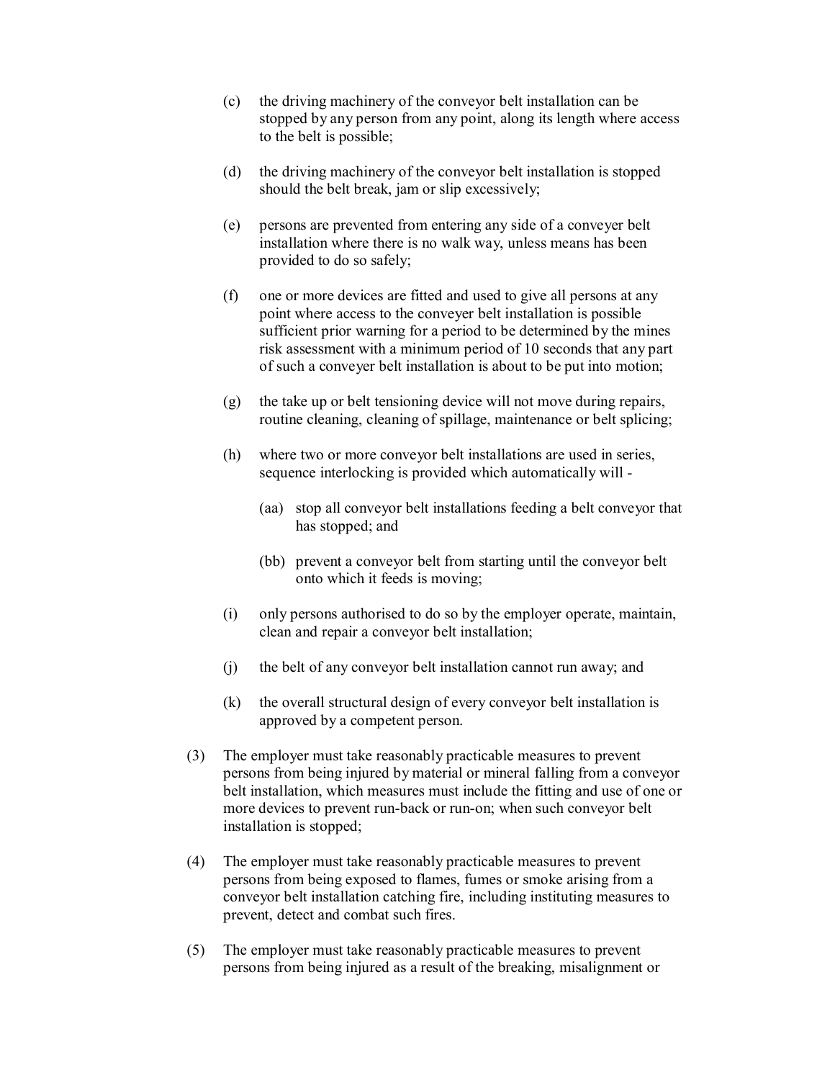- (c) the driving machinery of the conveyor belt installation can be stopped by any person from any point, along its length where access to the belt is possible;
- (d) the driving machinery of the conveyor belt installation is stopped should the belt break, jam or slip excessively;
- (e) persons are prevented from entering any side of a conveyer belt installation where there is no walk way, unless means has been provided to do so safely;
- (f) one or more devices are fitted and used to give all persons at any point where access to the conveyer belt installation is possible sufficient prior warning for a period to be determined by the mines risk assessment with a minimum period of 10 seconds that any part of such a conveyer belt installation is about to be put into motion;
- (g) the take up or belt tensioning device will not move during repairs, routine cleaning, cleaning of spillage, maintenance or belt splicing;
- (h) where two or more conveyor belt installations are used in series, sequence interlocking is provided which automatically will
	- (aa) stop all conveyor belt installations feeding a belt conveyor that has stopped; and
	- (bb) prevent a conveyor belt from starting until the conveyor belt onto which it feeds is moving;
- (i) only persons authorised to do so by the employer operate, maintain, clean and repair a conveyor belt installation;
- (j) the belt of any conveyor belt installation cannot run away; and
- (k) the overall structural design of every conveyor belt installation is approved by a competent person.
- (3) The employer must take reasonably practicable measures to prevent persons from being injured by material or mineral falling from a conveyor belt installation, which measures must include the fitting and use of one or more devices to prevent run-back or run-on; when such conveyor belt installation is stopped;
- (4) The employer must take reasonably practicable measures to prevent persons from being exposed to flames, fumes or smoke arising from a conveyor belt installation catching fire, including instituting measures to prevent, detect and combat such fires.
- (5) The employer must take reasonably practicable measures to prevent persons from being injured as a result of the breaking, misalignment or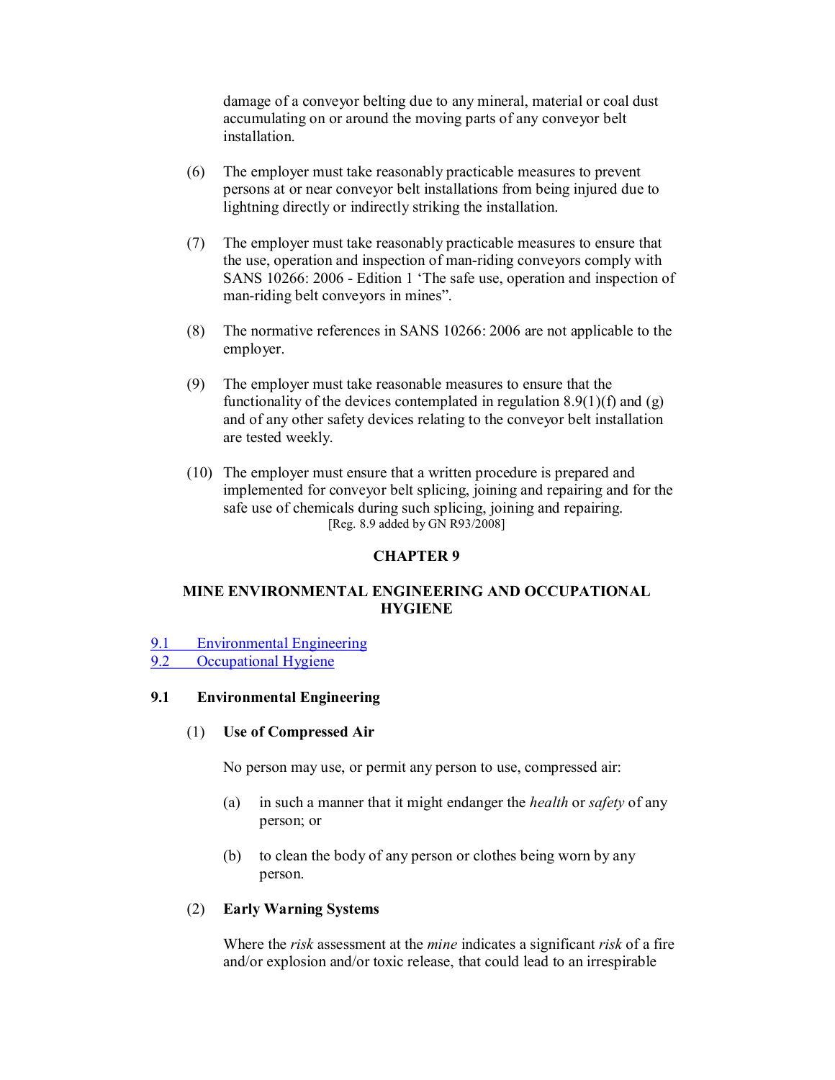damage of a conveyor belting due to any mineral, material or coal dust accumulating on or around the moving parts of any conveyor belt installation.

- (6) The employer must take reasonably practicable measures to prevent persons at or near conveyor belt installations from being injured due to lightning directly or indirectly striking the installation.
- (7) The employer must take reasonably practicable measures to ensure that the use, operation and inspection of manriding conveyors comply with SANS 10266: 2006 Edition 1 'The safe use, operation and inspection of man-riding belt conveyors in mines".
- (8) The normative references in SANS 10266: 2006 are not applicable to the employer.
- (9) The employer must take reasonable measures to ensure that the functionality of the devices contemplated in regulation  $8.9(1)(f)$  and  $(g)$ and of any other safety devices relating to the conveyor belt installation are tested weekly.
- (10) The employer must ensure that a written procedure is prepared and implemented for conveyor belt splicing, joining and repairing and for the safe use of chemicals during such splicing, joining and repairing. [Reg. 8.9 added by GN R93/2008]

#### **CHAPTER 9**

### **MINE ENVIRONMENTAL ENGINEERING AND OCCUPATIONAL HYGIENE**

- 9.1 Environmental Engineering
- 9.2 Occupational Hygiene

## **9.1 Environmental Engineering**

#### (1) **Use of Compressed Air**

No person may use, or permit any person to use, compressed air:

- (a) in such a manner that it might endanger the *health* or *safety* of any person; or
- (b) to clean the body of any person or clothes being worn by any person.

#### (2) **Early Warning Systems**

Where the *risk* assessment at the *mine* indicates a significant *risk* of a fire and/or explosion and/or toxic release, that could lead to an irrespirable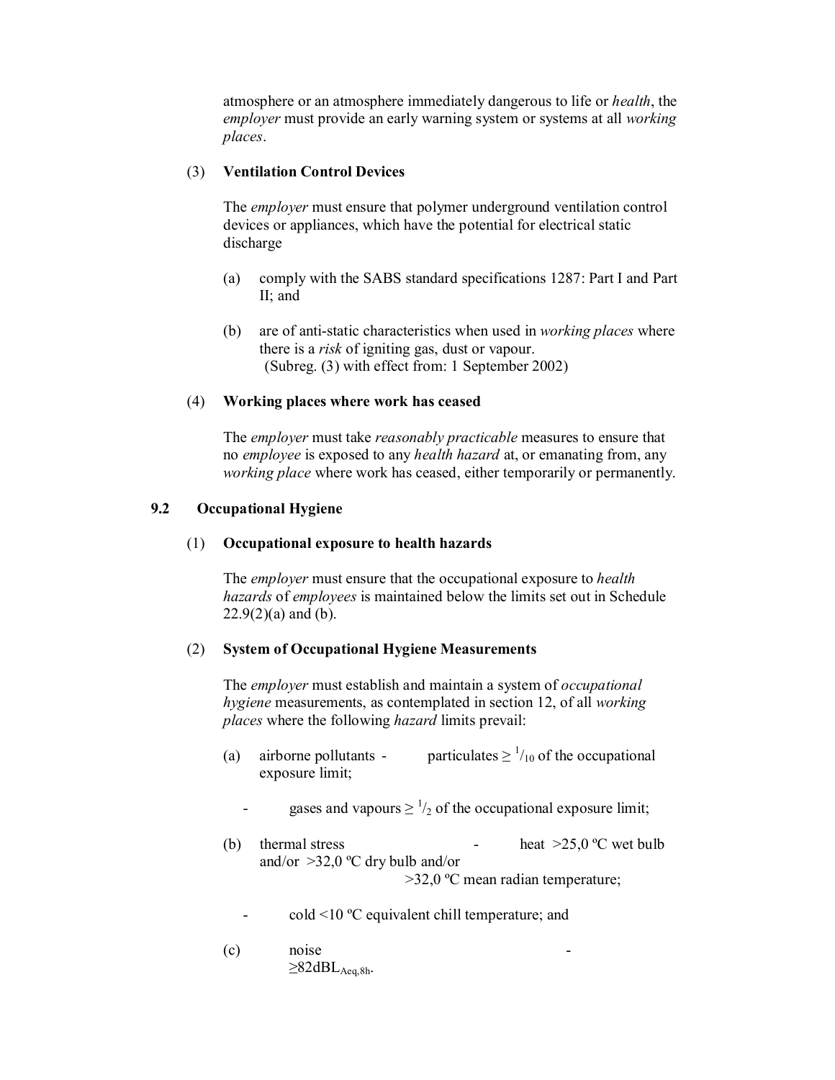atmosphere or an atmosphere immediately dangerous to life or *health*, the *employer* must provide an early warning system or systems at all *working places*.

#### (3) **Ventilation Control Devices**

The *employer* must ensure that polymer underground ventilation control devices or appliances, which have the potential for electrical static discharge

- (a) comply with the SABS standard specifications 1287: Part I and Part II; and
- (b) are of anti-static characteristics when used in *working places* where there is a *risk* of igniting gas, dust or vapour. (Subreg. (3) with effect from: 1 September 2002)

#### (4) **Working places where work has ceased**

The *employer* must take *reasonably practicable* measures to ensure that no *employee* is exposed to any *health hazard* at, or emanating from, any *working place* where work has ceased, either temporarily or permanently.

#### **9.2 Occupational Hygiene**

#### (1) **Occupational exposure to health hazards**

The *employer* must ensure that the occupational exposure to *health hazards* of *employees* is maintained below the limits set out in Schedule  $22.9(2)(a)$  and (b).

#### (2) **System of Occupational Hygiene Measurements**

The *employer* must establish and maintain a system of *occupational hygiene* measurements, as contemplated in section 12, of all *working places* where the following *hazard* limits prevail:

- (a) airborne pollutants particulates  $\geq \frac{1}{10}$  of the occupational exposure limit;
	- gases and vapours  $\geq \frac{1}{2}$  of the occupational exposure limit;
- (b) thermal stress heat  $>25.0$  °C wet bulb and/or >32,0 ºC dry bulb and/or >32,0 ºC mean radian temperature;
	- cold <10 ºC equivalent chill temperature; and
- (c) noise  $\geq$ 82dBL<sub>Aeq,8h</sub>.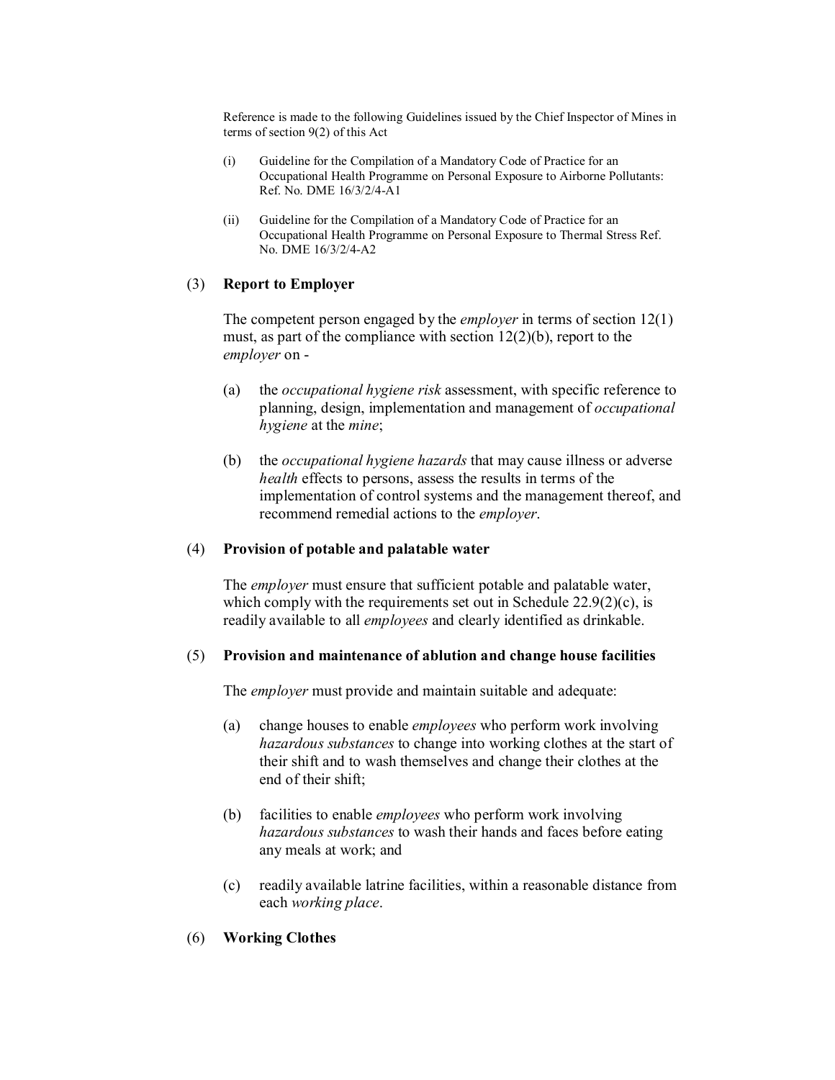Reference is made to the following Guidelines issued by the Chief Inspector of Mines in terms of section 9(2) of this Act

- (i) Guideline for the Compilation of a Mandatory Code of Practice for an Occupational Health Programme on Personal Exposure to Airborne Pollutants: Ref. No. DME  $16/3/2/4$ -A1
- (ii) Guideline for the Compilation of a Mandatory Code of Practice for an Occupational Health Programme on Personal Exposure to Thermal Stress Ref. No. DME  $16/3/2/4$ -A2

#### (3) **Report to Employer**

The competent person engaged by the *employer* in terms of section 12(1) must, as part of the compliance with section 12(2)(b), report to the *employer* on

- (a) the *occupational hygiene risk* assessment, with specific reference to planning, design, implementation and management of *occupational hygiene* at the *mine*;
- (b) the *occupational hygiene hazards* that may cause illness or adverse *health* effects to persons, assess the results in terms of the implementation of control systems and the management thereof, and recommend remedial actions to the *employer*.

#### (4) **Provision of potable and palatable water**

The *employer* must ensure that sufficient potable and palatable water, which comply with the requirements set out in Schedule  $22.9(2)(c)$ , is readily available to all *employees* and clearly identified as drinkable.

#### (5) **Provision and maintenance of ablution and change house facilities**

The *employer* must provide and maintain suitable and adequate:

- (a) change houses to enable *employees* who perform work involving *hazardous substances* to change into working clothes at the start of their shift and to wash themselves and change their clothes at the end of their shift;
- (b) facilities to enable *employees* who perform work involving *hazardous substances* to wash their hands and faces before eating any meals at work; and
- (c) readily available latrine facilities, within a reasonable distance from each *working place*.

### (6) **Working Clothes**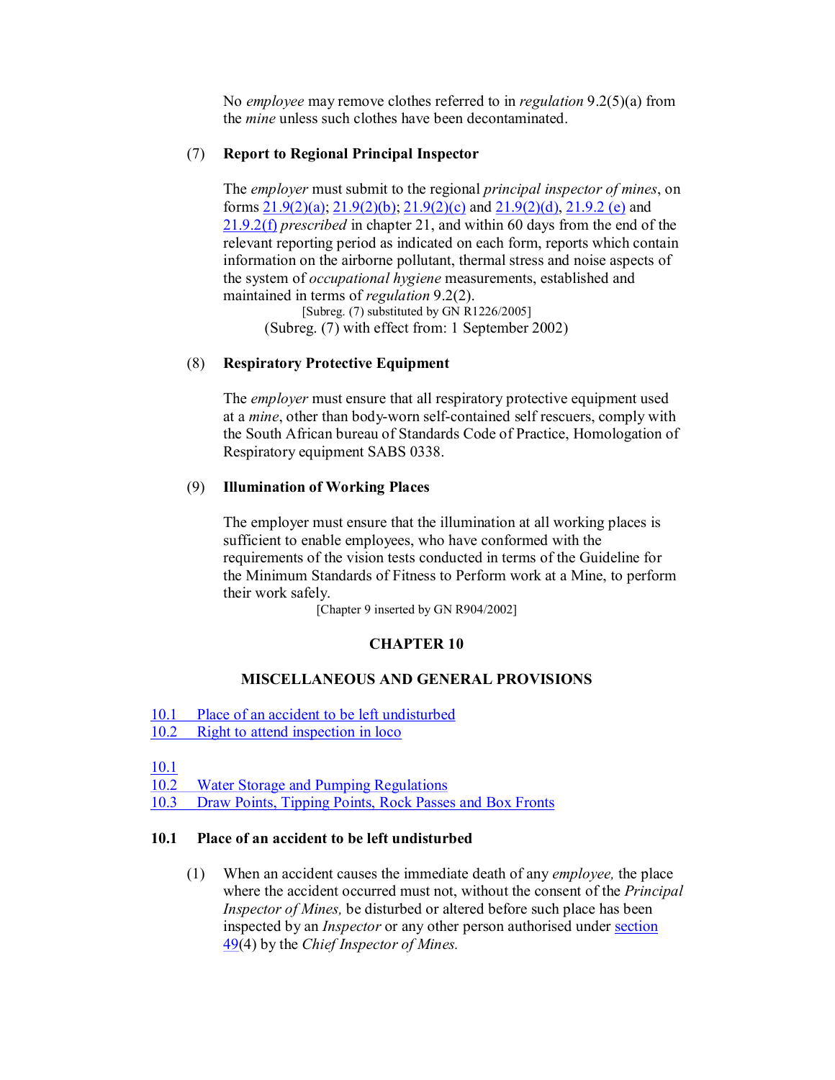No *employee* may remove clothes referred to in *regulation* 9.2(5)(a) from the *mine* unless such clothes have been decontaminated.

#### (7) **Report to Regional Principal Inspector**

The *employer* must submit to the regional *principal inspector of mines*, on forms  $21.9(2)(a)$ ;  $21.9(2)(b)$ ;  $21.9(2)(c)$  and  $21.9(2)(d)$ ,  $21.9.2$  (e) and 21.9.2(f) *prescribed* in chapter 21, and within 60 days from the end of the relevant reporting period as indicated on each form, reports which contain information on the airborne pollutant, thermal stress and noise aspects of the system of *occupational hygiene* measurements, established and maintained in terms of *regulation* 9.2(2).

[Subreg. (7) substituted by GN R1226/2005] (Subreg. (7) with effect from: 1 September 2002)

### (8) **Respiratory Protective Equipment**

The *employer* must ensure that all respiratory protective equipment used at a *mine*, other than body-worn self-contained self rescuers, comply with the South African bureau of Standards Code of Practice, Homologation of Respiratory equipment SABS 0338.

### (9) **Illumination of Working Places**

The employer must ensure that the illumination at all working places is sufficient to enable employees, who have conformed with the requirements of the vision tests conducted in terms of the Guideline for the Minimum Standards of Fitness to Perform work at a Mine, to perform their work safely.

[Chapter 9 inserted by GN R904/2002]

## **CHAPTER 10**

### **MISCELLANEOUS AND GENERAL PROVISIONS**

- 10.1 Place of an accident to be left undisturbed
- 10.2 Right to attend inspection in loco

10.1

10.2 Water Storage and Pumping Regulations

10.3 Draw Points, Tipping Points, Rock Passes and Box Fronts

#### **10.1 Place of an accident to be left undisturbed**

(1) When an accident causes the immediate death of any *employee,* the place where the accident occurred must not, without the consent of the *Principal Inspector of Mines,* be disturbed or altered before such place has been inspected by an *Inspector* or any other person authorised under section 49(4) by the *Chief Inspector of Mines.*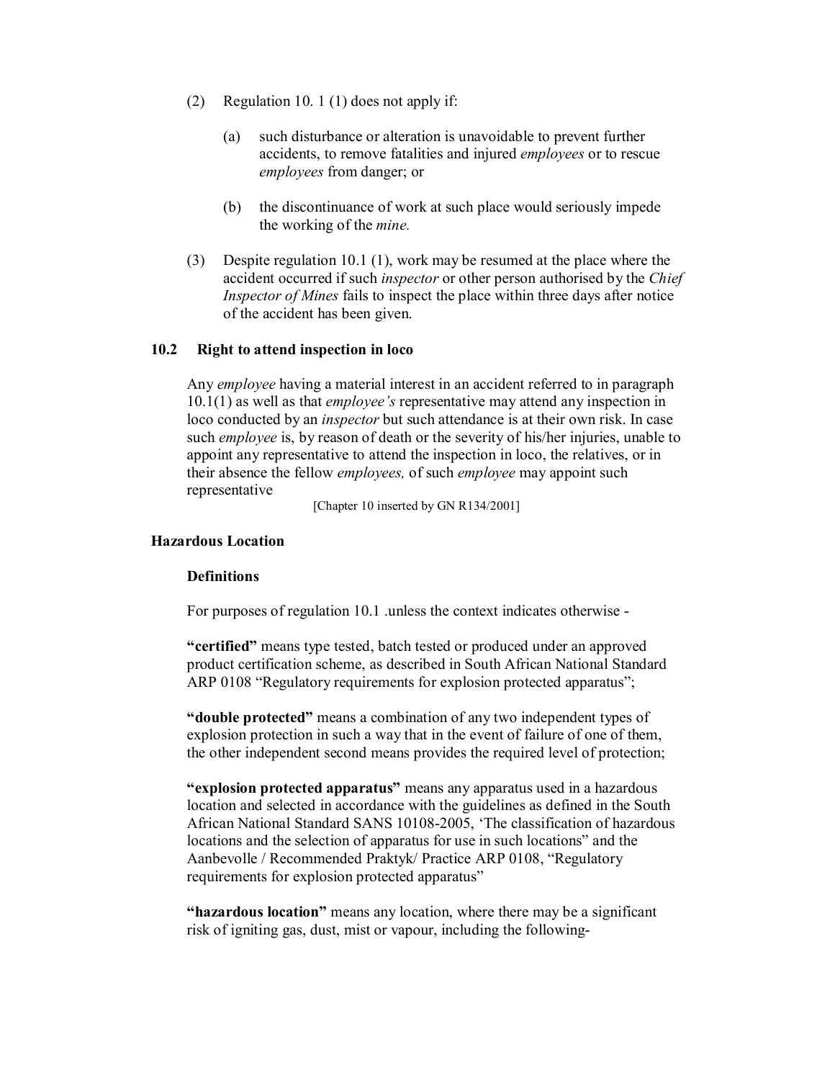- (2) Regulation 10. 1 (1) does not apply if:
	- (a) such disturbance or alteration is unavoidable to prevent further accidents, to remove fatalities and injured *employees* or to rescue *employees* from danger; or
	- (b) the discontinuance of work at such place would seriously impede the working of the *mine.*
- (3) Despite regulation 10.1 (1), work may be resumed at the place where the accident occurred if such *inspector* or other person authorised by the *Chief Inspector of Mines* fails to inspect the place within three days after notice of the accident has been given.

#### **10.2 Right to attend inspection in loco**

Any *employee* having a material interest in an accident referred to in paragraph 10.1(1) as well as that *employee's* representative may attend any inspection in loco conducted by an *inspector* but such attendance is at their own risk. In case such *employee* is, by reason of death or the severity of his/her injuries, unable to appoint any representative to attend the inspection in loco, the relatives, or in their absence the fellow *employees,* of such *employee* may appoint such representative

[Chapter 10 inserted by GN R134/2001]

#### **Hazardous Location**

#### **Definitions**

For purposes of regulation 10.1 .unless the context indicates otherwise

**"certified"** means type tested, batch tested or produced under an approved product certification scheme, as described in South African National Standard ARP 0108 "Regulatory requirements for explosion protected apparatus";

**"double protected"** means a combination of any two independent types of explosion protection in such a way that in the event of failure of one of them, the other independent second means provides the required level of protection;

**"explosion protected apparatus"** means any apparatus used in a hazardous location and selected in accordance with the guidelines as defined in the South African National Standard SANS 10108-2005, 'The classification of hazardous locations and the selection of apparatus for use in such locations" and the Aanbevolle / Recommended Praktyk/ Practice ARP 0108, "Regulatory requirements for explosion protected apparatus"

**"hazardous location"** means any location, where there may be a significant risk of igniting gas, dust, mist or vapour, including the following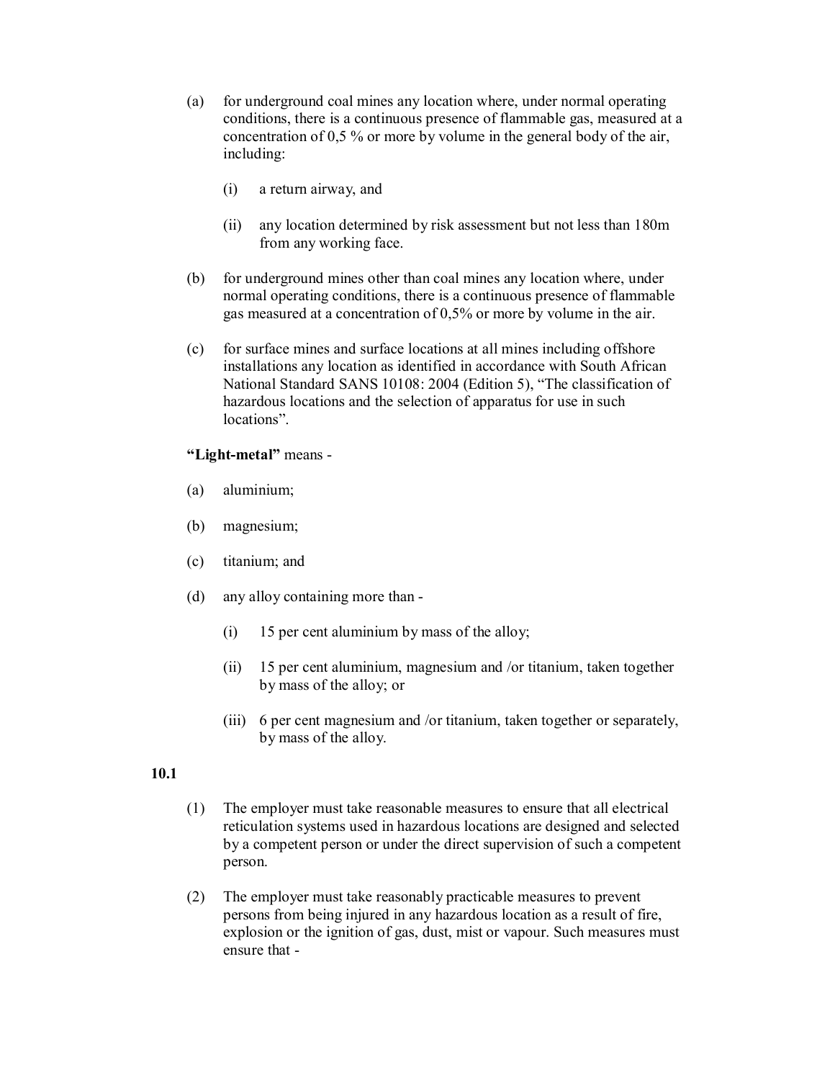- (a) for underground coal mines any location where, under normal operating conditions, there is a continuous presence of flammable gas, measured at a concentration of 0,5 % or more by volume in the general body of the air, including:
	- (i) a return airway, and
	- (ii) any location determined by risk assessment but not less than 180m from any working face.
- (b) for underground mines other than coal mines any location where, under normal operating conditions, there is a continuous presence of flammable gas measured at a concentration of 0,5% or more by volume in the air.
- (c) for surface mines and surface locations at all mines including offshore installations any location as identified in accordance with South African National Standard SANS 10108: 2004 (Edition 5), "The classification of hazardous locations and the selection of apparatus for use in such locations".

#### "Light-metal" means -

- (a) aluminium;
- (b) magnesium;
- (c) titanium; and
- (d) any alloy containing more than
	- (i) 15 per cent aluminium by mass of the alloy;
	- (ii) 15 per cent aluminium, magnesium and /or titanium, taken together by mass of the alloy; or
	- (iii) 6 per cent magnesium and /or titanium, taken together or separately, by mass of the alloy.

#### **10.1**

- (1) The employer must take reasonable measures to ensure that all electrical reticulation systems used in hazardous locations are designed and selected by a competent person or under the direct supervision of such a competent person.
- (2) The employer must take reasonably practicable measures to prevent persons from being injured in any hazardous location as a result of fire, explosion or the ignition of gas, dust, mist or vapour. Such measures must ensure that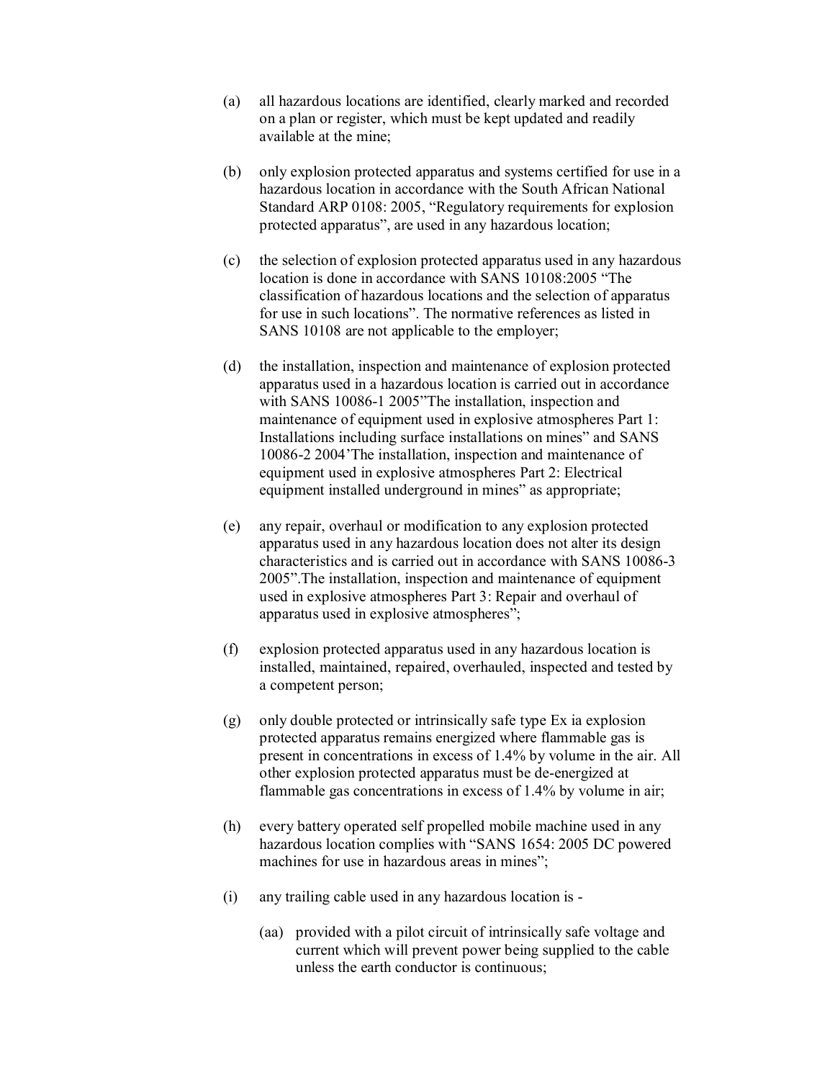- (a) all hazardous locations are identified, clearly marked and recorded on a plan or register, which must be kept updated and readily available at the mine;
- (b) only explosion protected apparatus and systems certified for use in a hazardous location in accordance with the South African National Standard ARP 0108: 2005, "Regulatory requirements for explosion protected apparatus", are used in any hazardous location;
- (c) the selection of explosion protected apparatus used in any hazardous location is done in accordance with SANS 10108:2005 "The classification of hazardous locations and the selection of apparatus for use in such locations". The normative references as listed in SANS 10108 are not applicable to the employer;
- (d) the installation, inspection and maintenance of explosion protected apparatus used in a hazardous location is carried out in accordance with SANS 10086-1 2005"The installation, inspection and maintenance of equipment used in explosive atmospheres Part 1: Installations including surface installations on mines" and SANS 100862 2004'The installation, inspection and maintenance of equipment used in explosive atmospheres Part 2: Electrical equipment installed underground in mines" as appropriate;
- (e) any repair, overhaul or modification to any explosion protected apparatus used in any hazardous location does not alter its design characteristics and is carried out in accordance with SANS 10086-3 2005".The installation, inspection and maintenance of equipment used in explosive atmospheres Part 3: Repair and overhaul of apparatus used in explosive atmospheres";
- (f) explosion protected apparatus used in any hazardous location is installed, maintained, repaired, overhauled, inspected and tested by a competent person;
- (g) only double protected or intrinsically safe type Ex ia explosion protected apparatus remains energized where flammable gas is present in concentrations in excess of 1.4% by volume in the air. All other explosion protected apparatus must be de-energized at flammable gas concentrations in excess of 1.4% by volume in air;
- (h) every battery operated self propelled mobile machine used in any hazardous location complies with "SANS 1654: 2005 DC powered machines for use in hazardous areas in mines";
- (i) any trailing cable used in any hazardous location is
	- (aa) provided with a pilot circuit of intrinsically safe voltage and current which will prevent power being supplied to the cable unless the earth conductor is continuous;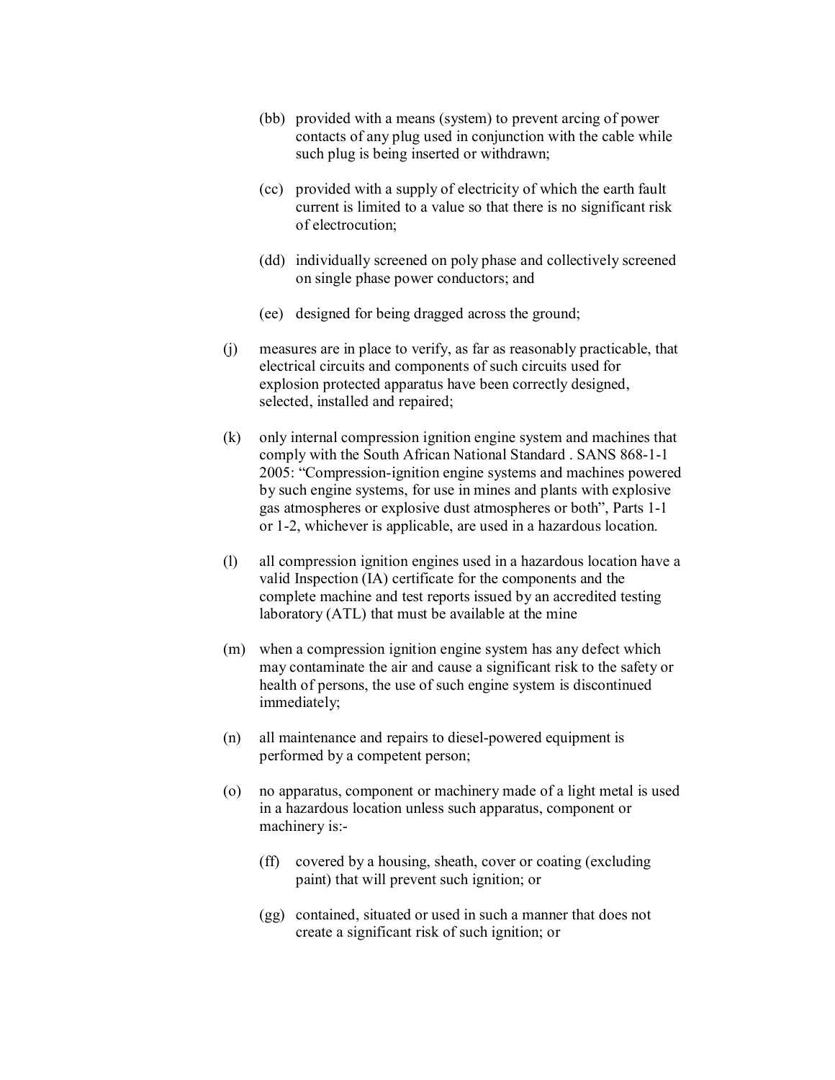- (bb) provided with a means (system) to prevent arcing of power contacts of any plug used in conjunction with the cable while such plug is being inserted or withdrawn;
- (cc) provided with a supply of electricity of which the earth fault current is limited to a value so that there is no significant risk of electrocution;
- (dd) individually screened on poly phase and collectively screened on single phase power conductors; and
- (ee) designed for being dragged across the ground;
- (j) measures are in place to verify, as far as reasonably practicable, that electrical circuits and components of such circuits used for explosion protected apparatus have been correctly designed, selected, installed and repaired;
- (k) only internal compression ignition engine system and machines that comply with the South African National Standard . SANS 868-1-1 2005: "Compression-ignition engine systems and machines powered by such engine systems, for use in mines and plants with explosive gas atmospheres or explosive dust atmospheres or both", Parts 11 or 12, whichever is applicable, are used in a hazardous location.
- (l) all compression ignition engines used in a hazardous location have a valid Inspection (IA) certificate for the components and the complete machine and test reports issued by an accredited testing laboratory (ATL) that must be available at the mine
- (m) when a compression ignition engine system has any defect which may contaminate the air and cause a significant risk to the safety or health of persons, the use of such engine system is discontinued immediately;
- $(n)$  all maintenance and repairs to diesel-powered equipment is performed by a competent person;
- (o) no apparatus, component or machinery made of a light metal is used in a hazardous location unless such apparatus, component or machinery is:-
	- (ff) covered by a housing, sheath, cover or coating (excluding paint) that will prevent such ignition; or
	- (gg) contained, situated or used in such a manner that does not create a significant risk of such ignition; or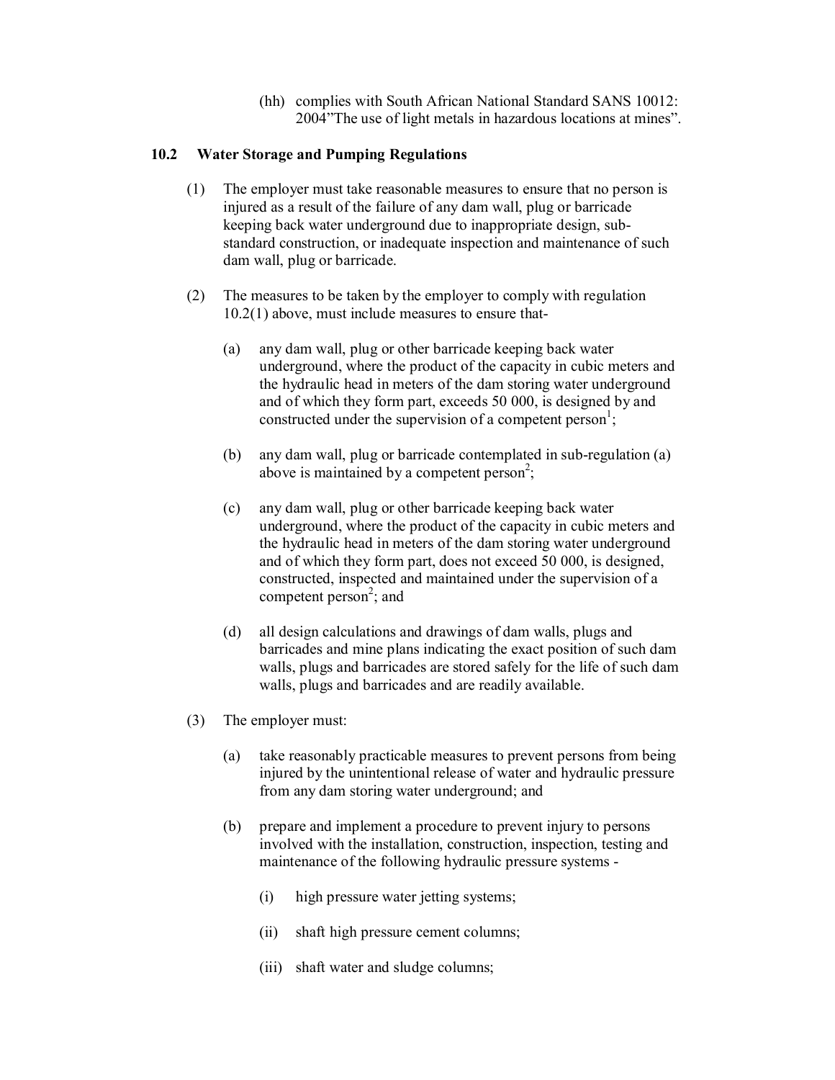(hh) complies with South African National Standard SANS 10012: 2004"The use of light metals in hazardous locations at mines".

### **10.2 Water Storage and Pumping Regulations**

- (1) The employer must take reasonable measures to ensure that no person is injured as a result of the failure of any dam wall, plug or barricade keeping back water underground due to inappropriate design, sub standard construction, or inadequate inspection and maintenance of such dam wall, plug or barricade.
- (2) The measures to be taken by the employer to comply with regulation 10.2(1) above, must include measures to ensure that
	- (a) any dam wall, plug or other barricade keeping back water underground, where the product of the capacity in cubic meters and the hydraulic head in meters of the dam storing water underground and of which they form part, exceeds 50 000, is designed by and constructed under the supervision of a competent person<sup>1</sup>;
	- (b) any dam wall, plug or barricade contemplated in sub-regulation  $(a)$ above is maintained by a competent person<sup>2</sup>;
	- (c) any dam wall, plug or other barricade keeping back water underground, where the product of the capacity in cubic meters and the hydraulic head in meters of the dam storing water underground and of which they form part, does not exceed 50 000, is designed, constructed, inspected and maintained under the supervision of a competent person<sup>2</sup>; and
	- (d) all design calculations and drawings of dam walls, plugs and barricades and mine plans indicating the exact position of such dam walls, plugs and barricades are stored safely for the life of such dam walls, plugs and barricades and are readily available.
- (3) The employer must:
	- (a) take reasonably practicable measures to prevent persons from being injured by the unintentional release of water and hydraulic pressure from any dam storing water underground; and
	- (b) prepare and implement a procedure to prevent injury to persons involved with the installation, construction, inspection, testing and maintenance of the following hydraulic pressure systems -
		- (i) high pressure water jetting systems;
		- (ii) shaft high pressure cement columns;
		- (iii) shaft water and sludge columns;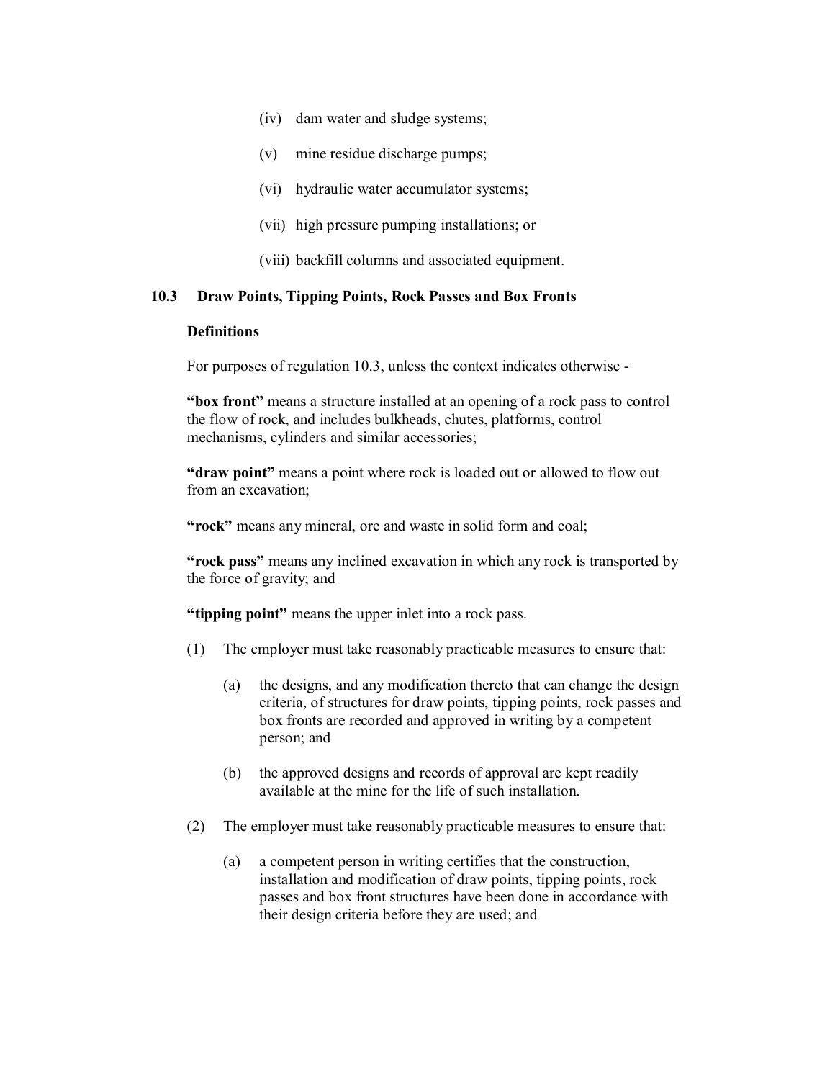- (iv) dam water and sludge systems;
- (v) mine residue discharge pumps;
- (vi) hydraulic water accumulator systems;
- (vii) high pressure pumping installations; or
- (viii) backfill columns and associated equipment.

### **10.3 Draw Points, Tipping Points, Rock Passes and Box Fronts**

### **Definitions**

For purposes of regulation 10.3, unless the context indicates otherwise

**"box front"** means a structure installed at an opening of a rock pass to control the flow of rock, and includes bulkheads, chutes, platforms, control mechanisms, cylinders and similar accessories;

**"draw point"** means a point where rock is loaded out or allowed to flow out from an excavation;

**"rock"** means any mineral, ore and waste in solid form and coal;

**"rock pass"** means any inclined excavation in which any rock is transported by the force of gravity; and

**"tipping point"** means the upper inlet into a rock pass.

- (1) The employer must take reasonably practicable measures to ensure that:
	- (a) the designs, and any modification thereto that can change the design criteria, of structures for draw points, tipping points, rock passes and box fronts are recorded and approved in writing by a competent person; and
	- (b) the approved designs and records of approval are kept readily available at the mine for the life of such installation.
- (2) The employer must take reasonably practicable measures to ensure that:
	- (a) a competent person in writing certifies that the construction, installation and modification of draw points, tipping points, rock passes and box front structures have been done in accordance with their design criteria before they are used; and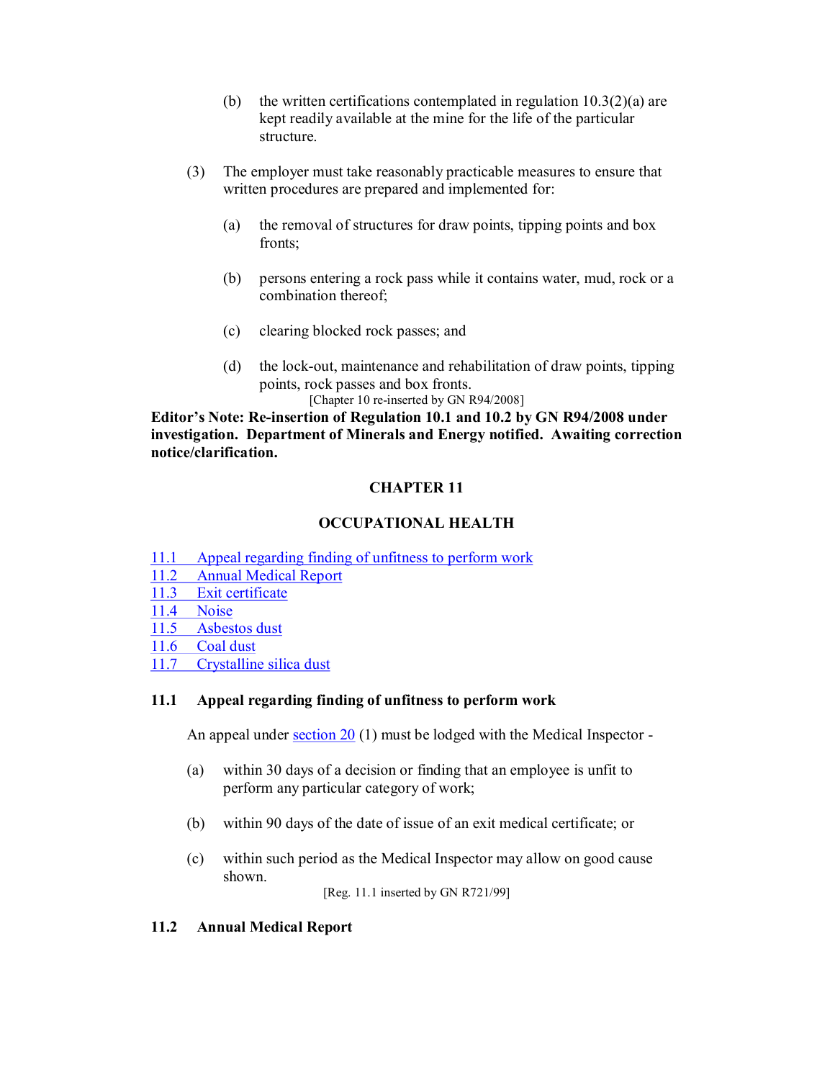- (b) the written certifications contemplated in regulation  $10.3(2)(a)$  are kept readily available at the mine for the life of the particular structure.
- (3) The employer must take reasonably practicable measures to ensure that written procedures are prepared and implemented for:
	- (a) the removal of structures for draw points, tipping points and box fronts;
	- (b) persons entering a rock pass while it contains water, mud, rock or a combination thereof;
	- (c) clearing blocked rock passes; and
	- $(d)$  the lock-out, maintenance and rehabilitation of draw points, tipping points, rock passes and box fronts.

[Chapter 10 re-inserted by GN R94/2008]

**Editor's Note: Reinsertion of Regulation 10.1 and 10.2 by GN R94/2008 under investigation. Department of Minerals and Energy notified. Awaiting correction notice/clarification.** 

# **CHAPTER 11**

# **OCCUPATIONAL HEALTH**

- 11.1 Appeal regarding finding of unfitness to perform work
- 11.2 Annual Medical Report
- 11.3 Exit certificate
- 11.4 Noise
- 11.5 Asbestos dust
- 11.6 Coal dust
- 11.7 Crystalline silica dust

## **11.1 Appeal regarding finding of unfitness to perform work**

An appeal under  $section\ 20$  (1) must be lodged with the Medical Inspector -

- (a) within 30 days of a decision or finding that an employee is unfit to perform any particular category of work;
- (b) within 90 days of the date of issue of an exit medical certificate; or
- (c) within such period as the Medical Inspector may allow on good cause shown.

[Reg. 11.1 inserted by GN R721/99]

# **11.2 Annual Medical Report**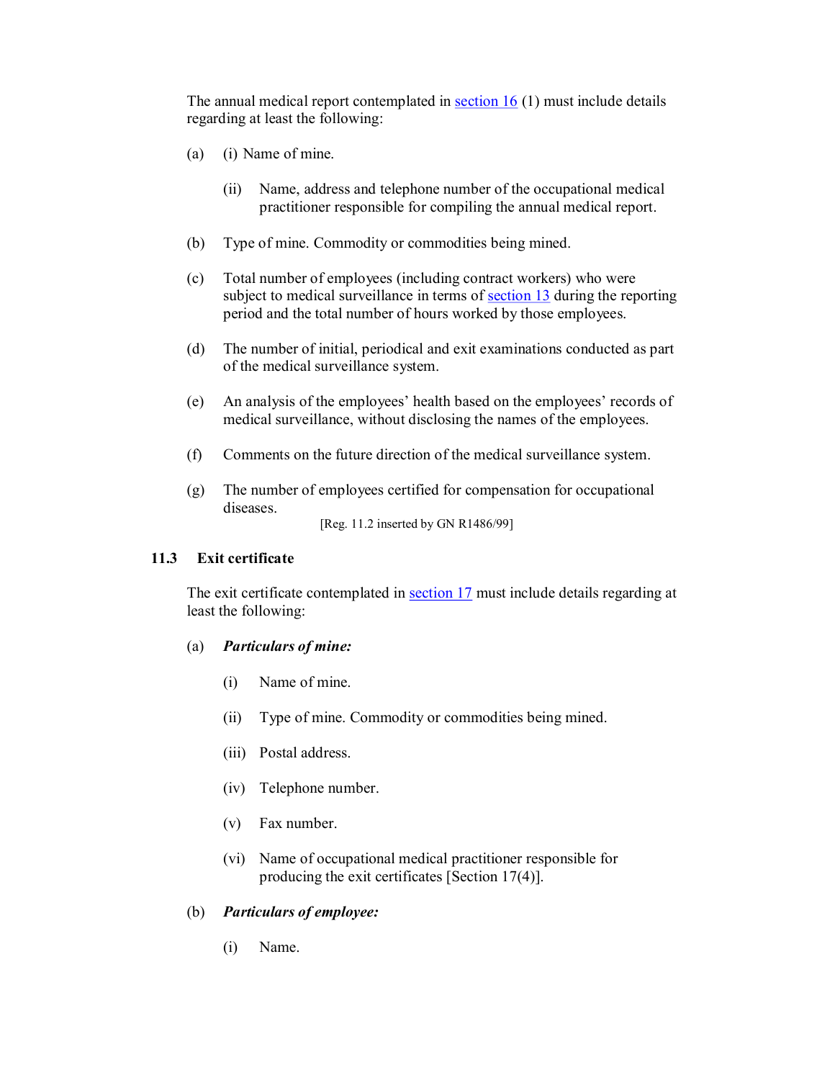The annual medical report contemplated in section 16 (1) must include details regarding at least the following:

- (a) (i) Name of mine.
	- (ii) Name, address and telephone number of the occupational medical practitioner responsible for compiling the annual medical report.
- (b) Type of mine. Commodity or commodities being mined.
- (c) Total number of employees (including contract workers) who were subject to medical surveillance in terms of section 13 during the reporting period and the total number of hours worked by those employees.
- (d) The number of initial, periodical and exit examinations conducted as part of the medical surveillance system.
- (e) An analysis of the employees' health based on the employees' records of medical surveillance, without disclosing the names of the employees.
- (f) Comments on the future direction of the medical surveillance system.
- (g) The number of employees certified for compensation for occupational diseases.

[Reg. 11.2 inserted by GN R1486/99]

## **11.3 Exit certificate**

The exit certificate contemplated in section 17 must include details regarding at least the following:

#### (a) *Particulars of mine:*

- (i) Name of mine.
- (ii) Type of mine. Commodity or commodities being mined.
- (iii) Postal address.
- (iv) Telephone number.
- (v) Fax number.
- (vi) Name of occupational medical practitioner responsible for producing the exit certificates [Section 17(4)].

#### (b) *Particulars of employee:*

(i) Name.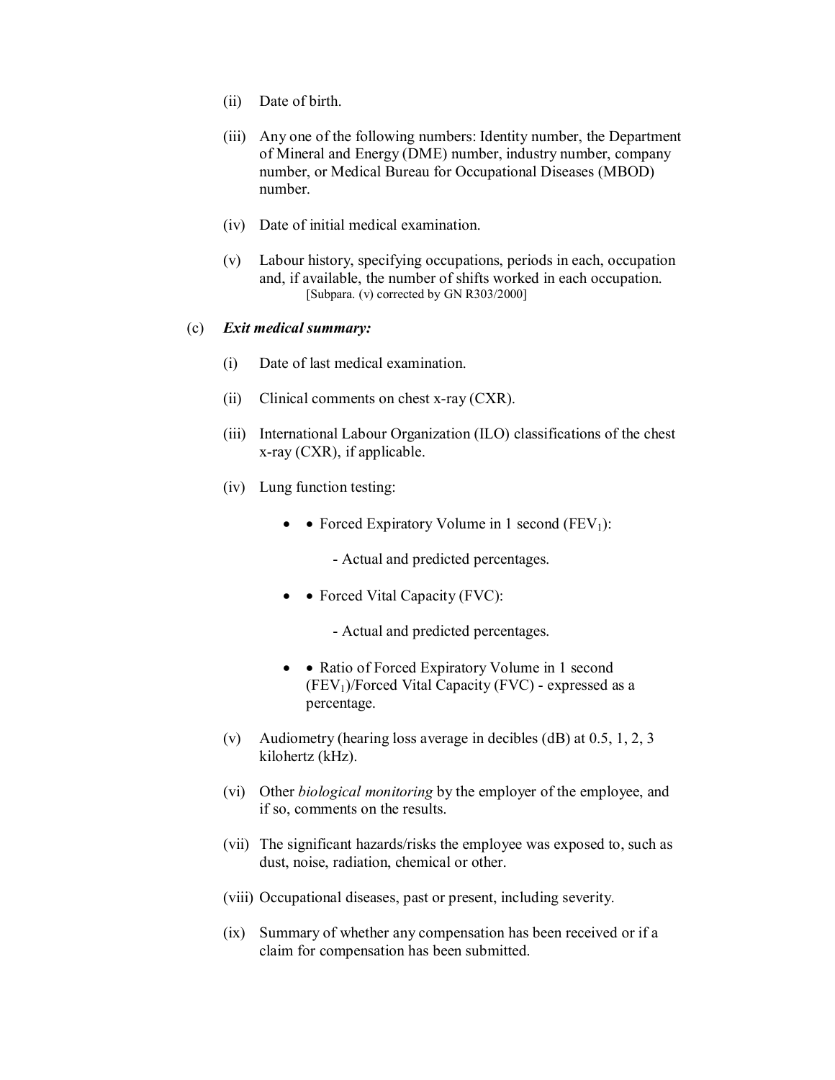- (ii) Date of birth.
- (iii) Any one of the following numbers: Identity number, the Department of Mineral and Energy (DME) number, industry number, company number, or Medical Bureau for Occupational Diseases (MBOD) number.
- (iv) Date of initial medical examination.
- (v) Labour history, specifying occupations, periods in each, occupation and, if available, the number of shifts worked in each occupation. [Subpara. (v) corrected by GN R303/2000]

#### (c) *Exit medical summary:*

- (i) Date of last medical examination.
- (ii) Clinical comments on chest x-ray  $(CXR)$ .
- (iii) International Labour Organization (ILO) classifications of the chest  $x$ -ray (CXR), if applicable.
- (iv) Lung function testing:
	- • Forced Expiratory Volume in 1 second  $(FEV_1)$ :
		- Actual and predicted percentages.
	- • Forced Vital Capacity (FVC):
		- Actual and predicted percentages.
	- • Ratio of Forced Expiratory Volume in 1 second  $(FEV<sub>1</sub>)/Forced Vital Capacity (FVC) - expressed as a$ percentage.
- (v) Audiometry (hearing loss average in decibles (dB) at 0.5, 1, 2, 3 kilohertz (kHz).
- (vi) Other *biological monitoring* by the employer of the employee, and if so, comments on the results.
- (vii) The significant hazards/risks the employee was exposed to, such as dust, noise, radiation, chemical or other.
- (viii) Occupational diseases, past or present, including severity.
- (ix) Summary of whether any compensation has been received or if a claim for compensation has been submitted.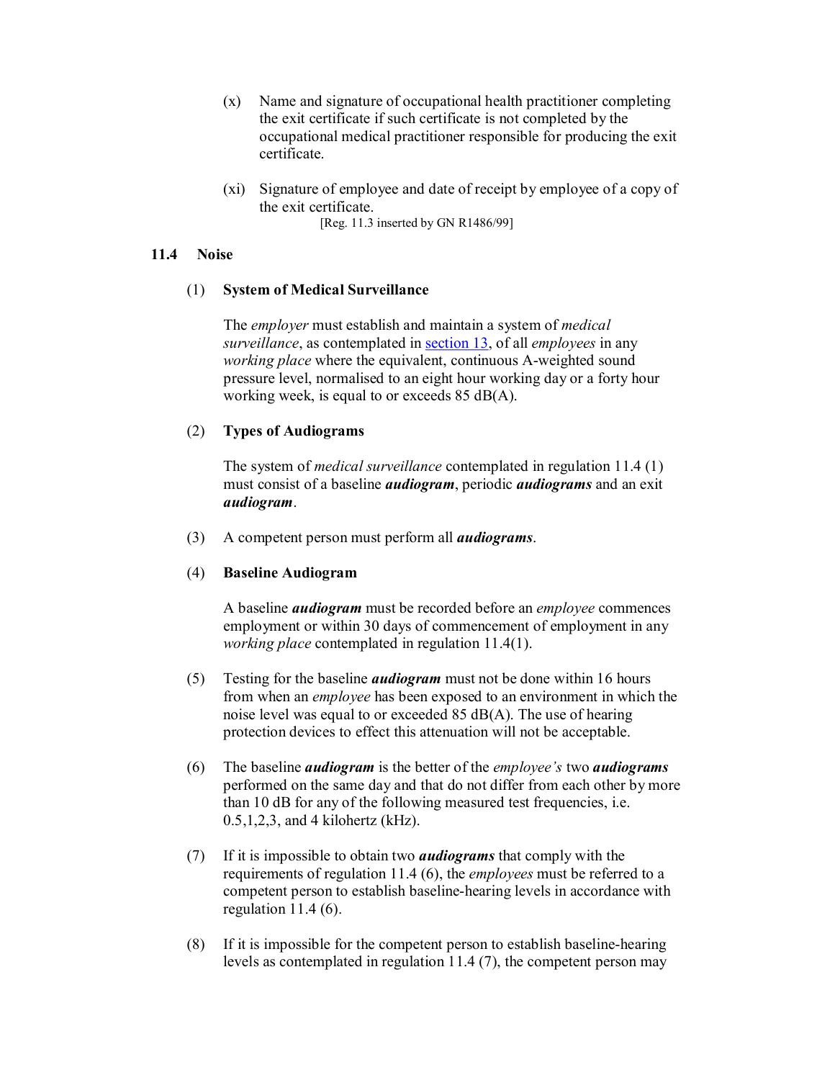- (x) Name and signature of occupational health practitioner completing the exit certificate if such certificate is not completed by the occupational medical practitioner responsible for producing the exit certificate.
- (xi) Signature of employee and date of receipt by employee of a copy of the exit certificate.

[Reg. 11.3 inserted by GN R1486/99]

## **11.4 Noise**

# (1) **System of Medical Surveillance**

The *employer* must establish and maintain a system of *medical surveillance*, as contemplated in section 13, of all *employees* in any *working place* where the equivalent, continuous A-weighted sound pressure level, normalised to an eight hour working day or a forty hour working week, is equal to or exceeds 85 dB(A).

# (2) **Types of Audiograms**

The system of *medical surveillance* contemplated in regulation 11.4 (1) must consist of a baseline *audiogram*, periodic *audiograms* and an exit *audiogram*.

(3) A competent person must perform all *audiograms*.

## (4) **Baseline Audiogram**

A baseline *audiogram* must be recorded before an *employee* commences employment or within 30 days of commencement of employment in any *working place* contemplated in regulation 11.4(1).

- (5) Testing for the baseline *audiogram* must not be done within 16 hours from when an *employee* has been exposed to an environment in which the noise level was equal to or exceeded 85 dB(A). The use of hearing protection devices to effect this attenuation will not be acceptable.
- (6) The baseline *audiogram* is the better of the *employee's* two *audiograms* performed on the same day and that do not differ from each other by more than 10 dB for any of the following measured test frequencies, i.e. 0.5,1,2,3, and 4 kilohertz (kHz).
- (7) If it is impossible to obtain two *audiograms* that comply with the requirements of regulation 11.4 (6), the *employees* must be referred to a competent person to establish baseline-hearing levels in accordance with regulation 11.4 (6).
- $(8)$  If it is impossible for the competent person to establish baseline-hearing levels as contemplated in regulation 11.4 (7), the competent person may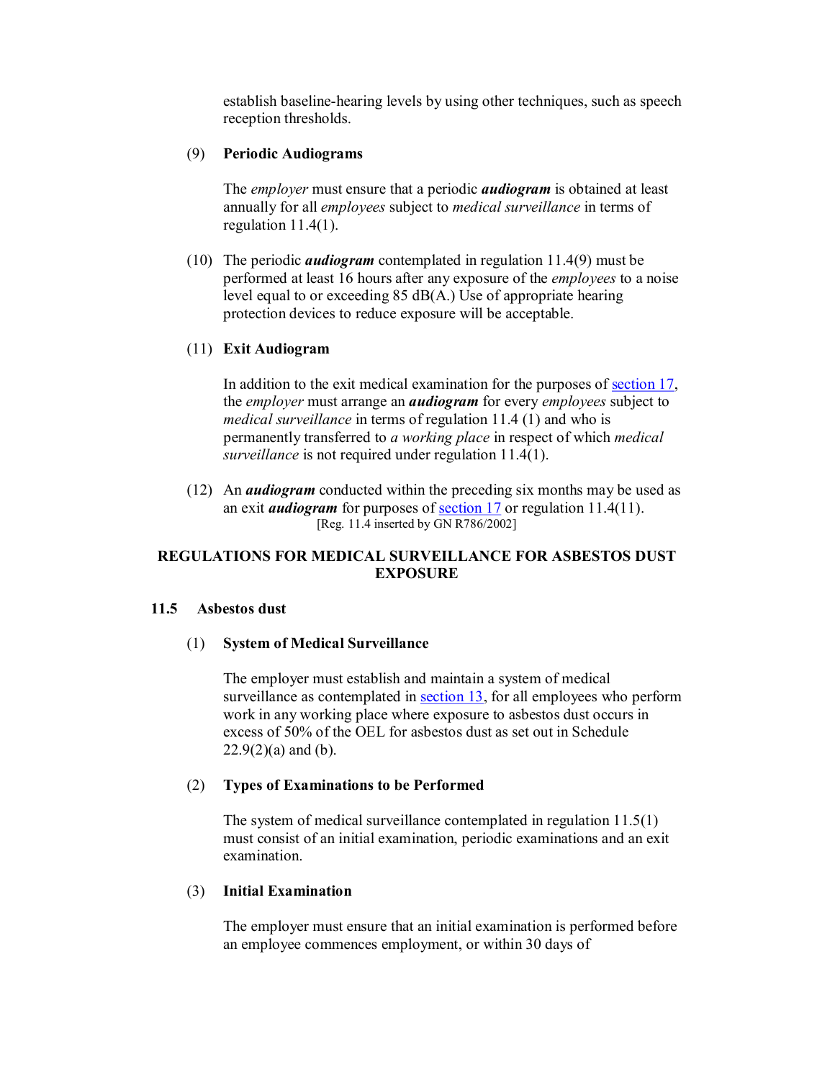establish baseline-hearing levels by using other techniques, such as speech reception thresholds.

### (9) **Periodic Audiograms**

The *employer* must ensure that a periodic *audiogram* is obtained at least annually for all *employees* subject to *medical surveillance* in terms of regulation 11.4(1).

(10) The periodic *audiogram* contemplated in regulation 11.4(9) must be performed at least 16 hours after any exposure of the *employees* to a noise level equal to or exceeding 85 dB(A.) Use of appropriate hearing protection devices to reduce exposure will be acceptable.

### (11) **Exit Audiogram**

In addition to the exit medical examination for the purposes of section 17, the *employer* must arrange an *audiogram* forevery *employees* subject to *medical surveillance* in terms of regulation 11.4 (1) and who is permanently transferred to *a working place* in respect of which *medical surveillance* is not required under regulation 11.4(1).

(12) An *audiogram* conducted within the preceding six months may be used as an exit *audiogram* for purposes of section 17 or regulation 11.4(11). [Reg. 11.4 inserted by GN R786/2002]

## **REGULATIONS FOR MEDICAL SURVEILLANCE FOR ASBESTOS DUST EXPOSURE**

#### **11.5 Asbestos dust**

#### (1) **System of Medical Surveillance**

The employer must establish and maintain a system of medical surveillance as contemplated in section 13, for all employees who perform work in any working place where exposure to asbestos dust occurs in excess of 50% of the OEL for asbestos dust as set out in Schedule  $22.9(2)(a)$  and (b).

#### (2) **Types of Examinations to be Performed**

The system of medical surveillance contemplated in regulation 11.5(1) must consist of an initial examination, periodic examinations and an exit examination.

#### (3) **Initial Examination**

The employer must ensure that an initial examination is performed before an employee commences employment, or within 30 days of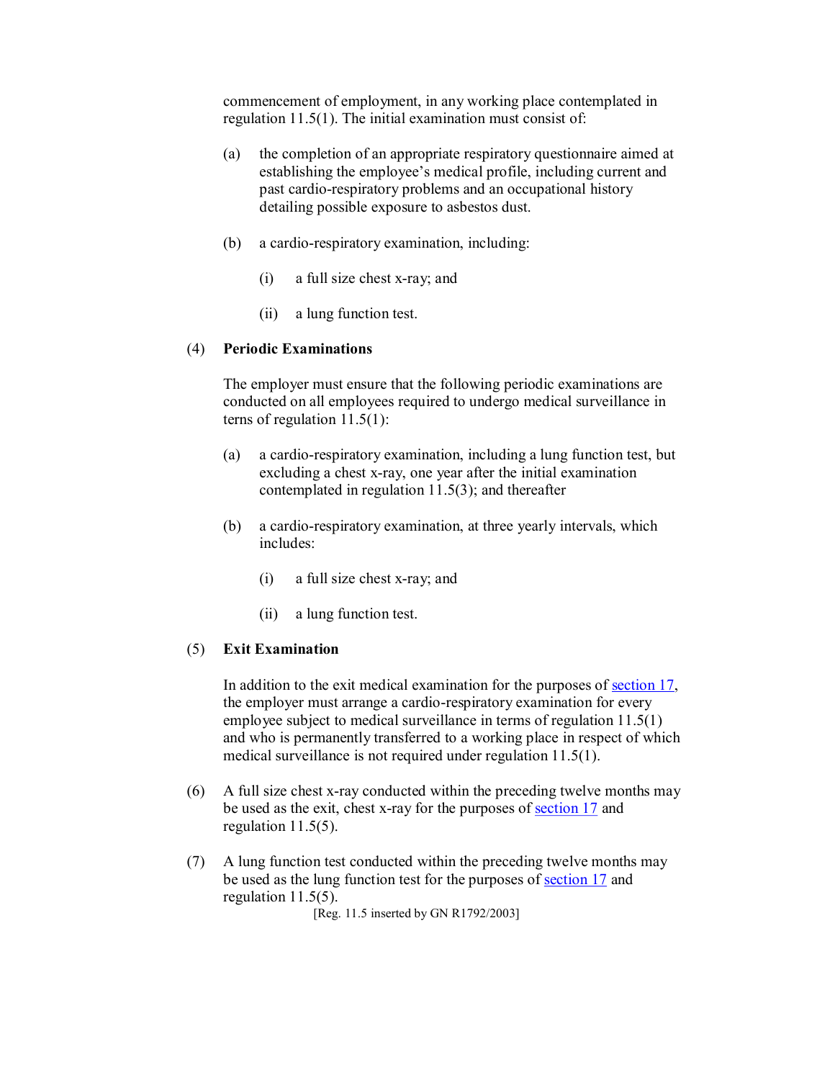commencement of employment, in any working place contemplated in regulation 11.5(1). The initial examination must consist of:

- (a) the completion of an appropriate respiratory questionnaire aimed at establishing the employee's medical profile, including current and past cardio-respiratory problems and an occupational history detailing possible exposure to asbestos dust.
- $(b)$  a cardio-respiratory examination, including:
	- $(i)$  a full size chest x-ray; and
	- (ii) a lung function test.

#### (4) **Periodic Examinations**

The employer must ensure that the following periodic examinations are conducted on all employees required to undergo medical surveillance in terns of regulation 11.5(1):

- (a) a cardio-respiratory examination, including a lung function test, but excluding a chest x-ray, one year after the initial examination contemplated in regulation 11.5(3); and thereafter
- (b) a cardio-respiratory examination, at three yearly intervals, which includes:
	- $(i)$  a full size chest x-ray; and
	- (ii) a lung function test.

## (5) **Exit Examination**

In addition to the exit medical examination for the purposes of section 17, the employer must arrange a cardio-respiratory examination for every employee subject to medical surveillance in terms of regulation 11.5(1) and who is permanently transferred to a working place in respect of which medical surveillance is not required under regulation 11.5(1).

- $(6)$  A full size chest x-ray conducted within the preceding twelve months may be used as the exit, chest x-ray for the purposes of section 17 and regulation 11.5(5).
- (7) A lung function test conducted within the preceding twelve months may be used as the lung function test for the purposes of section 17 and regulation 11.5(5).

[Reg. 11.5 inserted by GN R1792/2003]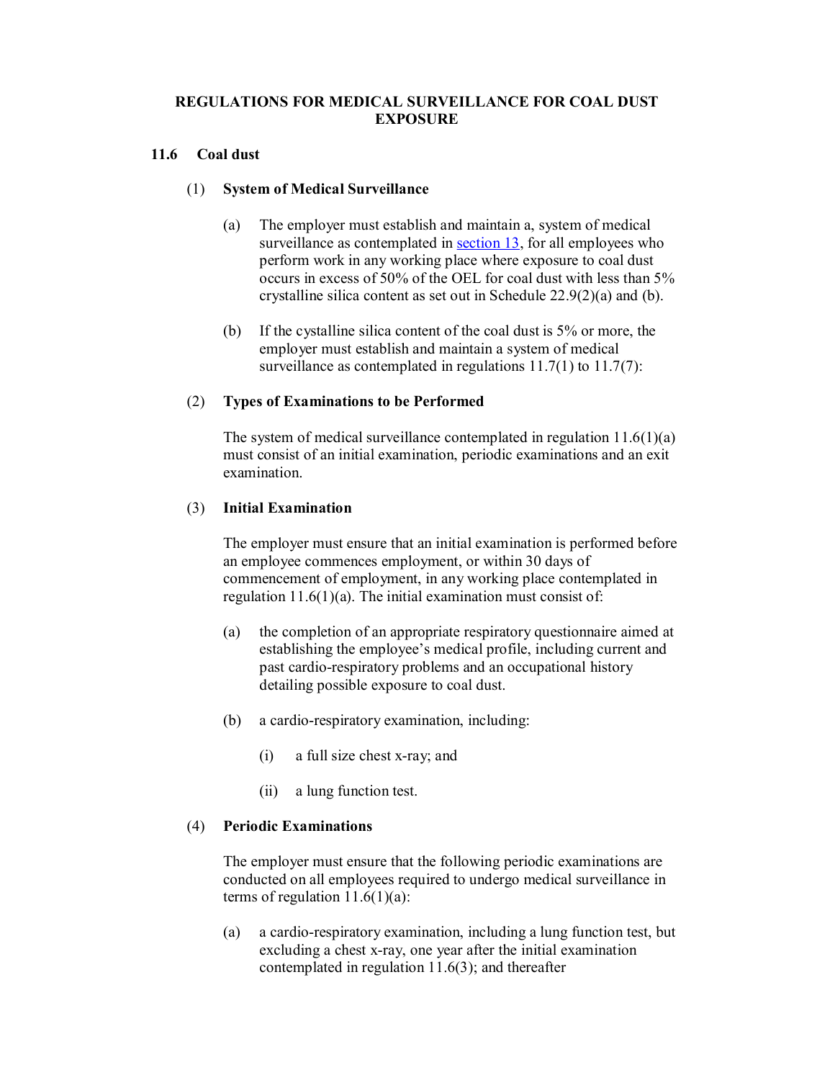## **REGULATIONS FOR MEDICAL SURVEILLANCE FOR COAL DUST EXPOSURE**

## **11.6 Coal dust**

## (1) **System of Medical Surveillance**

- (a) The employer must establish and maintain a, system of medical surveillance as contemplated in section 13, for all employees who perform work in any working place where exposure to coal dust occurs in excess of 50% of the OEL for coal dust with less than 5% crystalline silica content as set out in Schedule 22.9(2)(a) and (b).
- (b) If the cystalline silica content of the coal dust is 5% or more, the employer must establish and maintain a system of medical surveillance as contemplated in regulations 11.7(1) to 11.7(7):

# (2) **Types of Examinations to be Performed**

The system of medical surveillance contemplated in regulation  $11.6(1)(a)$ must consist of an initial examination, periodic examinations and an exit examination.

## (3) **Initial Examination**

The employer must ensure that an initial examination is performed before an employee commences employment, or within 30 days of commencement of employment, in any working place contemplated in regulation  $11.6(1)(a)$ . The initial examination must consist of:

- (a) the completion of an appropriate respiratory questionnaire aimed at establishing the employee's medical profile, including current and past cardio-respiratory problems and an occupational history detailing possible exposure to coal dust.
- $(b)$  a cardio-respiratory examination, including:
	- $(i)$  a full size chest x-ray; and
	- (ii) a lung function test.

## (4) **Periodic Examinations**

The employer must ensure that the following periodic examinations are conducted on all employees required to undergo medical surveillance in terms of regulation  $11.6(1)(a)$ :

(a) a cardio-respiratory examination, including a lung function test, but excluding a chest x-ray, one year after the initial examination contemplated in regulation 11.6(3); and thereafter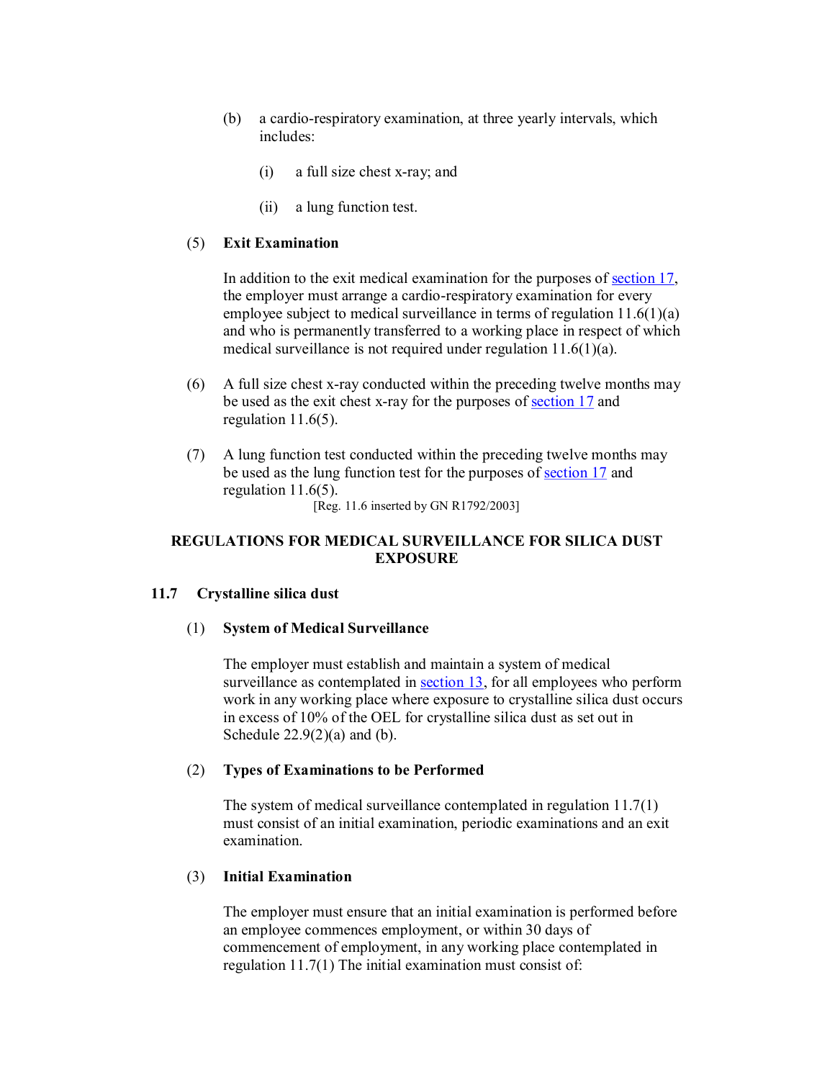- (b) a cardio-respiratory examination, at three yearly intervals, which includes:
	- $(i)$  a full size chest x-ray; and
	- (ii) a lung function test.

#### (5) **Exit Examination**

In addition to the exit medical examination for the purposes of section 17, the employer must arrange a cardio-respiratory examination for every employee subject to medical surveillance in terms of regulation 11.6(1)(a) and who is permanently transferred to a working place in respect of which medical surveillance is not required under regulation 11.6(1)(a).

- (6) A full size chest x-ray conducted within the preceding twelve months may be used as the exit chest x-ray for the purposes of section 17 and regulation 11.6(5).
- (7) A lung function test conducted within the preceding twelve months may be used as the lung function test for the purposes of section 17 and regulation 11.6(5).

[Reg. 11.6 inserted by GN R1792/2003]

## **REGULATIONS FOR MEDICAL SURVEILLANCE FOR SILICA DUST EXPOSURE**

#### **11.7 Crystalline silica dust**

## (1) **System of Medical Surveillance**

The employer must establish and maintain a system of medical surveillance as contemplated in section 13, for all employees who perform work in any working place where exposure to crystalline silica dust occurs in excess of 10% of the OEL for crystalline silica dust as set out in Schedule  $22.9(2)(a)$  and (b).

### (2) **Types of Examinations to be Performed**

The system of medical surveillance contemplated in regulation 11.7(1) must consist of an initial examination, periodic examinations and an exit examination.

## (3) **Initial Examination**

The employer must ensure that an initial examination is performed before an employee commences employment, or within 30 days of commencement of employment, in any working place contemplated in regulation 11.7(1) The initial examination must consist of: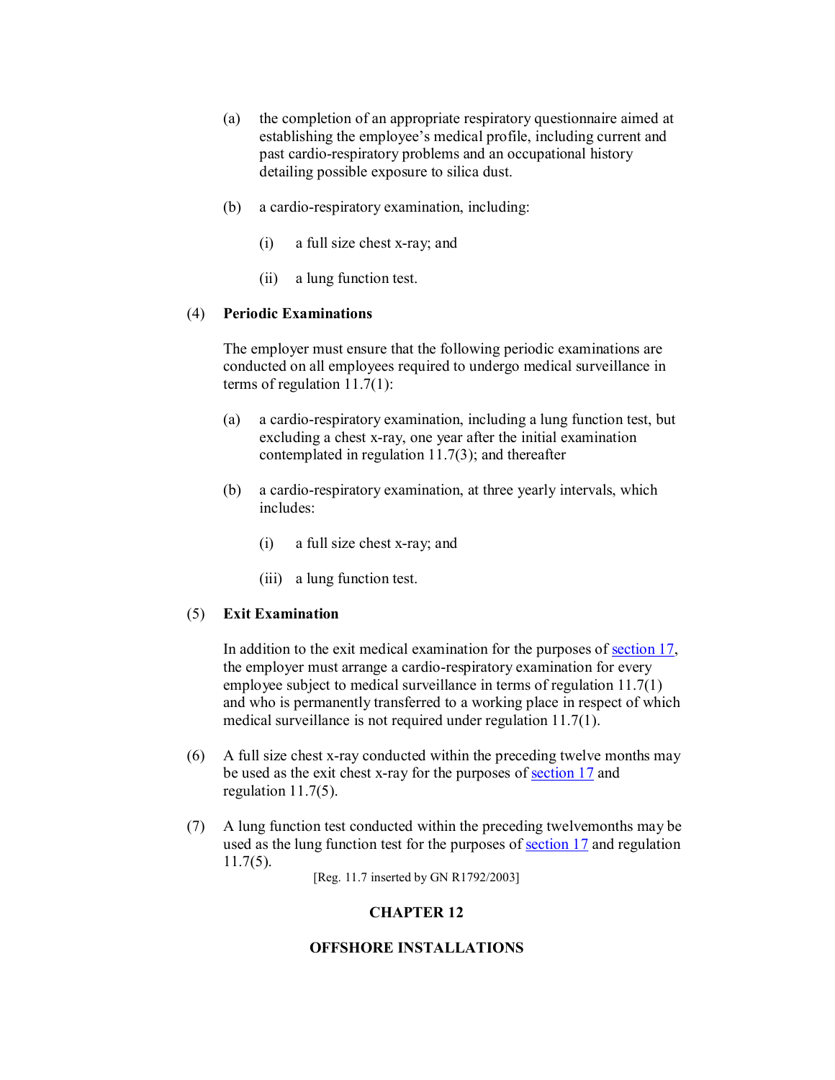- (a) the completion of an appropriate respiratory questionnaire aimed at establishing the employee's medical profile, including current and past cardio-respiratory problems and an occupational history detailing possible exposure to silica dust.
- $(b)$  a cardio-respiratory examination, including:
	- $(i)$  a full size chest x-ray; and
	- (ii) a lung function test.

## (4) **Periodic Examinations**

The employer must ensure that the following periodic examinations are conducted on all employees required to undergo medical surveillance in terms of regulation 11.7(1):

- (a) a cardio-respiratory examination, including a lung function test, but excluding a chest x-ray, one year after the initial examination contemplated in regulation 11.7(3); and thereafter
- (b) a cardio-respiratory examination, at three yearly intervals, which includes:
	- $(i)$  a full size chest x-ray; and
	- (iii) a lung function test.

## (5) **Exit Examination**

In addition to the exit medical examination for the purposes of <u>section 17</u>, the employer must arrange a cardio-respiratory examination for every employee subject to medical surveillance in terms of regulation 11.7(1) and who is permanently transferred to a working place in respect of which medical surveillance is not required under regulation 11.7(1).

- $(6)$  A full size chest x-ray conducted within the preceding twelve months may be used as the exit chest x-ray for the purposes of section 17 and regulation 11.7(5).
- (7) A lung function test conducted within the preceding twelvemonths may be used as the lung function test for the purposes of section 17 and regulation 11.7(5).

[Reg. 11.7 inserted by GN R1792/2003]

# **CHAPTER 12**

# **OFFSHORE INSTALLATIONS**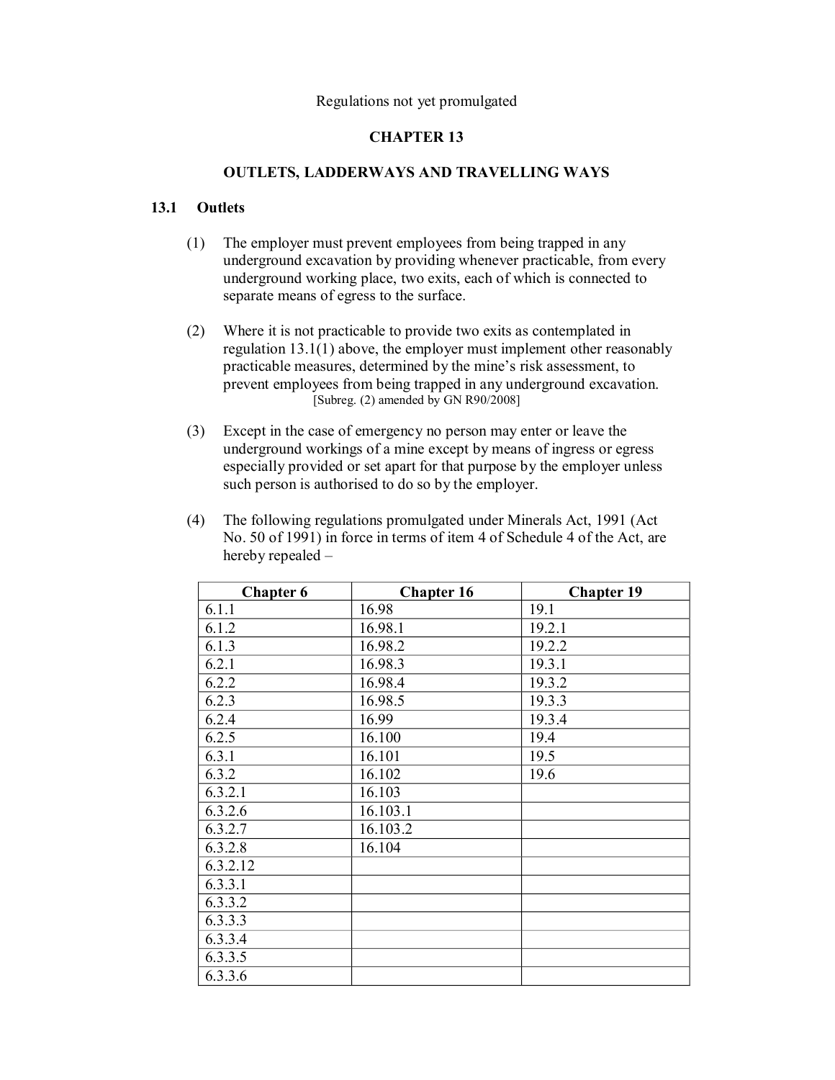# **CHAPTER 13**

## **OUTLETS, LADDERWAYS AND TRAVELLING WAYS**

## **13.1 Outlets**

- (1) The employer must prevent employees from being trapped in any underground excavation by providing whenever practicable, from every underground working place, two exits, each of which is connected to separate means of egress to the surface.
- (2) Where it is not practicable to provide two exits as contemplated in regulation 13.1(1) above, the employer must implement other reasonably practicable measures, determined by the mine's risk assessment, to prevent employees from being trapped in any underground excavation.  $[Subreg. (2)$  amended by GN R90/2008]
- (3) Except in the case of emergency no person may enter or leave the underground workings of a mine except by means of ingress or egress especially provided or set apart for that purpose by the employer unless such person is authorised to do so by the employer.
- (4) The following regulations promulgated under Minerals Act, 1991 (Act No. 50 of 1991) in force in terms of item 4 of Schedule 4 of the Act, are hereby repealed –

| <b>Chapter 6</b> | <b>Chapter 16</b> | <b>Chapter 19</b> |
|------------------|-------------------|-------------------|
| 6.1.1            | 16.98             | 19.1              |
| 6.1.2            | 16.98.1           | 19.2.1            |
| 6.1.3            | 16.98.2           | 19.2.2            |
| 6.2.1            | 16.98.3           | 19.3.1            |
| 6.2.2            | 16.98.4           | 19.3.2            |
| 6.2.3            | 16.98.5           | 19.3.3            |
| 6.2.4            | 16.99             | 19.3.4            |
| 6.2.5            | 16.100            | 19.4              |
| 6.3.1            | 16.101            | 19.5              |
| 6.3.2            | 16.102            | 19.6              |
| 6.3.2.1          | 16.103            |                   |
| 6.3.2.6          | 16.103.1          |                   |
| 6.3.2.7          | 16.103.2          |                   |
| 6.3.2.8          | 16.104            |                   |
| 6.3.2.12         |                   |                   |
| 6.3.3.1          |                   |                   |
| 6.3.3.2          |                   |                   |
| 6.3.3.3          |                   |                   |
| 6.3.3.4          |                   |                   |
| 6.3.3.5          |                   |                   |
| 6.3.3.6          |                   |                   |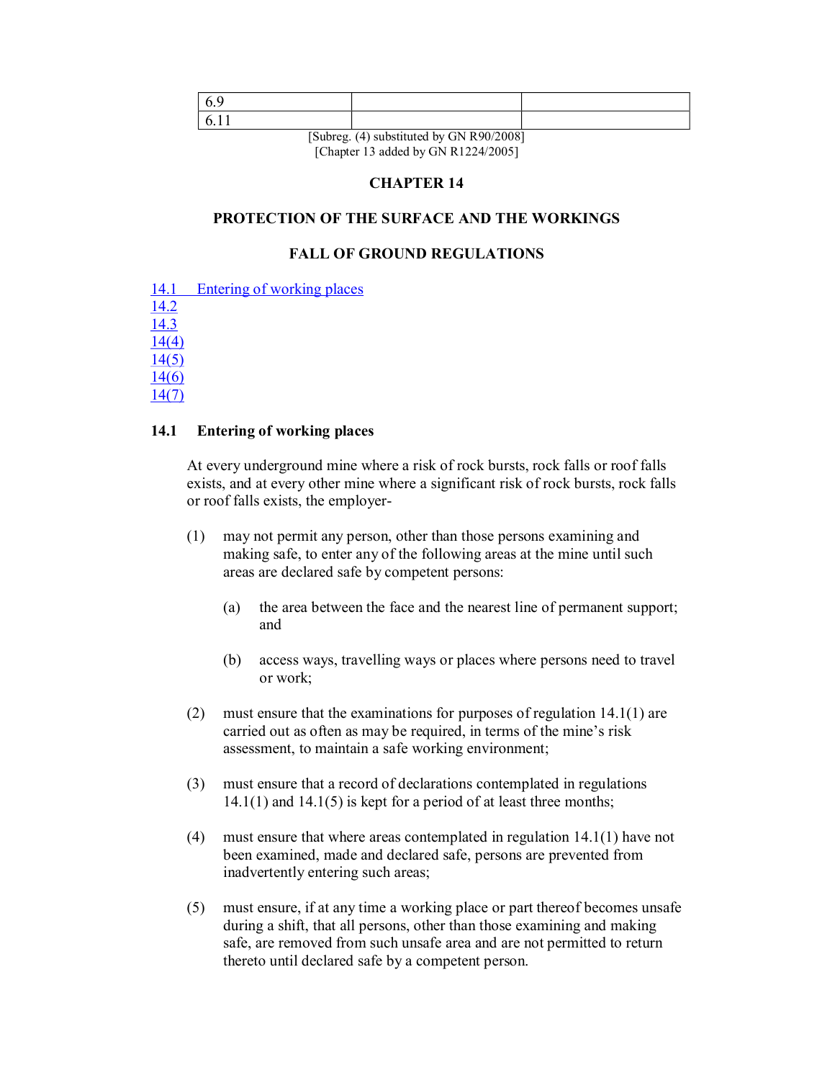| $\Gamma \cap 1$ | $(4)$ 1 $(1)$ 11 $(2)$ Decomposition |  |
|-----------------|--------------------------------------|--|

[Subreg. (4) substituted by GN R90/2008] [Chapter 13 added by GN R1224/2005]

# **CHAPTER 14**

# **PROTECTION OF THE SURFACE AND THE WORKINGS**

## **FALL OF GROUND REGULATIONS**

- 14.1 Entering of working places
- 14.2

14.3

14(4) 14(5)

14(6)

14(7)

## **14.1 Entering of working places**

At every underground mine where a risk of rock bursts, rock falls or roof falls exists, and at every other mine where a significant risk of rock bursts, rock falls or roof falls exists, the employer

- (1) may not permit any person, other than those persons examining and making safe, to enter any of the following areas at the mine until such areas are declared safe by competent persons:
	- (a) the area between the face and the nearest line of permanent support; and
	- (b) access ways, travelling ways or places where persons need to travel or work;
- (2) must ensure that the examinations for purposes of regulation 14.1(1) are carried out as often as may be required, in terms of the mine's risk assessment, to maintain a safe working environment;
- (3) must ensure that a record of declarations contemplated in regulations  $14.1(1)$  and  $14.1(5)$  is kept for a period of at least three months;
- (4) must ensure that where areas contemplated in regulation 14.1(1) have not been examined, made and declared safe, persons are prevented from inadvertently entering such areas;
- (5) must ensure, if at any time a working place or part thereof becomes unsafe during a shift, that all persons, other than those examining and making safe, are removed from such unsafe area and are not permitted to return thereto until declared safe by a competent person.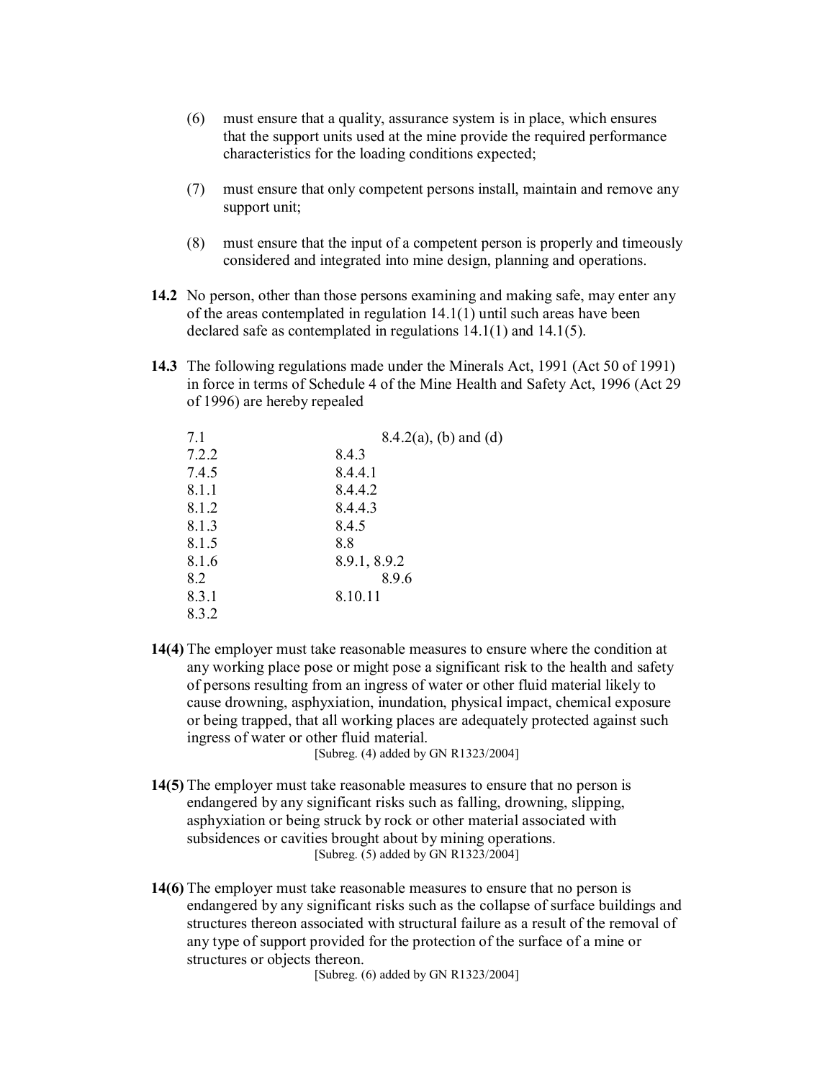- (6) must ensure that a quality, assurance system is in place, which ensures that the support units used at the mine provide the required performance characteristics for the loading conditions expected;
- (7) must ensure that only competent persons install, maintain and remove any support unit;
- (8) must ensure that the input of a competent person is properly and timeously considered and integrated into mine design, planning and operations.
- **14.2** No person, other than those persons examining and making safe, may enter any of the areas contemplated in regulation 14.1(1) until such areas have been declared safe as contemplated in regulations 14.1(1) and 14.1(5).
- **14.3** The following regulations made under the Minerals Act, 1991 (Act 50 of 1991) in force in terms of Schedule 4 of the Mine Health and Safety Act, 1996 (Act 29 of 1996) are hereby repealed

| 7.1   | $8.4.2(a)$ , (b) and (d) |
|-------|--------------------------|
| 7.2.2 | 8.4.3                    |
| 7.4.5 | 8.4.4.1                  |
| 8.1.1 | 8.4.4.2                  |
| 8.1.2 | 8.4.4.3                  |
| 8.1.3 | 8.4.5                    |
| 8.1.5 | 8.8                      |
| 8.1.6 | 8.9.1, 8.9.2             |
| 8.2   | 8.9.6                    |
| 8.3.1 | 8.10.11                  |
| 8.3.2 |                          |

**14(4)** The employer must take reasonable measures to ensure where the condition at any working place pose or might pose a significant risk to the health and safety of persons resulting from an ingress of water or other fluid material likely to cause drowning, asphyxiation, inundation, physical impact, chemical exposure or being trapped, that all working places are adequately protected against such ingress of water or other fluid material.

[Subreg. (4) added by GN R1323/2004]

- **14(5)** The employer must take reasonable measures to ensure that no person is endangered by any significant risks such as falling, drowning, slipping, asphyxiation or being struck by rock or other material associated with subsidences or cavities brought about by mining operations. [Subreg. (5) added by GN R1323/2004]
- **14(6)** The employer must take reasonable measures to ensure that no person is endangered by any significant risks such as the collapse of surface buildings and structures thereon associated with structural failure as a result of the removal of any type of support provided for the protection of the surface of a mine or structures or objects thereon.

[Subreg. (6) added by GN R1323/2004]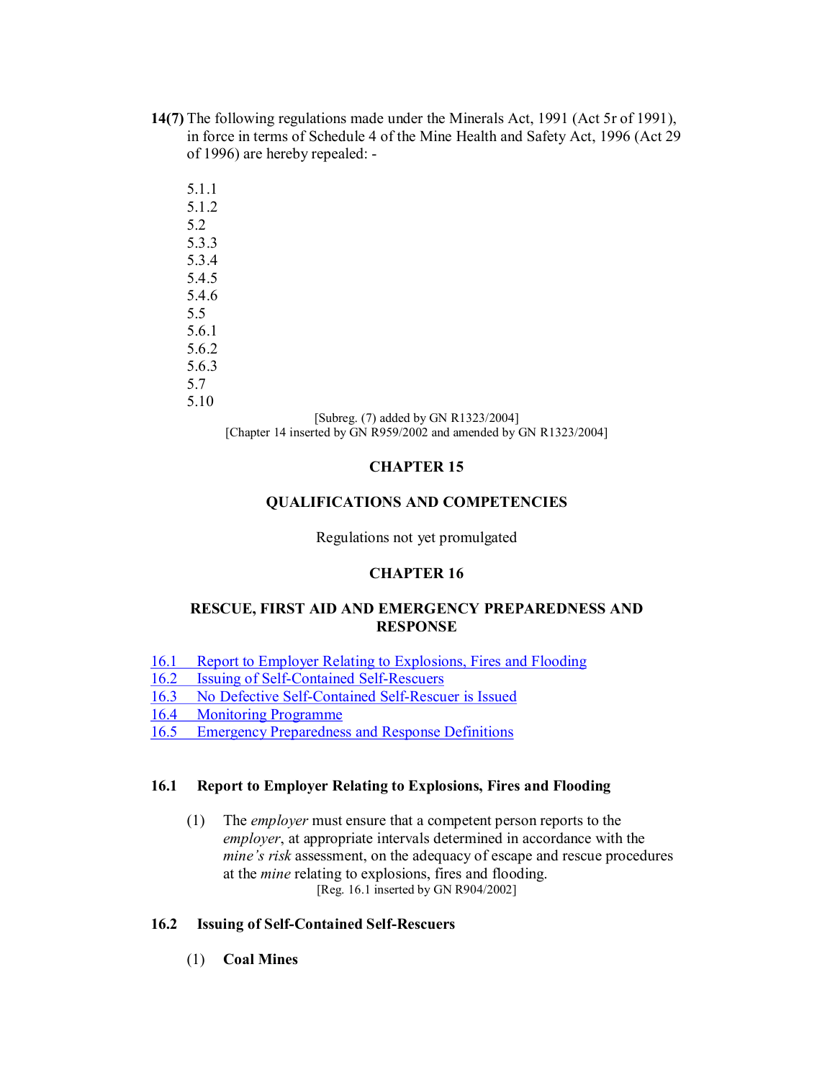- **14(7)** The following regulations made under the Minerals Act, 1991 (Act 5r of 1991), in force in terms of Schedule 4 of the Mine Health and Safety Act, 1996 (Act 29 of 1996) are hereby repealed:
	- 5.1.1 5.1.2 5.2 5.3.3 5.3.4 5.4.5 5.4.6 5.5 5.6.1 5.6.2 5.6.3 5.7 5.10

[Subreg. (7) added by GN R1323/2004] [Chapter 14 inserted by GN R959/2002 and amended by GN R1323/2004]

# **CHAPTER 15**

## **QUALIFICATIONS AND COMPETENCIES**

Regulations not yet promulgated

# **CHAPTER 16**

## **RESCUE, FIRST AID AND EMERGENCY PREPAREDNESS AND RESPONSE**

- 16.1 Report to Employer Relating to Explosions, Fires and Flooding
- 16.2 Issuing of Self-Contained Self-Rescuers
- 16.3 No Defective Self-Contained Self-Rescuer is Issued
- 16.4 Monitoring Programme
- 16.5 Emergency Preparedness and Response Definitions

## **16.1 Report to Employer Relating to Explosions, Fires and Flooding**

(1) The *employer* must ensure that a competent person reports to the *employer*, at appropriate intervals determined in accordance with the *mine's risk* assessment, on the adequacy of escape and rescue procedures at the *mine* relating to explosions, fires and flooding. [Reg. 16.1 inserted by GN R904/2002]

## **16.2 Issuing of Self-Contained Self-Rescuers**

(1) **Coal Mines**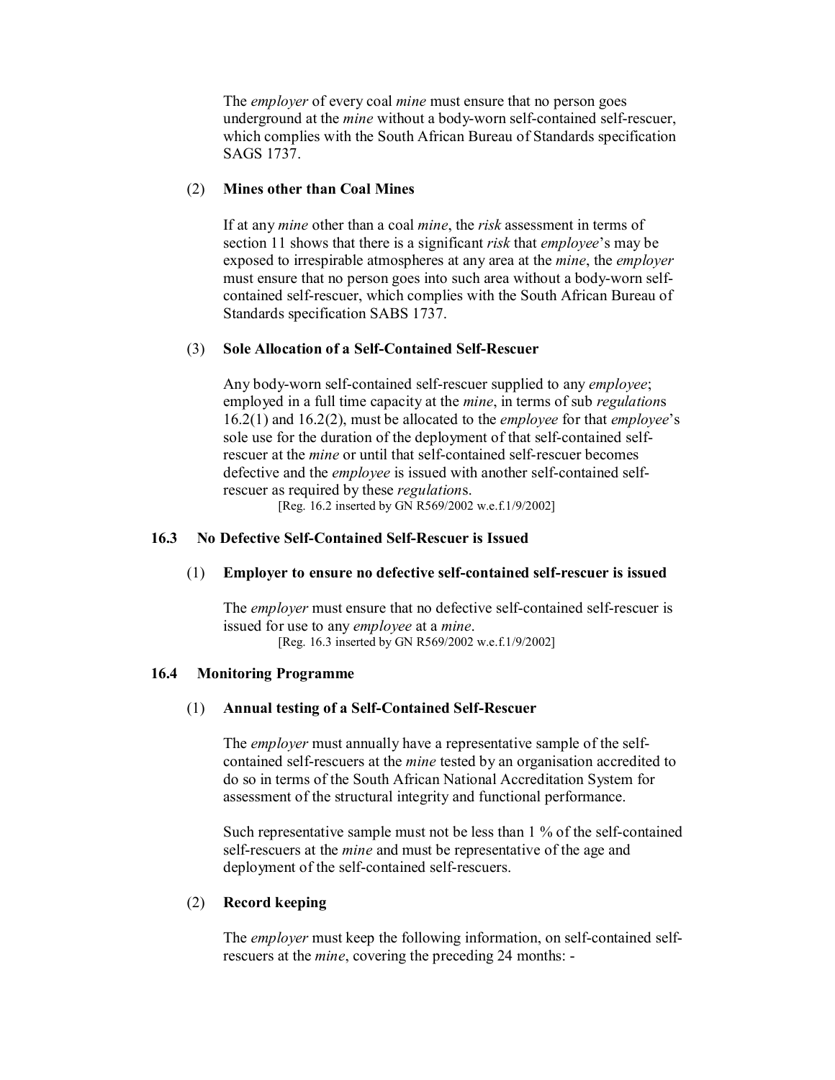The *employer* of every coal *mine* must ensure that no person goes underground at the *mine* without a body-worn self-contained self-rescuer, which complies with the South African Bureau of Standards specification SAGS 1737.

### (2) **Mines other than Coal Mines**

If at any *mine* other than a coal *mine*, the *risk* assessment in terms of section 11 shows that there is a significant *risk* that *employee*'s may be exposed to irrespirable atmospheres at any area at the *mine*, the *employer* must ensure that no person goes into such area without a body-worn selfcontained self-rescuer, which complies with the South African Bureau of Standards specification SABS 1737.

## (3) **Sole Allocation of a Self-Contained Self-Rescuer**

Any body-worn self-contained self-rescuer supplied to any *employee*; employed in a full time capacity at the *mine*, in terms of sub *regulation*s 16.2(1) and 16.2(2), must be allocated to the *employee* for that *employee*'s sole use for the duration of the deployment of that self-contained selfrescuer at the *mine* or until that self-contained self-rescuer becomes defective and the *employee* is issued with another self-contained selfrescuer as required by these *regulation*s.

[Reg. 16.2 inserted by GN R569/2002 w.e.f.1/9/2002]

### **16.3** No Defective Self-Contained Self-Rescuer is Issued

#### (1) **Employer to ensure no defective self-contained self-rescuer is issued**

The *employer* must ensure that no defective self-contained self-rescuer is issued for use to any *employee* at a *mine*. [Reg. 16.3 inserted by GN R569/2002 w.e.f.1/9/2002]

#### **16.4 Monitoring Programme**

#### (1) Annual testing of a Self-Contained Self-Rescuer

The *employer* must annually have a representative sample of the self contained self-rescuers at the *mine* tested by an organisation accredited to do so in terms of the South African National Accreditation System for assessment of the structural integrity and functional performance.

Such representative sample must not be less than  $1\%$  of the self-contained self-rescuers at the *mine* and must be representative of the age and deployment of the self-contained self-rescuers.

#### (2) **Record keeping**

The *employer* must keep the following information, on self-contained selfrescuers at the *mine*, covering the preceding 24 months: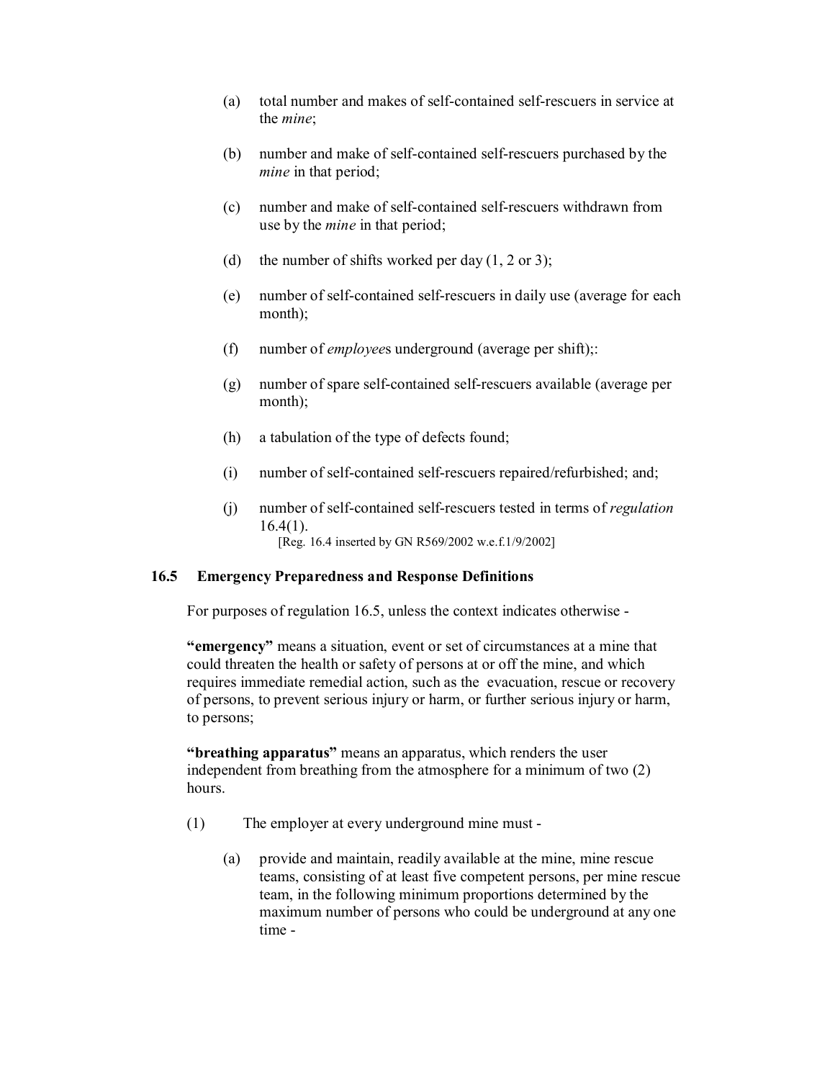- (a) total number and makes of self-contained self-rescuers in service at the *mine*;
- $(b)$  number and make of self-contained self-rescuers purchased by the *mine* in that period;
- (c) number and make of self-contained self-rescuers withdrawn from use by the *mine* in that period;
- (d) the number of shifts worked per day  $(1, 2 \text{ or } 3)$ ;
- $(e)$  number of self-contained self-rescuers in daily use (average for each month);
- (f) number of *employee*s underground (average per shift);:
- $(g)$  number of spare self-contained self-rescuers available (average per month);
- (h) a tabulation of the type of defects found;
- $(i)$  number of self-contained self-rescuers repaired/refurbished; and;
- (i) number of self-contained self-rescuers tested in terms of *regulation*  $16.4(1)$ . [Reg. 16.4 inserted by GN R569/2002 w.e.f.1/9/2002]

## **16.5 Emergency Preparedness and Response Definitions**

For purposes of regulation 16.5, unless the context indicates otherwise

**"emergency"** means a situation, event or set of circumstances at a mine that could threaten the health or safety of persons at or off the mine, and which requires immediate remedial action, such as the evacuation, rescue or recovery of persons, to prevent serious injury or harm, or further serious injury or harm, to persons;

**"breathing apparatus"** means an apparatus, which renders the user independent from breathing from the atmosphere for a minimum of two (2) hours.

- (1) The employer at every underground mine must
	- (a) provide and maintain, readily available at the mine, mine rescue teams, consisting of at least five competent persons, per mine rescue team, in the following minimum proportions determined by the maximum number of persons who could be underground at any one time -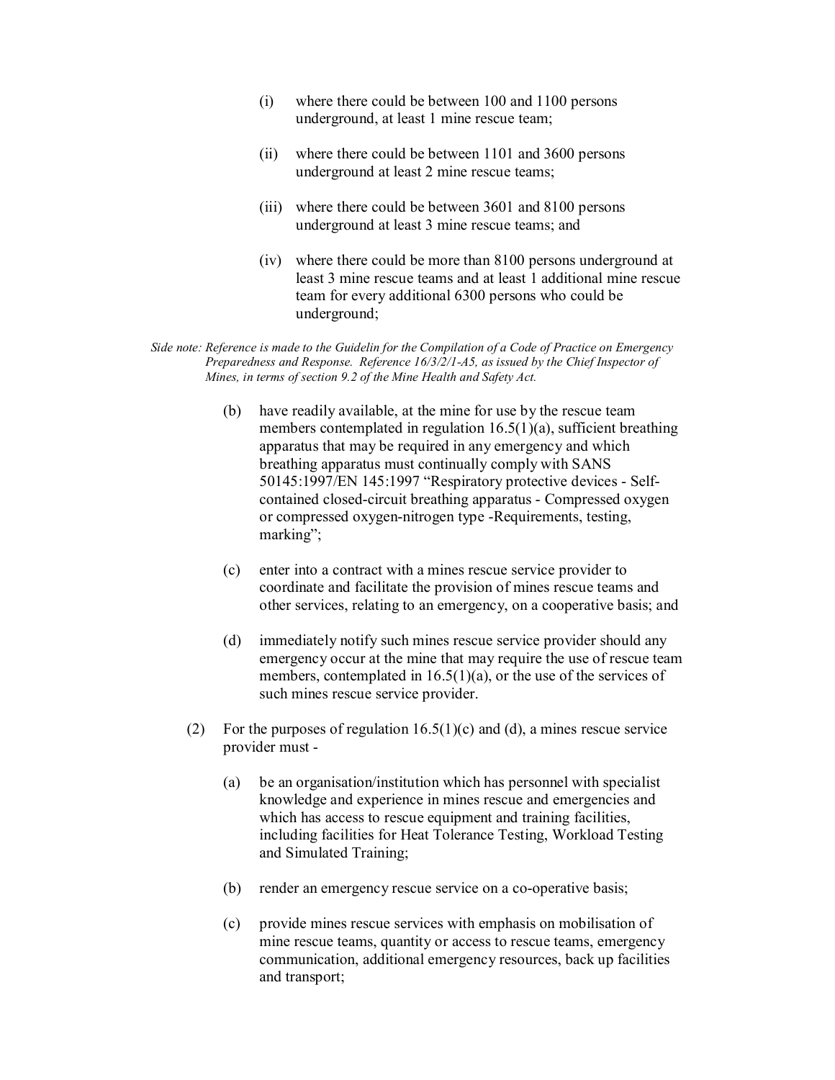- (i) where there could be between 100 and 1100 persons underground, at least 1 mine rescue team;
- (ii) where there could be between 1101 and 3600 persons underground at least 2 mine rescue teams;
- (iii) where there could be between 3601 and 8100 persons underground at least 3 mine rescue teams; and
- (iv) where there could be more than 8100 persons underground at least 3 mine rescue teams and at least 1 additional mine rescue team for every additional 6300 persons who could be underground;

*Side note: Reference is made to the Guidelin for the Compilation of a Code of Practice on Emergency Preparedness and Response. Reference 16/3/2/1-A5, as issued by the Chief Inspector of Mines, in terms of section 9.2 of the Mine Health and Safety Act.*

- (b) have readily available, at the mine for use by the rescue team members contemplated in regulation 16.5(1)(a), sufficient breathing apparatus that may be required in any emergency and which breathing apparatus must continually comply with SANS 50145:1997/EN 145:1997 "Respiratory protective devices - Selfcontained closed-circuit breathing apparatus - Compressed oxygen or compressed oxygen-nitrogen type -Requirements, testing, marking";
- (c) enter into a contract with a mines rescue service provider to coordinate and facilitate the provision of mines rescue teams and other services, relating to an emergency, on a cooperative basis; and
- (d) immediately notify such mines rescue service provider should any emergency occur at the mine that may require the use of rescue team members, contemplated in 16.5(1)(a), or the use of the services of such mines rescue service provider.
- (2) For the purposes of regulation  $16.5(1)(c)$  and (d), a mines rescue service provider must
	- (a) be an organisation/institution which has personnel with specialist knowledge and experience in mines rescue and emergencies and which has access to rescue equipment and training facilities, including facilities for Heat Tolerance Testing, Workload Testing and Simulated Training;
	- (b) render an emergency rescue service on a co-operative basis;
	- (c) provide mines rescue services with emphasis on mobilisation of mine rescue teams, quantity or access to rescue teams, emergency communication, additional emergency resources, back up facilities and transport;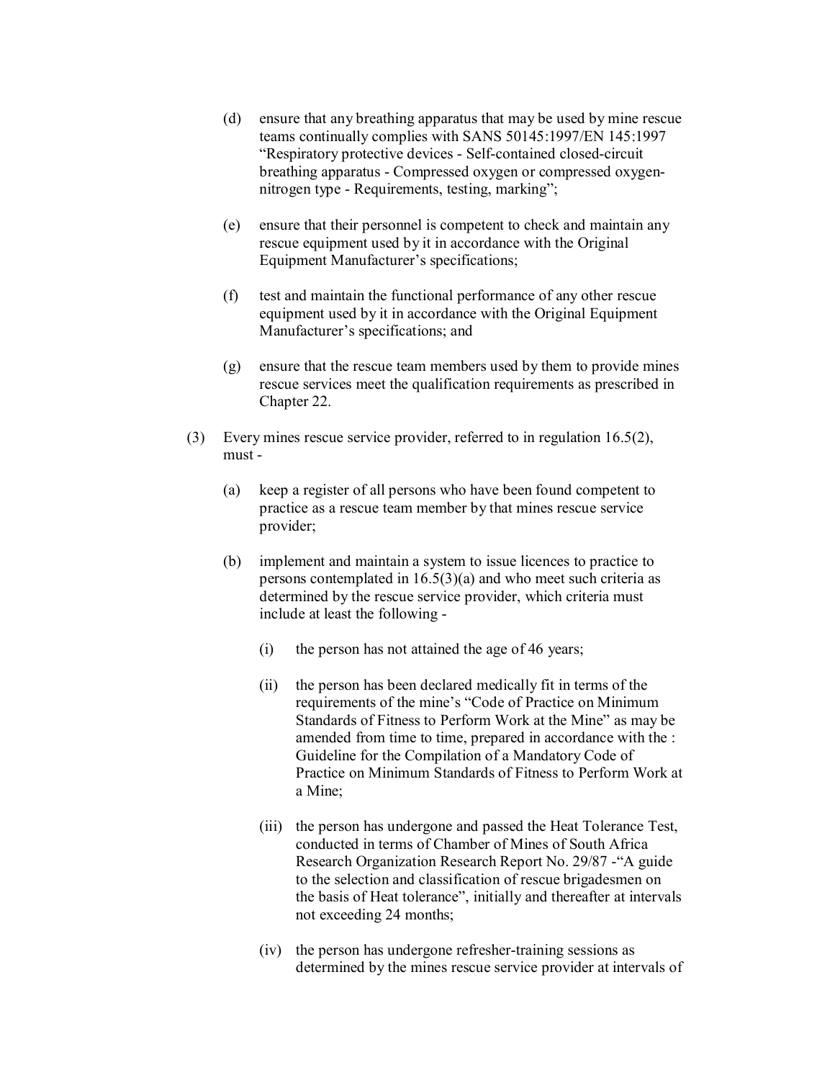- (d) ensure that any breathing apparatus that may be used by mine rescue teams continually complies with SANS 50145:1997/EN 145:1997 "Respiratory protective devices - Self-contained closed-circuit breathing apparatus - Compressed oxygen or compressed oxygennitrogen type - Requirements, testing, marking";
- (e) ensure that their personnel is competent to check and maintain any rescue equipment used by it in accordance with the Original Equipment Manufacturer's specifications;
- (f) test and maintain the functional performance of any other rescue equipment used by it in accordance with the Original Equipment Manufacturer's specifications; and
- (g) ensure that the rescue team members used by them to provide mines rescue services meet the qualification requirements as prescribed in Chapter 22.
- (3) Every mines rescue service provider, referred to in regulation 16.5(2), must -
	- (a) keep a register of all persons who have been found competent to practice as a rescue team member by that mines rescue service provider;
	- (b) implement and maintain a system to issue licences to practice to persons contemplated in 16.5(3)(a) and who meet such criteria as determined by the rescue service provider, which criteria must include at least the following
		- (i) the person has not attained the age of 46 years;
		- (ii) the person has been declared medically fit in terms of the requirements of the mine's "Code of Practice on Minimum Standards of Fitness to Perform Work at the Mine" as may be amended from time to time, prepared in accordance with the : Guideline for the Compilation of a Mandatory Code of Practice on Minimum Standards of Fitness to Perform Work at a Mine;
		- (iii) the person has undergone and passed the Heat Tolerance Test, conducted in terms of Chamber of Mines of South Africa Research Organization Research Report No. 29/87 "A guide to the selection and classification of rescue brigadesmen on the basis of Heat tolerance", initially and thereafter at intervals not exceeding 24 months;
		- $(iv)$  the person has undergone refresher-training sessions as determined by the mines rescue service provider at intervals of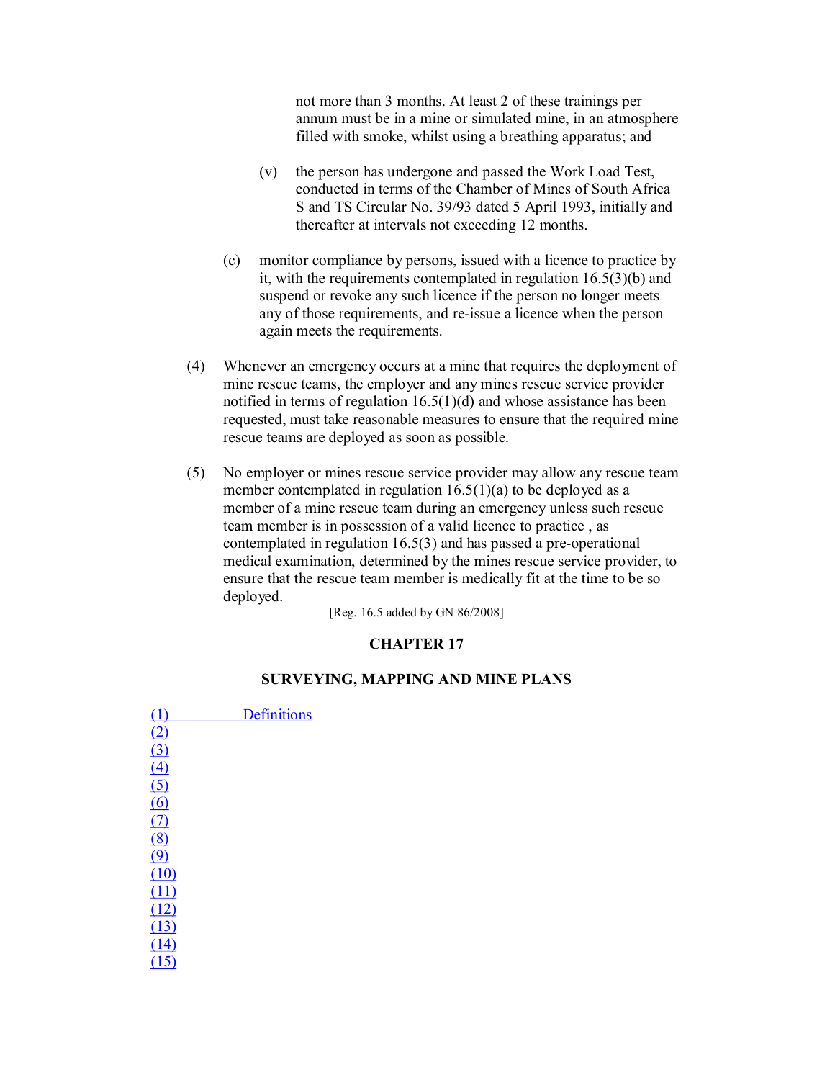not more than 3 months. At least 2 of these trainings per annum must be in a mine or simulated mine, in an atmosphere filled with smoke, whilst using a breathing apparatus; and

- (v) the person has undergone and passed the Work Load Test, conducted in terms of the Chamber of Mines of South Africa S and TS Circular No. 39/93 dated 5 April 1993, initially and thereafter at intervals not exceeding 12 months.
- (c) monitor compliance by persons, issued with a licence to practice by it, with the requirements contemplated in regulation 16.5(3)(b) and suspend or revoke any such licence if the person no longer meets any of those requirements, and re-issue a licence when the person again meets the requirements.
- (4) Whenever an emergency occurs at a mine that requires the deployment of mine rescue teams, the employer and any mines rescue service provider notified in terms of regulation 16.5(1)(d) and whose assistance has been requested, must take reasonable measures to ensure that the required mine rescue teams are deployed as soon as possible.
- (5) No employer or mines rescue service provider may allow any rescue team member contemplated in regulation 16.5(1)(a) to be deployed as a member of a mine rescue team during an emergency unless such rescue team member is in possession of a valid licence to practice , as contemplated in regulation  $16.5(3)$  and has passed a pre-operational medical examination, determined by the mines rescue service provider, to ensure that the rescue team member is medically fit at the time to be so deployed.

[Reg. 16.5 added by GN 86/2008]

### **CHAPTER 17**

## **SURVEYING, MAPPING AND MINE PLANS**

(1) Definitions  $(2)$ (3) (4) (5) (6) (7)  $\overline{(8)}$  $\overline{(9)}$  $(10)$  $(11)$ (12) (13) (14) (15)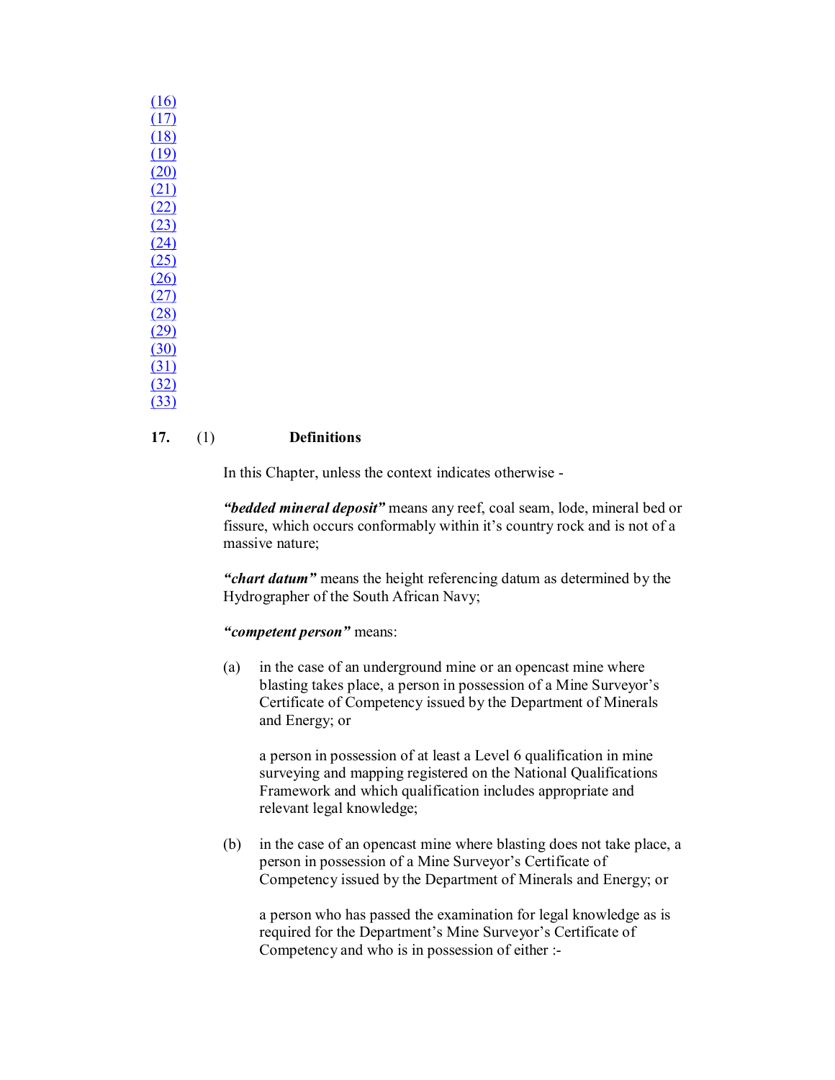| $\overline{\mathbf{r}}$<br>Č |
|------------------------------|
| $\overline{\mathcal{L}}$     |
|                              |
| )                            |
| į                            |
| $\overline{ }$               |
|                              |
|                              |
|                              |
|                              |
|                              |
|                              |
|                              |
|                              |
| ١                            |
|                              |
|                              |

### **17.** (1) **Definitions**

In this Chapter, unless the context indicates otherwise

*"bedded mineral deposit"* means any reef, coal seam, lode, mineral bed or fissure, which occurs conformably within it's country rock and is not of a massive nature;

*"chart datum"* means the height referencing datum as determined by the Hydrographer of the South African Navy;

## *"competent person"* means:

(a) in the case of an underground mine or an opencast mine where blasting takes place, a person in possession of a Mine Surveyor's Certificate of Competency issued by the Department of Minerals and Energy; or

a person in possession of at least a Level 6 qualification in mine surveying and mapping registered on the National Qualifications Framework and which qualification includes appropriate and relevant legal knowledge;

(b) in the case of an opencast mine where blasting does not take place, a person in possession of a Mine Surveyor's Certificate of Competency issued by the Department of Minerals and Energy; or

a person who has passed the examination for legal knowledge as is required for the Department's Mine Surveyor's Certificate of Competency and who is in possession of either :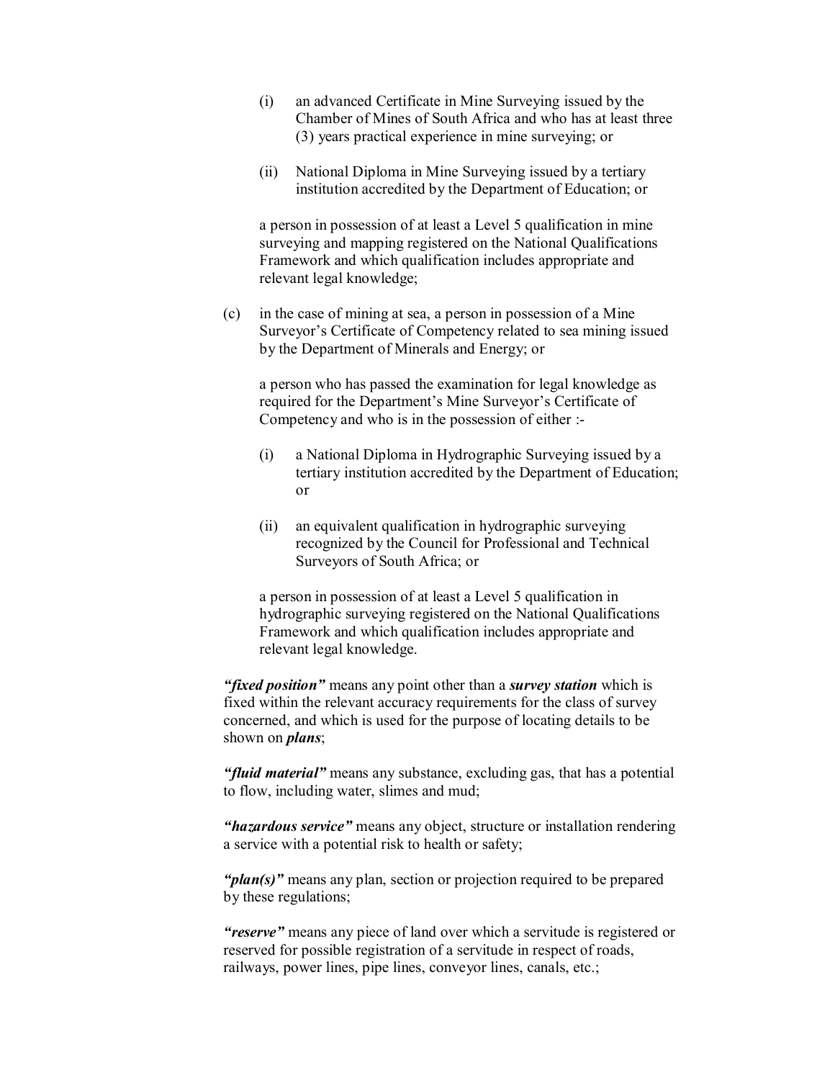- (i) an advanced Certificate in Mine Surveying issued by the Chamber of Mines of South Africa and who has at least three (3) years practical experience in mine surveying; or
- (ii) National Diploma in Mine Surveying issued by a tertiary institution accredited by the Department of Education; or

a person in possession of at least a Level 5 qualification in mine surveying and mapping registered on the National Qualifications Framework and which qualification includes appropriate and relevant legal knowledge;

(c) in the case of mining at sea, a person in possession of a Mine Surveyor's Certificate of Competency related to sea mining issued by the Department of Minerals and Energy; or

a person who has passed the examination for legal knowledge as required for the Department's Mine Surveyor's Certificate of Competency and who is in the possession of either :

- (i) a National Diploma in Hydrographic Surveying issued by a tertiary institution accredited by the Department of Education; or
- (ii) an equivalent qualification in hydrographic surveying recognized by the Council for Professional and Technical Surveyors of South Africa; or

a person in possession of at least a Level 5 qualification in hydrographic surveying registered on the National Qualifications Framework and which qualification includes appropriate and relevant legal knowledge.

*"fixed position"* means any point other than a *survey station* which is fixed within the relevant accuracy requirements for the class of survey concerned, and which is used for the purpose of locating details to be shown on *plans*;

*"fluid material"* means any substance, excluding gas, that has a potential to flow, including water, slimes and mud;

*"hazardous service"* means any object, structure or installation rendering a service with a potential risk to health or safety;

*"plan(s)"* means any plan, section or projection required to be prepared by these regulations;

*"reserve"* means any piece of land over which a servitude is registered or reserved for possible registration of a servitude in respect of roads, railways, power lines, pipe lines, conveyor lines, canals, etc.;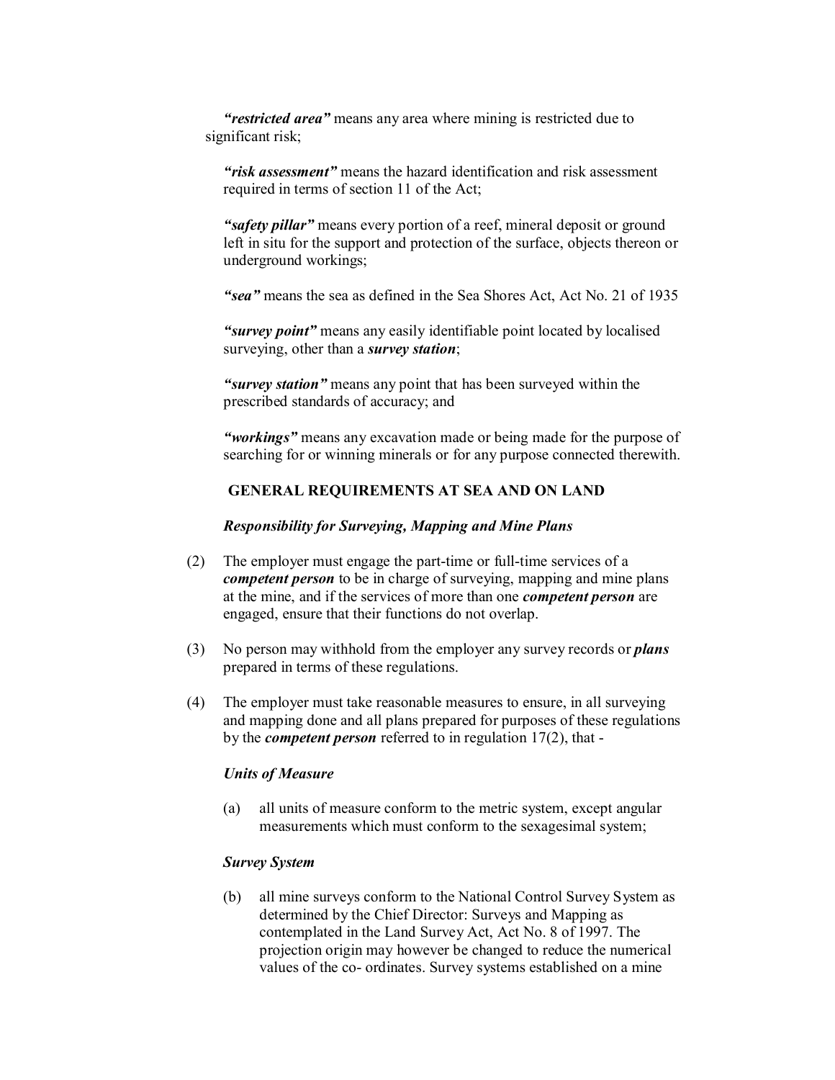*"restricted area"* means any area where mining is restricted due to significant risk;

*"risk assessment"* means the hazard identification and risk assessment required in terms of section 11 of the Act;

*"safety pillar"* means every portion of a reef, mineral deposit or ground left in situ for the support and protection of the surface, objects thereon or underground workings;

*"sea"* means the sea as defined in the Sea Shores Act, Act No. 21 of 1935

*"survey point"* means any easily identifiable point located by localised surveying, other than a *survey station*;

*"survey station"* means any point that has been surveyed within the prescribed standards of accuracy; and

*"workings"* means any excavation made or being made for the purpose of searching for or winning minerals or for any purpose connected therewith.

## **GENERAL REQUIREMENTS AT SEA AND ON LAND**

#### *Responsibility for Surveying, Mapping and Mine Plans*

- (2) The employer must engage the part-time or full-time services of a *competent person* to be in charge of surveying, mapping and mine plans at the mine, and if the services of more than one *competent person* are engaged, ensure that their functions do not overlap.
- (3) No person may withhold from the employer any survey records or *plans* prepared in terms of these regulations.
- (4) The employer must take reasonable measures to ensure, in all surveying and mapping done and all plans prepared for purposes of these regulations by the *competent person* referred to in regulation 17(2), that

#### *Units of Measure*

(a) all units of measure conform to the metric system, except angular measurements which must conform to the sexagesimal system;

## *Survey System*

(b) all mine surveys conform to the National Control Survey System as determined by the Chief Director: Surveys and Mapping as contemplated in the Land Survey Act, Act No. 8 of 1997. The projection origin may however be changed to reduce the numerical values of the co- ordinates. Survey systems established on a mine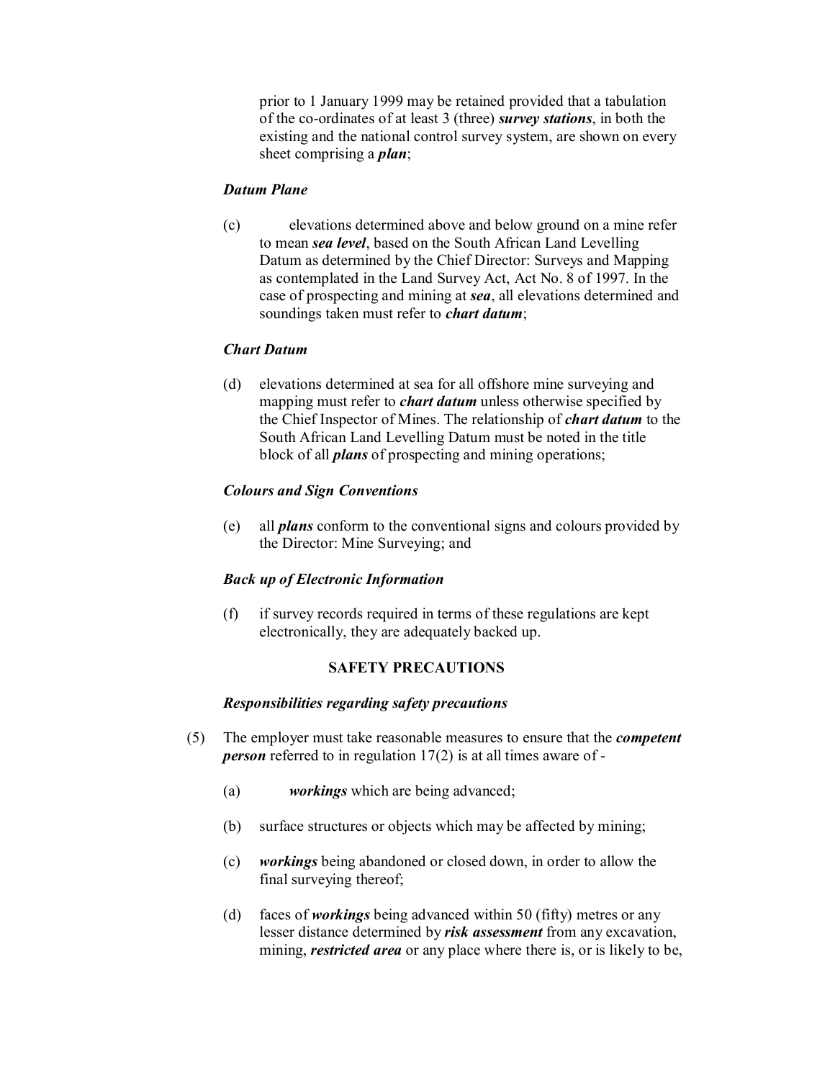prior to 1 January 1999 may be retained provided that a tabulation of the co-ordinates of at least 3 (three) *survey stations*, in both the existing and the national control survey system, are shown on every sheet comprising a *plan*;

### *Datum Plane*

(c) elevations determined above and below ground on a mine refer to mean *sea level*, based on the South African Land Levelling Datum as determined by the Chief Director: Surveys and Mapping as contemplated in the Land Survey Act, Act No. 8 of 1997. In the case of prospecting and mining at *sea*, all elevations determined and soundings taken must refer to *chart datum*;

### *Chart Datum*

(d) elevations determined at sea for all offshore mine surveying and mapping must refer to *chart datum* unless otherwise specified by the Chief Inspector of Mines. The relationship of *chart datum* to the South African Land Levelling Datum must be noted in the title block of all *plans* of prospecting and mining operations;

### *Colours and Sign Conventions*

(e) all *plans* conform to the conventional signs and colours provided by the Director: Mine Surveying; and

#### *Back up of Electronic Information*

(f) if survey records required in terms of these regulations are kept electronically, they are adequately backed up.

### **SAFETY PRECAUTIONS**

#### *Responsibilities regarding safety precautions*

- (5) The employer must take reasonable measures to ensure that the *competent person* referred to in regulation 17(2) is at all times aware of -
	- (a) *workings* which are being advanced;
	- (b) surface structures or objects which may be affected by mining;
	- (c) *workings* being abandoned or closed down, in order to allow the final surveying thereof;
	- (d) faces of *workings* being advanced within 50 (fifty) metres or any lesser distance determined by *risk assessment* from any excavation, mining, *restricted area* or any place where there is, or is likely to be,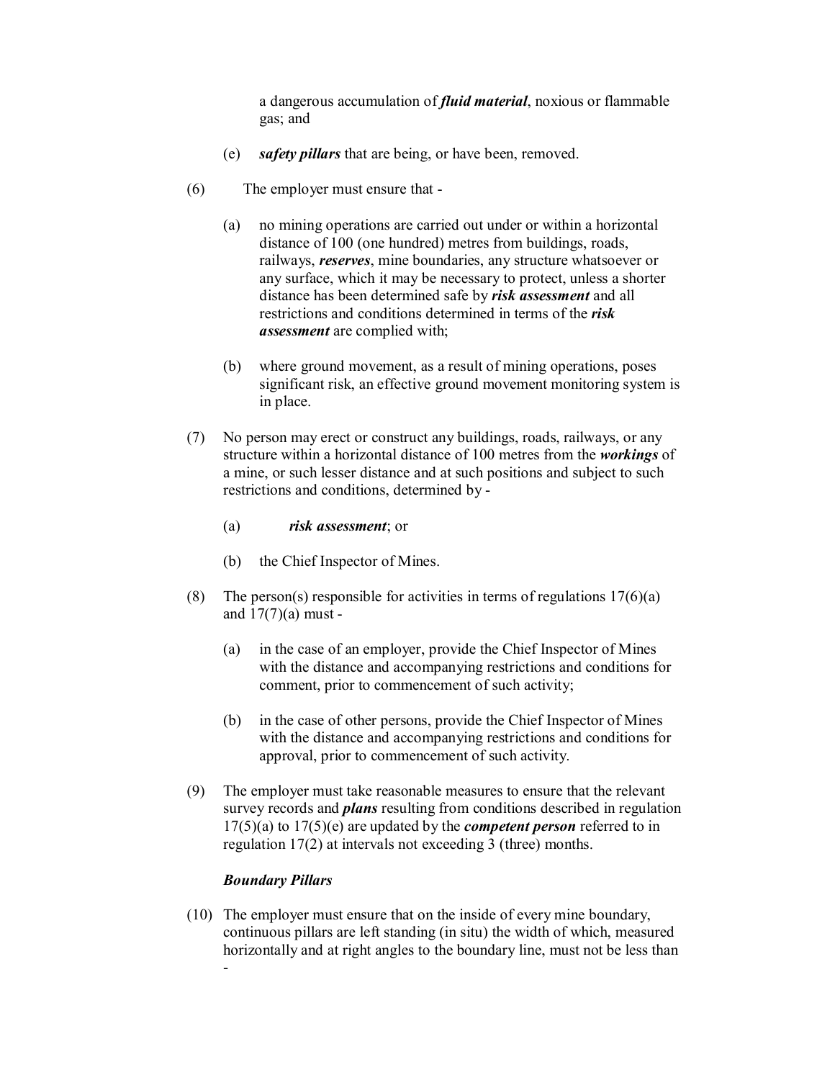a dangerous accumulation of *fluid material*, noxious or flammable gas; and

- (e) *safety pillars* that are being, or have been, removed.
- (6) The employer must ensure that
	- (a) no mining operations are carried out under or within a horizontal distance of 100 (one hundred) metres from buildings, roads, railways, *reserves*, mine boundaries, any structure whatsoever or any surface, which it may be necessary to protect, unless a shorter distance has been determined safe by *risk assessment* and all restrictions and conditions determined in terms of the *risk assessment* are complied with;
	- (b) where ground movement, as a result of mining operations, poses significant risk, an effective ground movement monitoring system is in place.
- (7) No person may erect or construct any buildings, roads, railways, or any structure within a horizontal distance of 100 metres from the *workings* of a mine, or such lesser distance and at such positions and subject to such restrictions and conditions, determined by
	- (a) *risk assessment*; or
	- (b) the Chief Inspector of Mines.
- (8) The person(s) responsible for activities in terms of regulations  $17(6)(a)$ and  $17(7)(a)$  must -
	- (a) in the case of an employer, provide the Chief Inspector of Mines with the distance and accompanying restrictions and conditions for comment, prior to commencement of such activity;
	- (b) in the case of other persons, provide the Chief Inspector of Mines with the distance and accompanying restrictions and conditions for approval, prior to commencement of such activity.
- (9) The employer must take reasonable measures to ensure that the relevant survey records and *plans* resulting from conditions described in regulation 17(5)(a) to 17(5)(e) are updated by the *competent person* referred to in regulation 17(2) at intervals not exceeding 3 (three) months.

## *Boundary Pillars*

(10) The employer must ensure that on the inside of every mine boundary, continuous pillars are left standing (in situ) the width of which, measured horizontally and at right angles to the boundary line, must not be less than -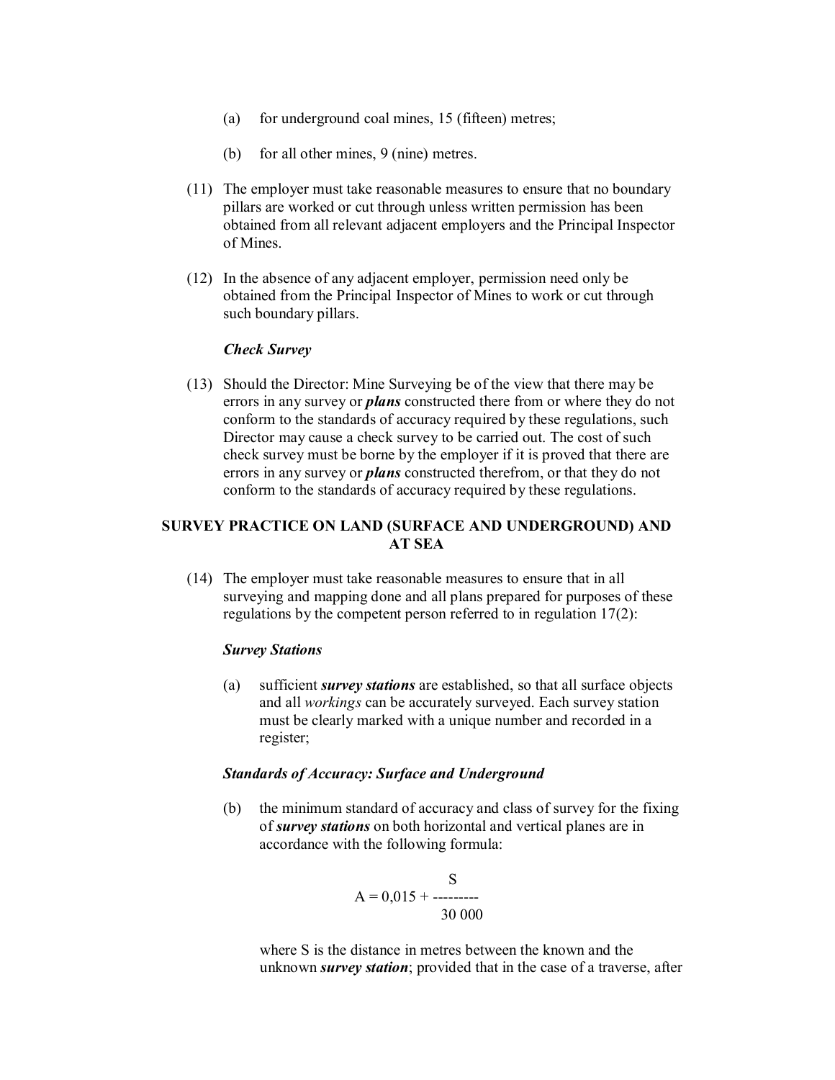- (a) for underground coal mines, 15 (fifteen) metres;
- (b) for all other mines, 9 (nine) metres.
- (11) The employer must take reasonable measures to ensure that no boundary pillars are worked or cut through unless written permission has been obtained from all relevant adjacent employers and the Principal Inspector of Mines.
- (12) In the absence of any adjacent employer, permission need only be obtained from the Principal Inspector of Mines to work or cut through such boundary pillars.

#### *Check Survey*

(13) Should the Director: Mine Surveying be of the view that there may be errors in any survey or *plans* constructed there from or where they do not conform to the standards of accuracy required by these regulations, such Director may cause a check survey to be carried out. The cost of such check survey must be borne by the employer if it is proved that there are errors in any survey or *plans* constructed therefrom, or that they do not conform to the standards of accuracy required by these regulations.

## **SURVEY PRACTICE ON LAND (SURFACE AND UNDERGROUND) AND AT SEA**

(14) The employer must take reasonable measures to ensure that in all surveying and mapping done and all plans prepared for purposes of these regulations by the competent person referred to in regulation 17(2):

#### *Survey Stations*

(a) sufficient *survey stations* are established, so that all surface objects and all *workings* can be accurately surveyed. Each survey station must be clearly marked with a unique number and recorded in a register;

#### *Standards of Accuracy: Surface and Underground*

(b) the minimum standard of accuracy and class of survey for the fixing of *survey stations* on both horizontal and vertical planes are in accordance with the following formula:

$$
A = 0.015 + \frac{S}{30000}
$$

where S is the distance in metres between the known and the unknown *survey station*; provided that in the case of a traverse, after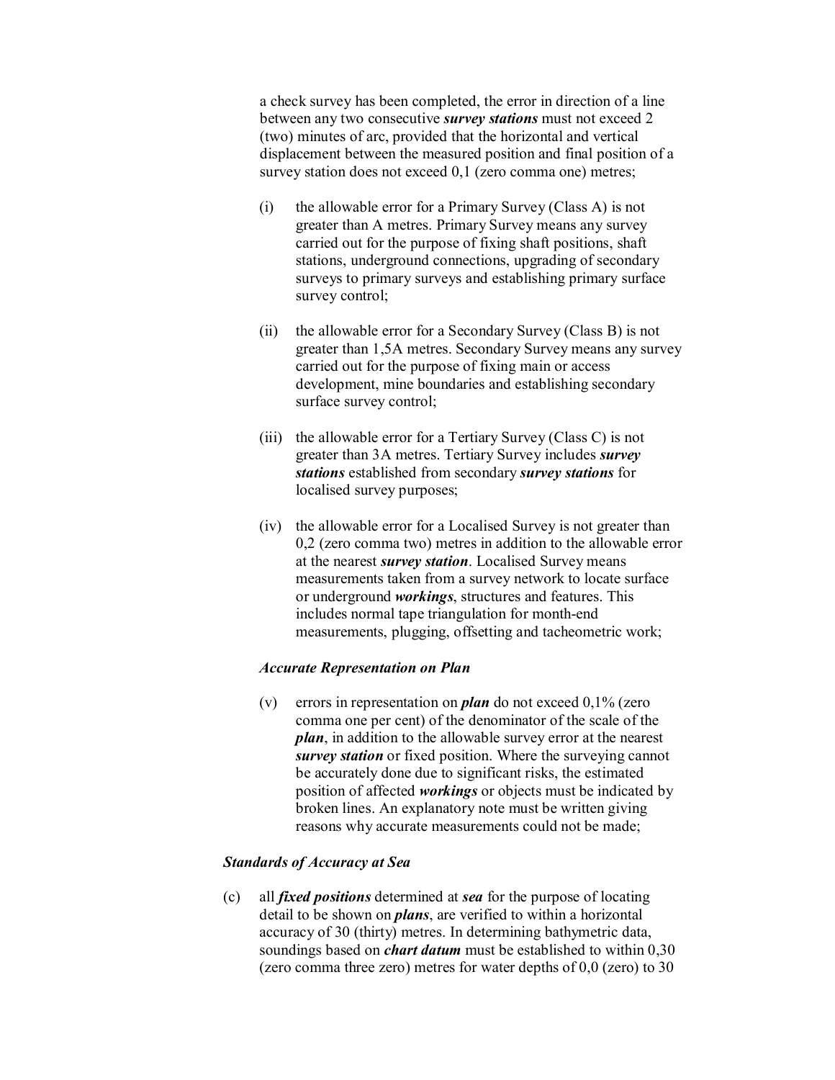a check survey has been completed, the error in direction of a line between any two consecutive *survey stations* must not exceed 2 (two) minutes of arc, provided that the horizontal and vertical displacement between the measured position and final position of a survey station does not exceed 0,1 (zero comma one) metres;

- (i) the allowable error for a Primary Survey (Class A) is not greater than A metres. Primary Survey means any survey carried out for the purpose of fixing shaft positions, shaft stations, underground connections, upgrading of secondary surveys to primary surveys and establishing primary surface survey control;
- (ii) the allowable error for a Secondary Survey (Class B) is not greater than 1,5A metres. Secondary Survey means any survey carried out for the purpose of fixing main or access development, mine boundaries and establishing secondary surface survey control;
- (iii) the allowable error for a Tertiary Survey (Class C) is not greater than 3A metres. Tertiary Survey includes *survey stations* established from secondary *survey stations* for localised survey purposes;
- (iv) the allowable error for a Localised Survey is not greater than 0,2 (zero comma two) metres in addition to the allowable error at the nearest *survey station*. Localised Survey means measurements taken from a survey network to locate surface or underground *workings*, structures and features. This includes normal tape triangulation for month-end measurements, plugging, offsetting and tacheometric work;

#### *Accurate Representation on Plan*

(v) errors in representation on *plan* do not exceed 0,1% (zero comma one per cent) of the denominator of the scale of the *plan*, in addition to the allowable survey error at the nearest *survey station* or fixed position. Where the surveying cannot be accurately done due to significant risks, the estimated position of affected *workings* or objects must be indicated by broken lines. An explanatory note must be written giving reasons why accurate measurements could not be made;

## *Standards of Accuracy at Sea*

(c) all *fixed positions* determined at *sea* for the purpose of locating detail to be shown on *plans*, are verified to within a horizontal accuracy of 30 (thirty) metres. In determining bathymetric data, soundings based on *chart datum* must be established to within 0,30 (zero comma three zero) metres for water depths of 0,0 (zero) to 30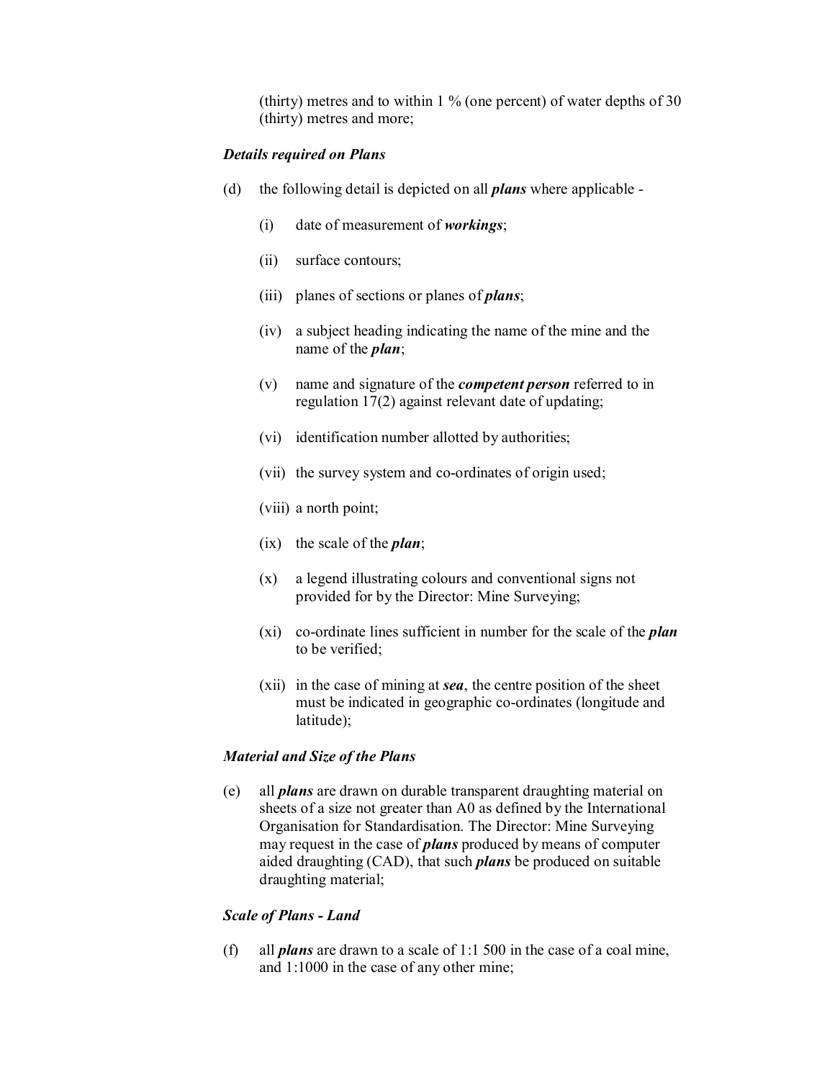(thirty) metres and to within 1 % (one percent) of water depths of 30 (thirty) metres and more;

#### *Details required on Plans*

- (d) the following detail is depicted on all *plans* where applicable
	- (i) date of measurement of *workings*;
	- (ii) surface contours;
	- (iii) planes of sections or planes of *plans*;
	- (iv) a subject heading indicating the name of the mine and the name of the *plan*;
	- (v) name and signature of the *competent person* referred to in regulation 17(2) against relevant date of updating;
	- (vi) identification number allotted by authorities;
	- (vii) the survey system and co-ordinates of origin used;
	- (viii) a north point;
	- (ix) the scale of the *plan*;
	- (x) a legend illustrating colours and conventional signs not provided for by the Director: Mine Surveying;
	- (xi) co-ordinate lines sufficient in number for the scale of the *plan* to be verified;
	- (xii) in the case of mining at *sea*, the centre position of the sheet must be indicated in geographic co-ordinates (longitude and latitude);

#### *Material and Size of the Plans*

(e) all *plans* are drawn on durable transparent draughting material on sheets of a size not greater than A0 as defined by the International Organisation for Standardisation. The Director: Mine Surveying may request in the case of *plans* produced by means of computer aided draughting (CAD), that such *plans* be produced on suitable draughting material;

## *Scale of Plans Land*

(f) all *plans* are drawn to a scale of 1:1 500 in the case of a coal mine, and 1:1000 in the case of any other mine;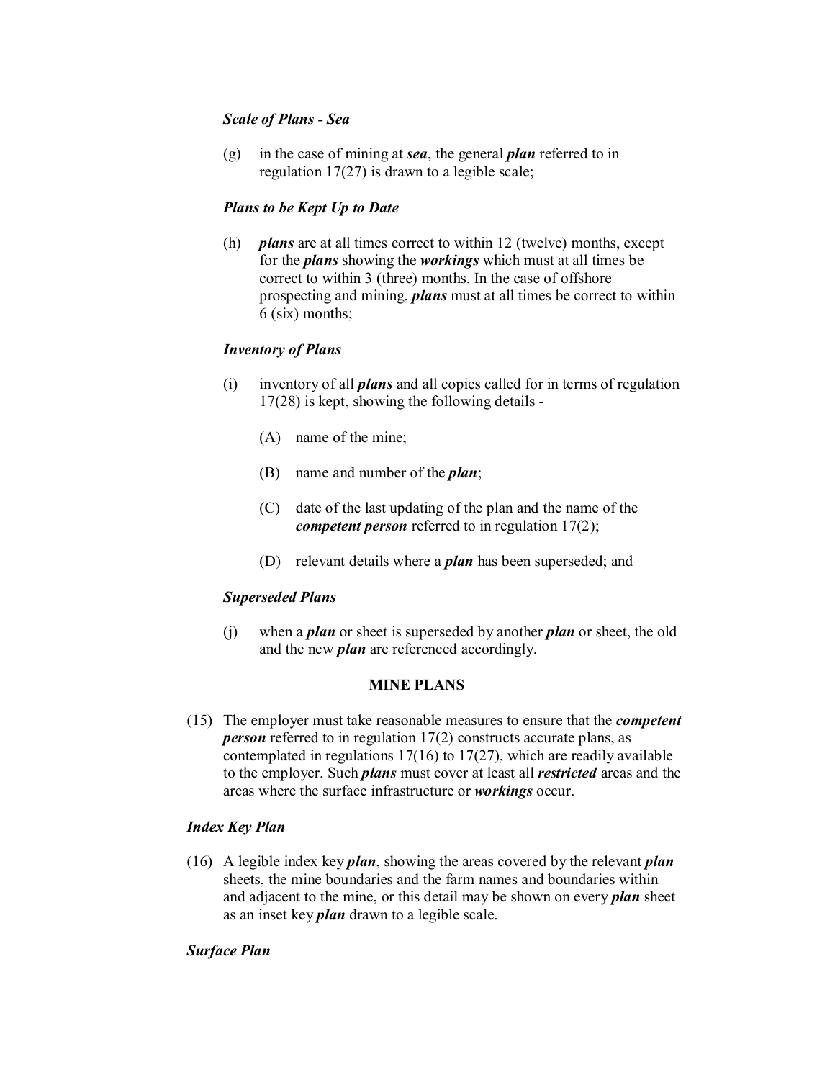# *Scale of Plans Sea*

(g) in the case of mining at *sea*, the general *plan* referred to in regulation 17(27) is drawn to a legible scale;

## *Plans to be Kept Up to Date*

(h) *plans* are at all times correct to within 12 (twelve) months, except for the *plans* showing the *workings* which must at all times be correct to within 3 (three) months. In the case of offshore prospecting and mining, *plans* must at all times be correct to within 6 (six) months;

## *Inventory of Plans*

- (i) inventory of all *plans* and all copies called for in terms of regulation 17(28) is kept, showing the following details
	- (A) name of the mine;
	- (B) name and number of the *plan*;
	- (C) date of the last updating of the plan and the name of the *competent person* referred to in regulation 17(2);
	- (D) relevant details where a *plan* has been superseded; and

## *Superseded Plans*

(j) when a *plan* or sheet is superseded by another *plan* or sheet, the old and the new *plan* are referenced accordingly.

## **MINE PLANS**

(15) The employer must take reasonable measures to ensure that the *competent person* referred to in regulation 17(2) constructs accurate plans, as contemplated in regulations  $17(16)$  to  $17(27)$ , which are readily available to the employer. Such *plans* must cover at least all *restricted* areas and the areas where the surface infrastructure or *workings* occur.

## *Index Key Plan*

(16) A legible index key *plan*, showing the areas covered by the relevant *plan* sheets, the mine boundaries and the farm names and boundaries within and adjacent to the mine, or this detail may be shown on every *plan* sheet as an inset key *plan* drawn to a legible scale.

## *Surface Plan*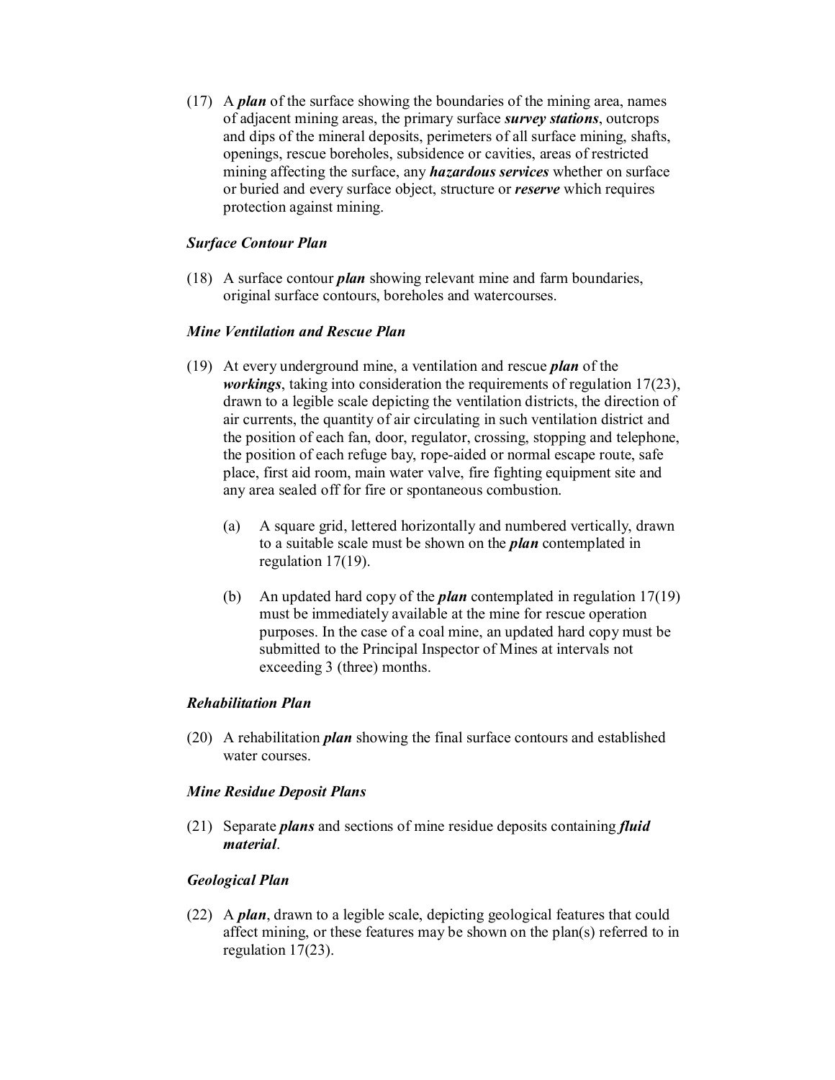(17) A *plan* of the surface showing the boundaries of the mining area, names of adjacent mining areas, the primary surface *survey stations*, outcrops and dips of the mineral deposits, perimeters of all surface mining, shafts, openings, rescue boreholes, subsidence or cavities, areas of restricted mining affecting the surface, any *hazardous services* whether on surface or buried and every surface object, structure or *reserve* which requires protection against mining.

# *Surface Contour Plan*

(18) A surface contour *plan* showing relevant mine and farm boundaries, original surface contours, boreholes and watercourses.

### *Mine Ventilation and Rescue Plan*

- (19) At every underground mine, a ventilation and rescue *plan* of the *workings*, taking into consideration the requirements of regulation 17(23), drawn to a legible scale depicting the ventilation districts, the direction of air currents, the quantity of air circulating in such ventilation district and the position of each fan, door, regulator, crossing, stopping and telephone, the position of each refuge bay, rope-aided or normal escape route, safe place, first aid room, main water valve, fire fighting equipment site and any area sealed off for fire or spontaneous combustion.
	- (a) A square grid, lettered horizontally and numbered vertically, drawn to a suitable scale must be shown on the *plan* contemplated in regulation 17(19).
	- (b) An updated hard copy of the *plan* contemplated in regulation 17(19) must be immediately available at the mine for rescue operation purposes. In the case of a coal mine, an updated hard copy must be submitted to the Principal Inspector of Mines at intervals not exceeding 3 (three) months.

#### *Rehabilitation Plan*

(20) A rehabilitation *plan* showing the final surface contours and established water courses.

## *Mine Residue Deposit Plans*

(21) Separate *plans* and sections of mine residue deposits containing *fluid material*.

## *Geological Plan*

(22) A *plan*, drawn to a legible scale, depicting geological features that could affect mining, or these features may be shown on the plan(s) referred to in regulation 17(23).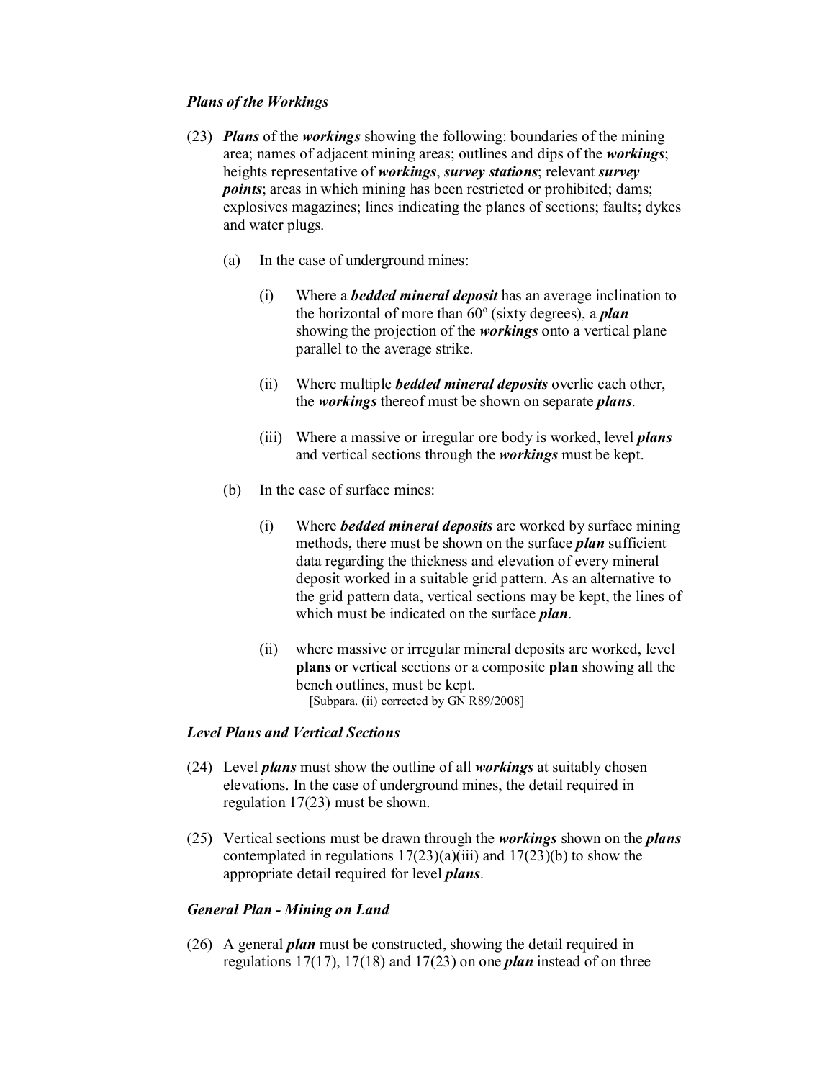## *Plans of the Workings*

- (23) *Plans* of the *workings* showing the following: boundaries of the mining area; names of adjacent mining areas; outlines and dips of the *workings*; heights representative of *workings*, *survey stations*; relevant *survey points*; areas in which mining has been restricted or prohibited; dams; explosives magazines; lines indicating the planes of sections; faults; dykes and water plugs.
	- (a) In the case of underground mines:
		- (i) Where a *bedded mineral deposit* has an average inclination to the horizontal of more than 60º (sixty degrees), a *plan* showing the projection of the *workings* onto a vertical plane parallel to the average strike.
		- (ii) Where multiple *bedded mineral deposits* overlie each other, the *workings* thereof must be shown on separate *plans*.
		- (iii) Where a massive or irregular ore body is worked, level *plans* and vertical sections through the *workings* must be kept.
	- (b) In the case of surface mines:
		- (i) Where *bedded mineral deposits* are worked by surface mining methods, there must be shown on the surface *plan* sufficient data regarding the thickness and elevation of every mineral deposit worked in a suitable grid pattern. As an alternative to the grid pattern data, vertical sections may be kept, the lines of which must be indicated on the surface *plan*.
		- (ii) where massive or irregular mineral deposits are worked, level **plans** or vertical sections or a composite **plan** showing all the bench outlines, must be kept. [Subpara. (ii) corrected by GN R89/2008]

#### *Level Plans and Vertical Sections*

- (24) Level *plans* must show the outline of all *workings* at suitably chosen elevations. In the case of underground mines, the detail required in regulation 17(23) must be shown.
- (25) Vertical sections must be drawn through the *workings* shown on the *plans* contemplated in regulations  $17(23)(a)(iii)$  and  $17(23)(b)$  to show the appropriate detail required for level *plans*.

## *General Plan Mining on Land*

(26) A general *plan* must be constructed, showing the detail required in regulations 17(17), 17(18) and 17(23) on one *plan* instead of on three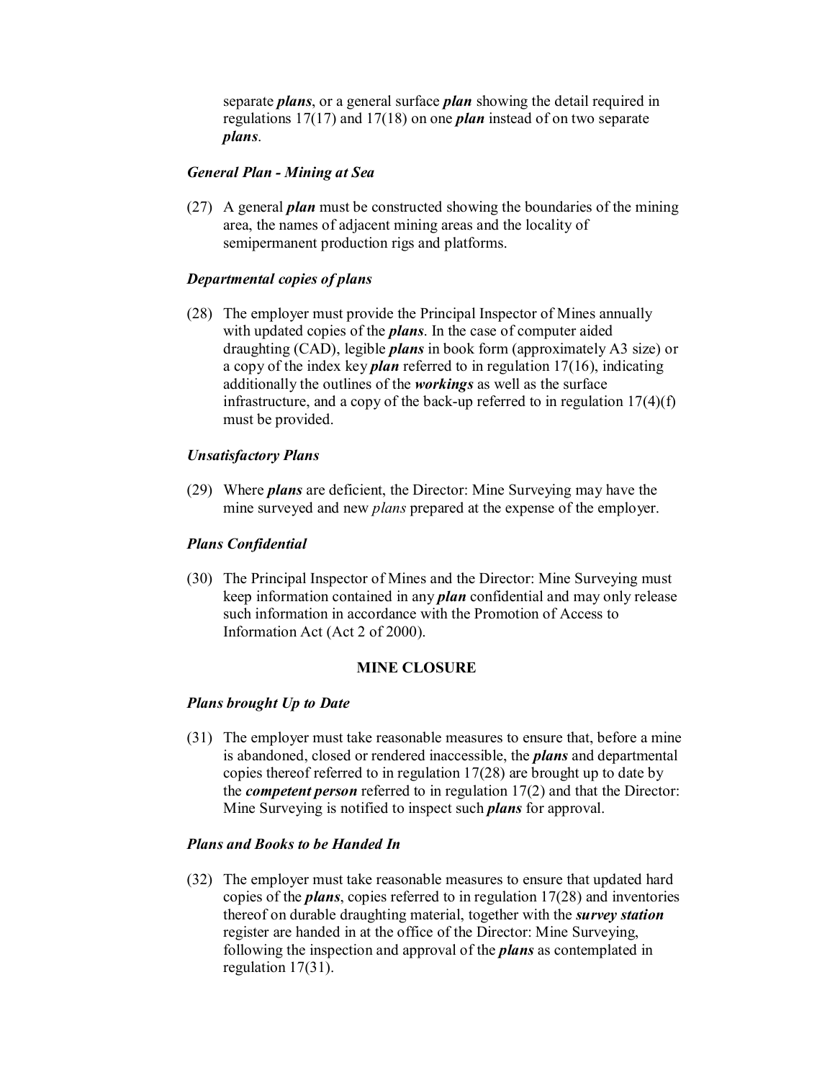separate *plans*, or a general surface *plan* showing the detail required in regulations 17(17) and 17(18) on one *plan* instead of on two separate *plans*.

### *General Plan Mining at Sea*

(27) A general *plan* must be constructed showing the boundaries of the mining area, the names of adjacent mining areas and the locality of semipermanent production rigs and platforms.

## *Departmental copies of plans*

(28) The employer must provide the Principal Inspector of Mines annually with updated copies of the *plans*. In the case of computer aided draughting (CAD), legible *plans* in book form (approximately A3 size) or a copy of the index key *plan* referred to in regulation 17(16), indicating additionally the outlines of the *workings* as well as the surface infrastructure, and a copy of the back-up referred to in regulation  $17(4)(f)$ must be provided.

## *Unsatisfactory Plans*

(29) Where *plans* are deficient, the Director: Mine Surveying may have the mine surveyed and new *plans* prepared at the expense of the employer.

#### *Plans Confidential*

(30) The Principal Inspector of Mines and the Director: Mine Surveying must keep information contained in any *plan* confidential and may only release such information in accordance with the Promotion of Access to Information Act (Act 2 of 2000).

### **MINE CLOSURE**

#### *Plans brought Up to Date*

(31) The employer must take reasonable measures to ensure that, before a mine is abandoned, closed or rendered inaccessible, the *plans* and departmental copies thereof referred to in regulation 17(28) are brought up to date by the *competent person* referred to in regulation 17(2) and that the Director: Mine Surveying is notified to inspect such *plans* for approval.

#### *Plans and Books to be Handed In*

(32) The employer must take reasonable measures to ensure that updated hard copies of the *plans*, copies referred to in regulation 17(28) and inventories thereof on durable draughting material, together with the *survey station* register are handed in at the office of the Director: Mine Surveying, following the inspection and approval of the *plans* as contemplated in regulation 17(31).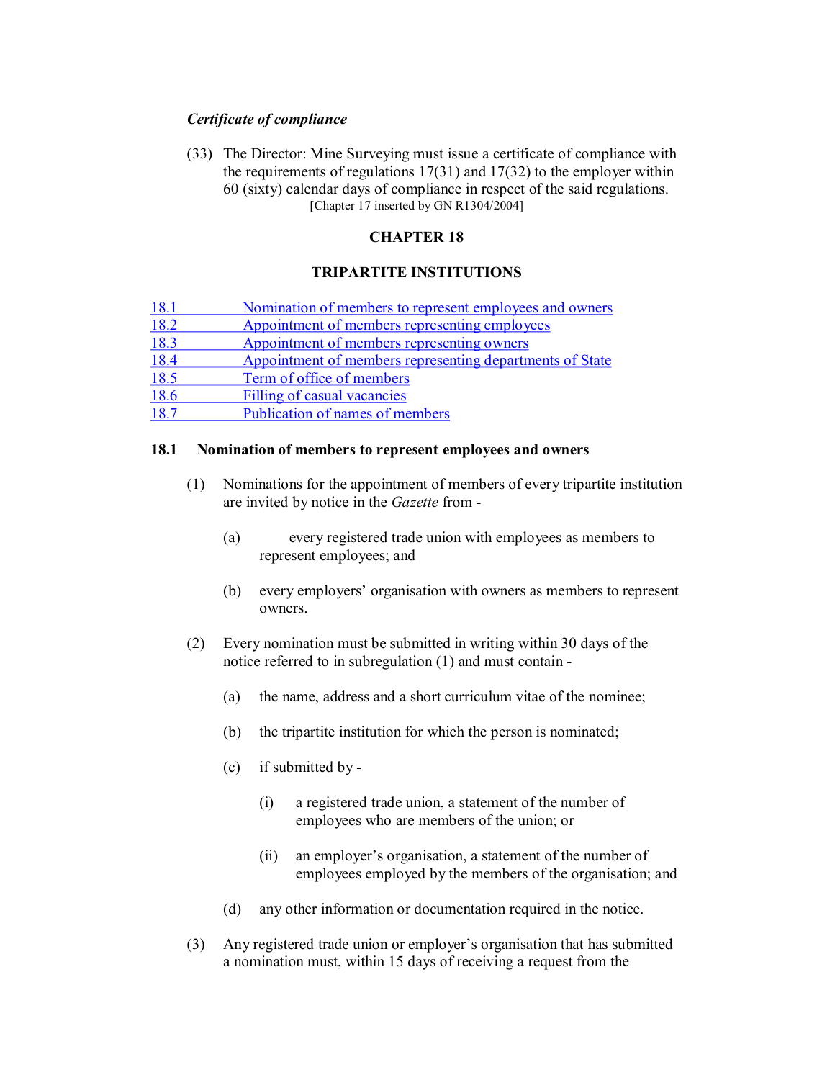## *Certificate of compliance*

(33) The Director: Mine Surveying must issue a certificate of compliance with the requirements of regulations  $17(31)$  and  $17(32)$  to the employer within 60 (sixty) calendar days of compliance in respect of the said regulations. [Chapter 17 inserted by GN R1304/2004]

# **CHAPTER 18**

# **TRIPARTITE INSTITUTIONS**

| 18.1 | Nomination of members to represent employees and owners  |
|------|----------------------------------------------------------|
| 18.2 | Appointment of members representing employees            |
| 18.3 | Appointment of members representing owners               |
| 18.4 | Appointment of members representing departments of State |
| 18.5 | Term of office of members                                |
| 18.6 | Filling of casual vacancies                              |
| 18.7 | Publication of names of members                          |

### **18.1 Nomination of members to represent employees and owners**

- (1) Nominations for the appointment of members of every tripartite institution are invited by notice in the *Gazette* from
	- (a) every registered trade union with employees as members to represent employees; and
	- (b) every employers' organisation with owners as members to represent owners.
- (2) Every nomination must be submitted in writing within 30 days of the notice referred to in subregulation (1) and must contain
	- (a) the name, address and a short curriculum vitae of the nominee;
	- (b) the tripartite institution for which the person is nominated;
	- (c) if submitted by
		- (i) a registered trade union, a statement of the number of employees who are members of the union; or
		- (ii) an employer's organisation, a statement of the number of employees employed by the members of the organisation; and
	- (d) any other information or documentation required in the notice.
- (3) Any registered trade union or employer's organisation that has submitted a nomination must, within 15 days of receiving a request from the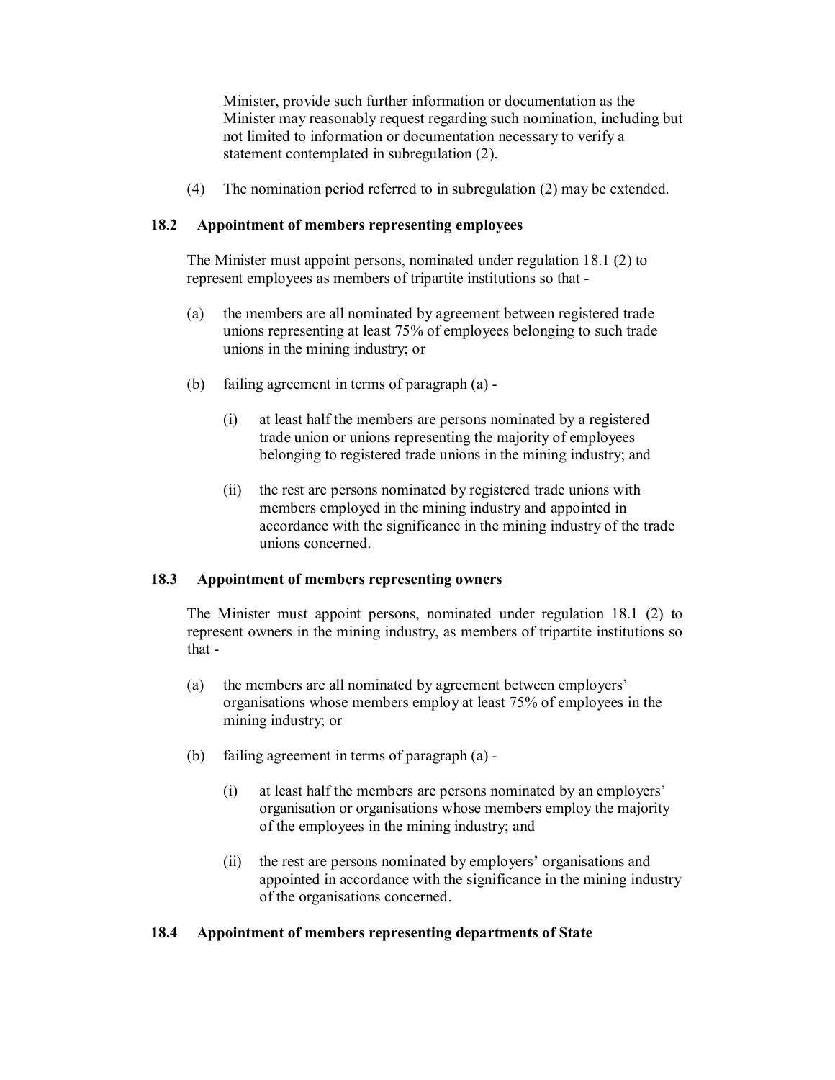Minister, provide such further information or documentation as the Minister may reasonably request regarding such nomination, including but not limited to information or documentation necessary to verify a statement contemplated in subregulation (2).

(4) The nomination period referred to in subregulation (2) may be extended.

## **18.2 Appointment of members representing employees**

The Minister must appoint persons, nominated under regulation 18.1 (2) to represent employees as members of tripartite institutions so that

- (a) the members are all nominated by agreement between registered trade unions representing at least 75% of employees belonging to such trade unions in the mining industry; or
- (b) failing agreement in terms of paragraph (a)
	- (i) at least half the members are persons nominated by a registered trade union or unions representing the majority of employees belonging to registered trade unions in the mining industry; and
	- (ii) the rest are persons nominated by registered trade unions with members employed in the mining industry and appointed in accordance with the significance in the mining industry of the trade unions concerned.

## **18.3 Appointment of members representing owners**

The Minister must appoint persons, nominated under regulation 18.1 (2) to represent owners in the mining industry, as members of tripartite institutions so that

- (a) the members are all nominated by agreement between employers' organisations whose members employ at least 75% of employees in the mining industry; or
- (b) failing agreement in terms of paragraph (a)
	- (i) at least half the members are persons nominated by an employers' organisation or organisations whose members employ the majority of the employees in the mining industry; and
	- (ii) the rest are persons nominated by employers' organisations and appointed in accordance with the significance in the mining industry of the organisations concerned.

## **18.4 Appointment of members representing departments of State**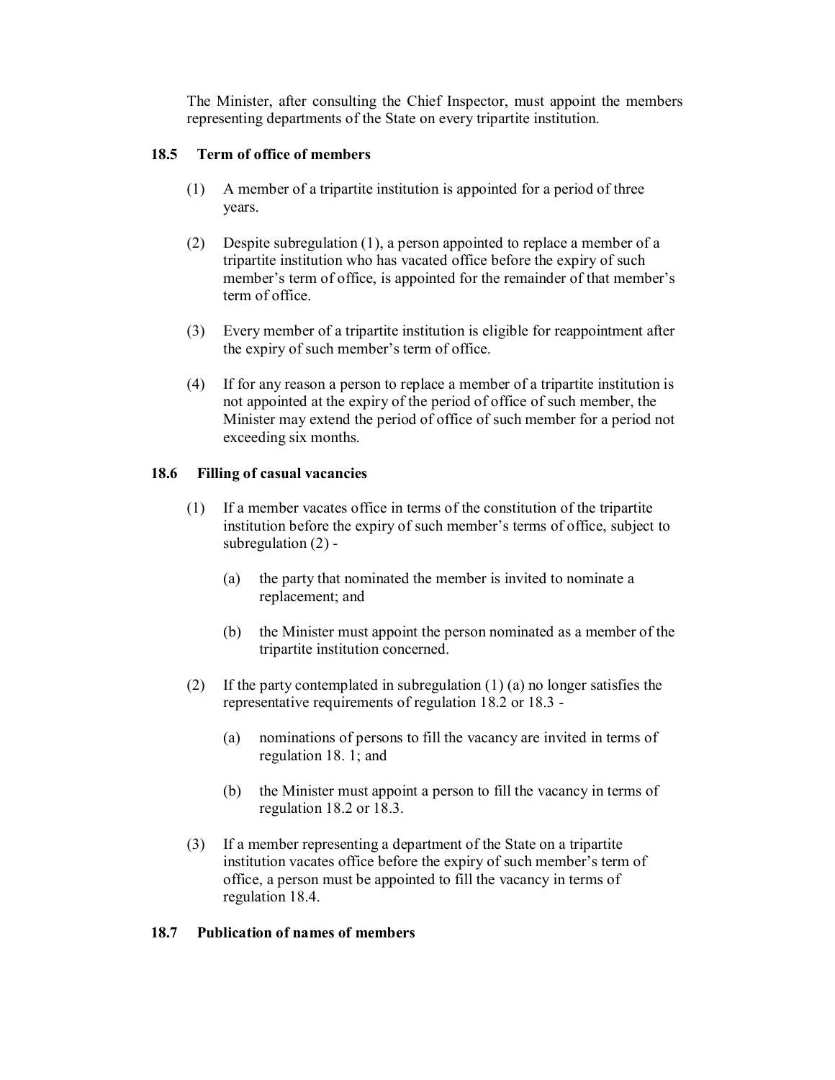The Minister, after consulting the Chief Inspector, must appoint the members representing departments of the State on every tripartite institution.

### **18.5 Term of office of members**

- (1) A member of a tripartite institution is appointed for a period of three years.
- (2) Despite subregulation (1), a person appointed to replace a member of a tripartite institution who has vacated office before the expiry of such member's term of office, is appointed for the remainder of that member's term of office.
- (3) Every member of a tripartite institution is eligible for reappointment after the expiry of such member's term of office.
- (4) If for any reason a person to replace a member of a tripartite institution is not appointed at the expiry of the period of office of such member, the Minister may extend the period of office of such member for a period not exceeding six months.

### **18.6 Filling of casual vacancies**

- (1) If a member vacates office in terms of the constitution of the tripartite institution before the expiry of such member's terms of office, subject to subregulation  $(2)$  -
	- (a) the party that nominated the member is invited to nominate a replacement; and
	- (b) the Minister must appoint the person nominated as a member of the tripartite institution concerned.
- (2) If the party contemplated in subregulation (1) (a) no longer satisfies the representative requirements of regulation 18.2 or 18.3
	- (a) nominations of persons to fill the vacancy are invited in terms of regulation 18. 1; and
	- (b) the Minister must appoint a person to fill the vacancy in terms of regulation 18.2 or 18.3.
- (3) If a member representing a department of the State on a tripartite institution vacates office before the expiry of such member's term of office, a person must be appointed to fill the vacancy in terms of regulation 18.4.

## **18.7 Publication of names of members**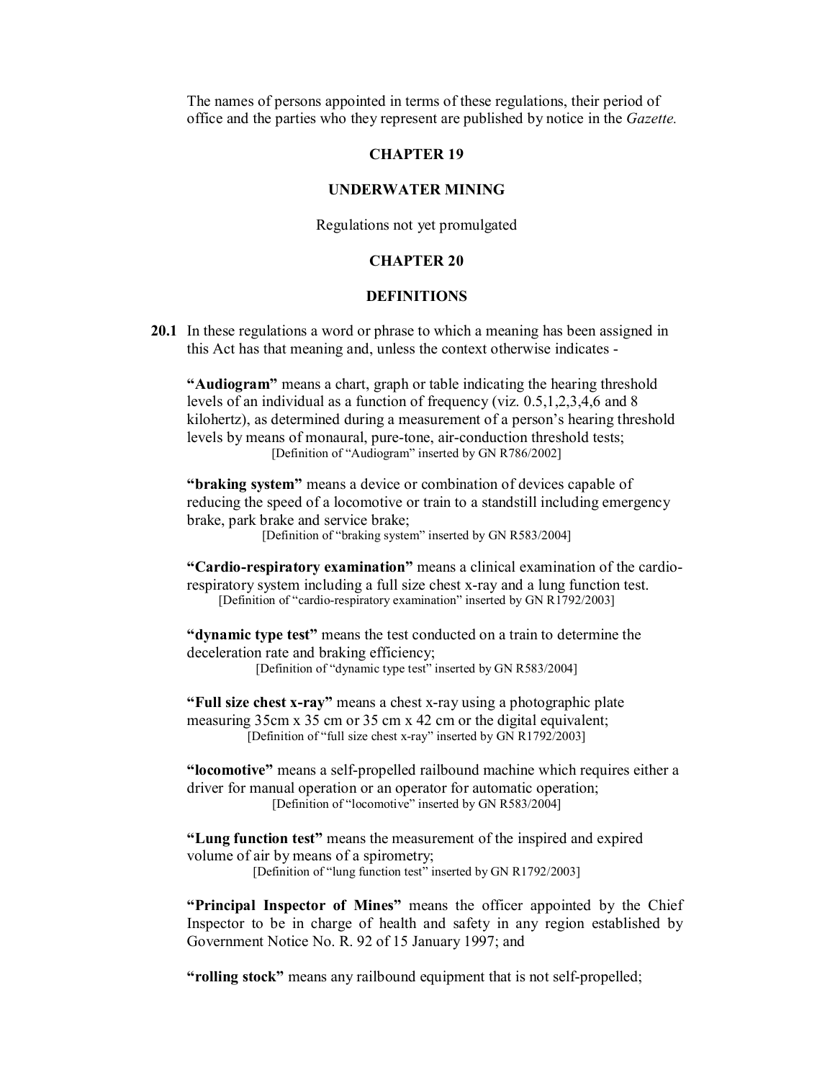The names of persons appointed in terms of these regulations, their period of office and the parties who they represent are published by notice in the *Gazette.*

#### **CHAPTER 19**

#### **UNDERWATER MINING**

Regulations not yet promulgated

#### **CHAPTER 20**

#### **DEFINITIONS**

**20.1** In these regulations a word or phrase to which a meaning has been assigned in this Act has that meaning and, unless the context otherwise indicates

**"Audiogram"** means a chart, graph or table indicating the hearing threshold levels of an individual as a function of frequency (viz. 0.5,1,2,3,4,6 and 8 kilohertz), as determined during a measurement of a person's hearing threshold levels by means of monaural, pure-tone, air-conduction threshold tests; [Definition of "Audiogram" inserted by GN R786/2002]

**"braking system"** means a device or combination of devices capable of reducing the speed of a locomotive or train to a standstill including emergency brake, park brake and service brake;

[Definition of "braking system" inserted by GN R583/2004]

"Cardio-respiratory examination" means a clinical examination of the cardiorespiratory system including a full size chest x-ray and a lung function test. [Definition of "cardio-respiratory examination" inserted by GN R1792/2003]

**"dynamic type test"** means the test conducted on a train to determine the deceleration rate and braking efficiency;

[Definition of "dynamic type test" inserted by GN R583/2004]

"**Full size chest x-ray**" means a chest x-ray using a photographic plate measuring 35cm x 35 cm or 35 cm x 42 cm or the digital equivalent; [Definition of "full size chest x-ray" inserted by  $GN \, R1792/2003$ ]

"locomotive" means a self-propelled railbound machine which requires either a driver for manual operation or an operator for automatic operation; [Definition of "locomotive" inserted by GN R583/2004]

**"Lung function test"** means the measurement of the inspired and expired volume of air by means of a spirometry;

[Definition of "lung function test" inserted by GN R1792/2003]

**"Principal Inspector of Mines"** means the officer appointed by the Chief Inspector to be in charge of health and safety in any region established by Government Notice No. R. 92 of 15 January 1997; and

"**rolling stock**" means any railbound equipment that is not self-propelled;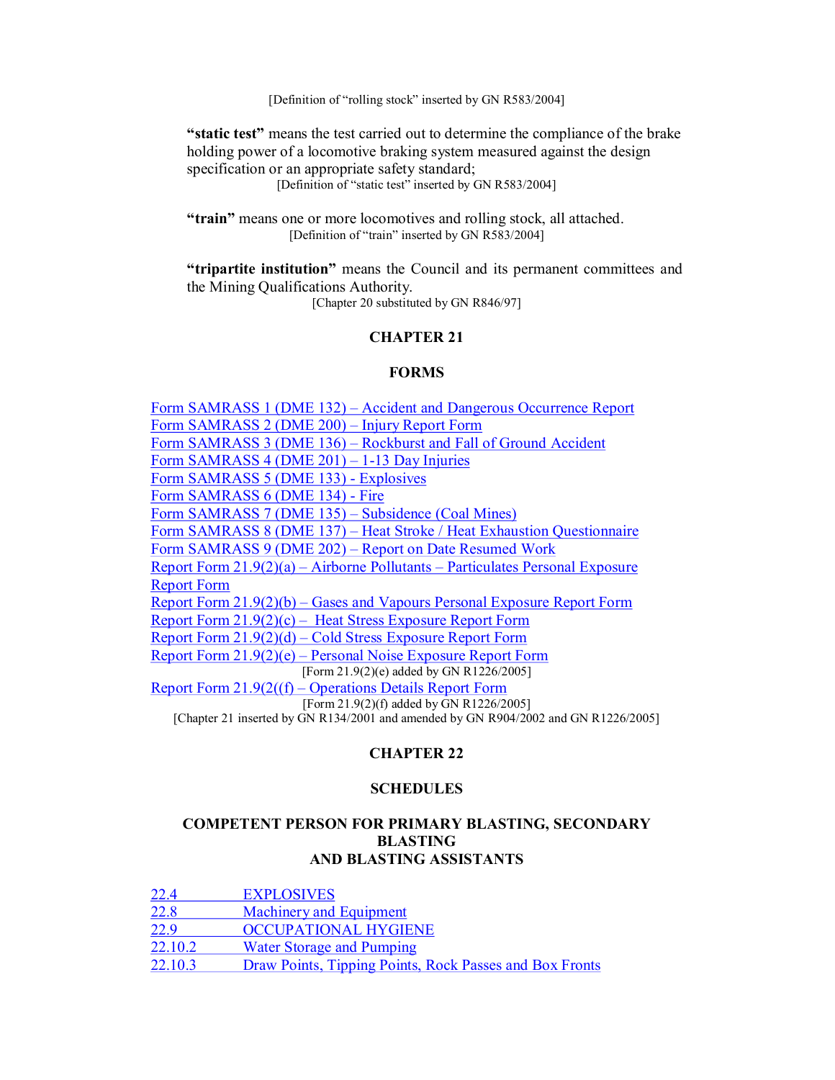[Definition of "rolling stock" inserted by GN R583/2004]

**"static test"** means the test carried out to determine the compliance of the brake holding power of a locomotive braking system measured against the design specification or an appropriate safety standard;

[Definition of "static test" inserted by GN R583/2004]

**"train"** means one or more locomotives and rolling stock, all attached. [Definition of "train" inserted by GN R583/2004]

**"tripartite institution"** means the Council and its permanent committees and the Mining Qualifications Authority.

[Chapter 20 substituted by GN R846/97]

# **CHAPTER 21**

#### **FORMS**

Form SAMRASS 1 (DME 132) – Accident and Dangerous Occurrence Report Form SAMRASS 2 (DME 200) – Injury Report Form Form SAMRASS 3 (DME 136) – Rockburst and Fall of Ground Accident Form SAMRASS  $4(DME 201) - 1-13 Day Injuries$ Form SAMRASS 5 (DME 133) - Explosives Form SAMRASS 6 (DME 134) - Fire Form SAMRASS 7 (DME 135) – Subsidence (Coal Mines) Form SAMRASS 8 (DME 137) – Heat Stroke / Heat Exhaustion Questionnaire Form SAMRASS 9 (DME 202) – Report on Date Resumed Work Report Form 21.9(2)(a) – Airborne Pollutants – Particulates Personal Exposure Report Form Report Form 21.9(2)(b) – Gases and Vapours Personal Exposure Report Form Report Form 21.9(2)(c) – Heat Stress Exposure Report Form Report Form 21.9(2)(d) – Cold Stress Exposure Report Form Report Form 21.9(2)(e) – Personal Noise Exposure Report Form [Form 21.9(2)(e) added by GN R1226/2005] Report Form 21.9(2((f) – Operations Details Report Form [Form 21.9(2)(f) added by GN R1226/2005] [Chapter 21 inserted by GN R134/2001 and amended by GN R904/2002 and GN R1226/2005]

## **CHAPTER 22**

#### **SCHEDULES**

### **COMPETENT PERSON FOR PRIMARY BLASTING, SECONDARY BLASTING AND BLASTING ASSISTANTS**

| 22.4    | <b>EXPLOSIVES</b>                                       |
|---------|---------------------------------------------------------|
| 22.8    | <b>Machinery and Equipment</b>                          |
| 22.9    | <b>OCCUPATIONAL HYGIENE</b>                             |
| 22.10.2 | <b>Water Storage and Pumping</b>                        |
| 22.10.3 | Draw Points, Tipping Points, Rock Passes and Box Fronts |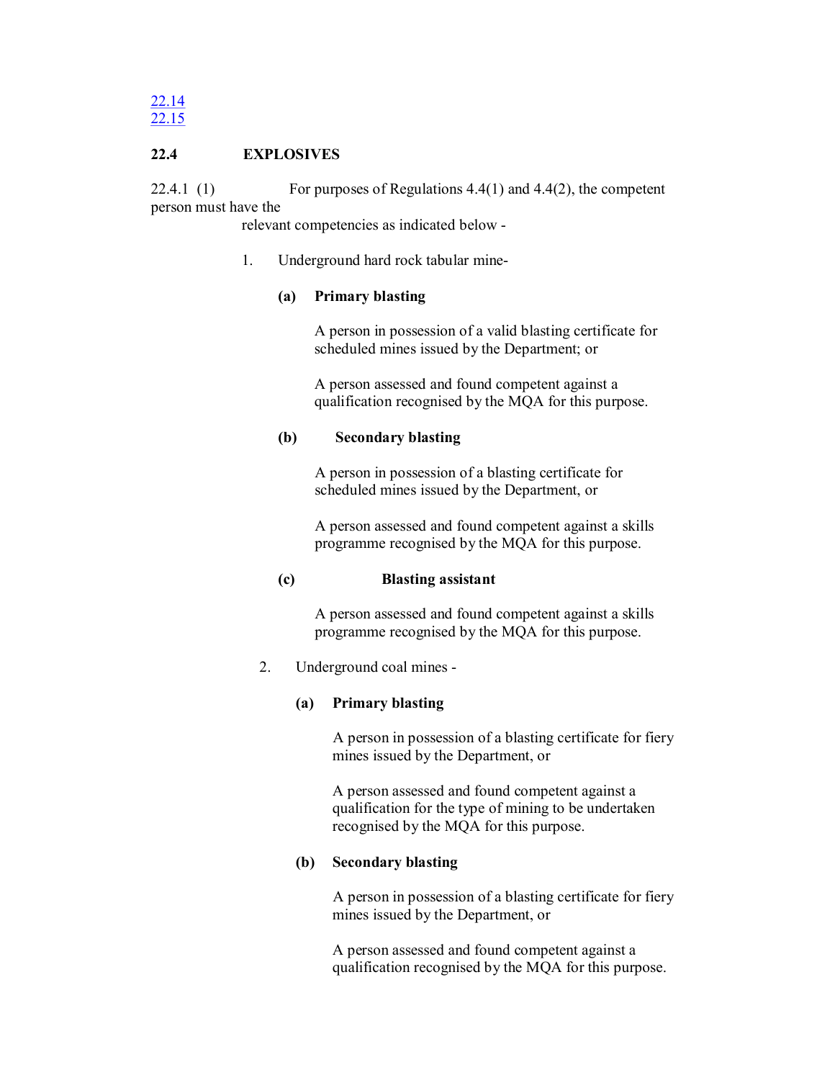# **22.4 EXPLOSIVES**

22.4.1 (1) For purposes of Regulations  $4.4(1)$  and  $4.4(2)$ , the competent person must have the

relevant competencies as indicated below

1. Underground hard rock tabular mine

# **(a) Primary blasting**

A person in possession of a valid blasting certificate for scheduled mines issued by the Department; or

A person assessed and found competent against a qualification recognised by the MQA for this purpose.

## **(b) Secondary blasting**

A person in possession of a blasting certificate for scheduled mines issued by the Department, or

A person assessed and found competent against a skills programme recognised by the MQA for this purpose.

## **(c) Blasting assistant**

A person assessed and found competent against a skills programme recognised by the MQA for this purpose.

# 2. Underground coal mines

# **(a) Primary blasting**

A person in possession of a blasting certificate for fiery mines issued by the Department, or

A person assessed and found competent against a qualification for the type of mining to be undertaken recognised by the MQA for this purpose.

# **(b) Secondary blasting**

A person in possession of a blasting certificate for fiery mines issued by the Department, or

A person assessed and found competent against a qualification recognised by the MQA for this purpose.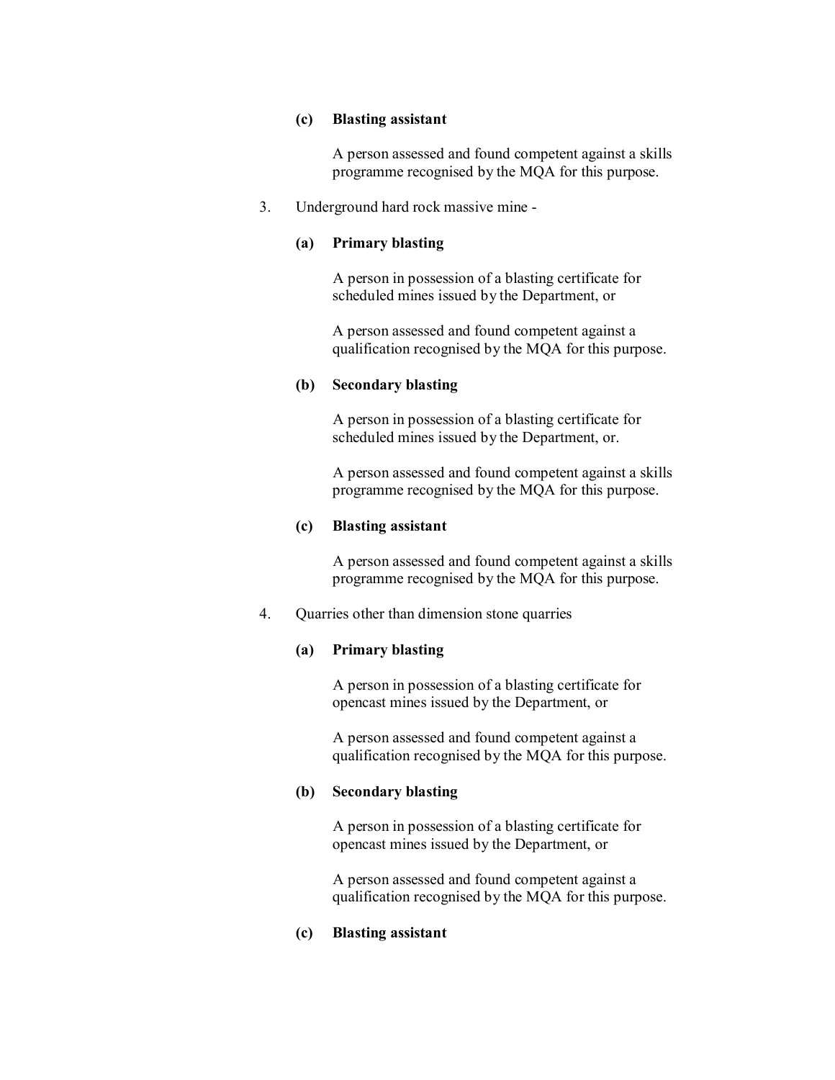### **(c) Blasting assistant**

A person assessed and found competent against a skills programme recognised by the MQA for this purpose.

### 3. Underground hard rock massive mine

### **(a) Primary blasting**

A person in possession of a blasting certificate for scheduled mines issued by the Department, or

A person assessed and found competent against a qualification recognised by the MQA for this purpose.

### **(b) Secondary blasting**

A person in possession of a blasting certificate for scheduled mines issued by the Department, or.

A person assessed and found competent against a skills programme recognised by the MQA for this purpose.

### **(c) Blasting assistant**

A person assessed and found competent against a skills programme recognised by the MQA for this purpose.

4. Quarries other than dimension stone quarries

## **(a) Primary blasting**

A person in possession of a blasting certificate for opencast mines issued by the Department, or

A person assessed and found competent against a qualification recognised by the MQA for this purpose.

#### **(b) Secondary blasting**

A person in possession of a blasting certificate for opencast mines issued by the Department, or

A person assessed and found competent against a qualification recognised by the MQA for this purpose.

## **(c) Blasting assistant**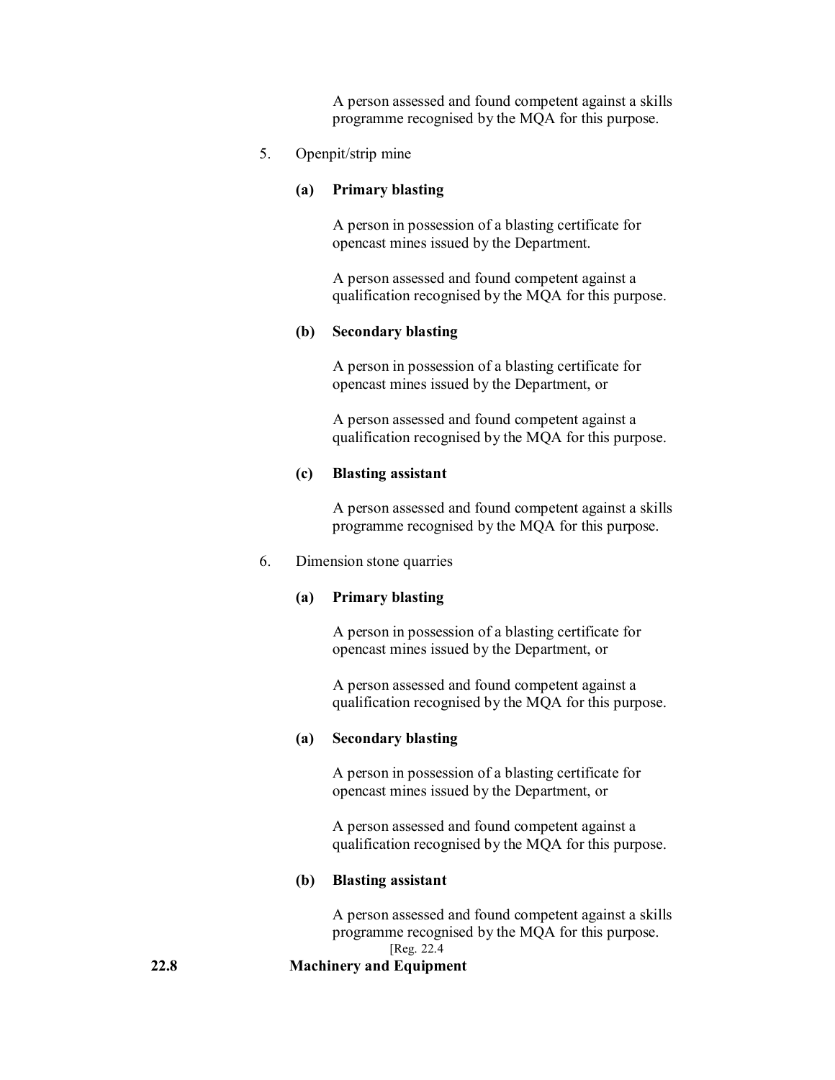A person assessed and found competent against a skills programme recognised by the MQA for this purpose.

#### 5. Openpit/strip mine

#### **(a) Primary blasting**

A person in possession of a blasting certificate for opencast mines issued by the Department.

A person assessed and found competent against a qualification recognised by the MQA for this purpose.

# **(b) Secondary blasting**

A person in possession of a blasting certificate for opencast mines issued by the Department, or

A person assessed and found competent against a qualification recognised by the MQA for this purpose.

### **(c) Blasting assistant**

A person assessed and found competent against a skills programme recognised by the MQA for this purpose.

#### 6. Dimension stone quarries

#### **(a) Primary blasting**

A person in possession of a blasting certificate for opencast mines issued by the Department, or

A person assessed and found competent against a qualification recognised by the MQA for this purpose.

#### **(a) Secondary blasting**

A person in possession of a blasting certificate for opencast mines issued by the Department, or

A person assessed and found competent against a qualification recognised by the MQA for this purpose.

### **(b) Blasting assistant**

A person assessed and found competent against a skills programme recognised by the MQA for this purpose. [Reg. 22.4

#### **22.8 Machinery and Equipment**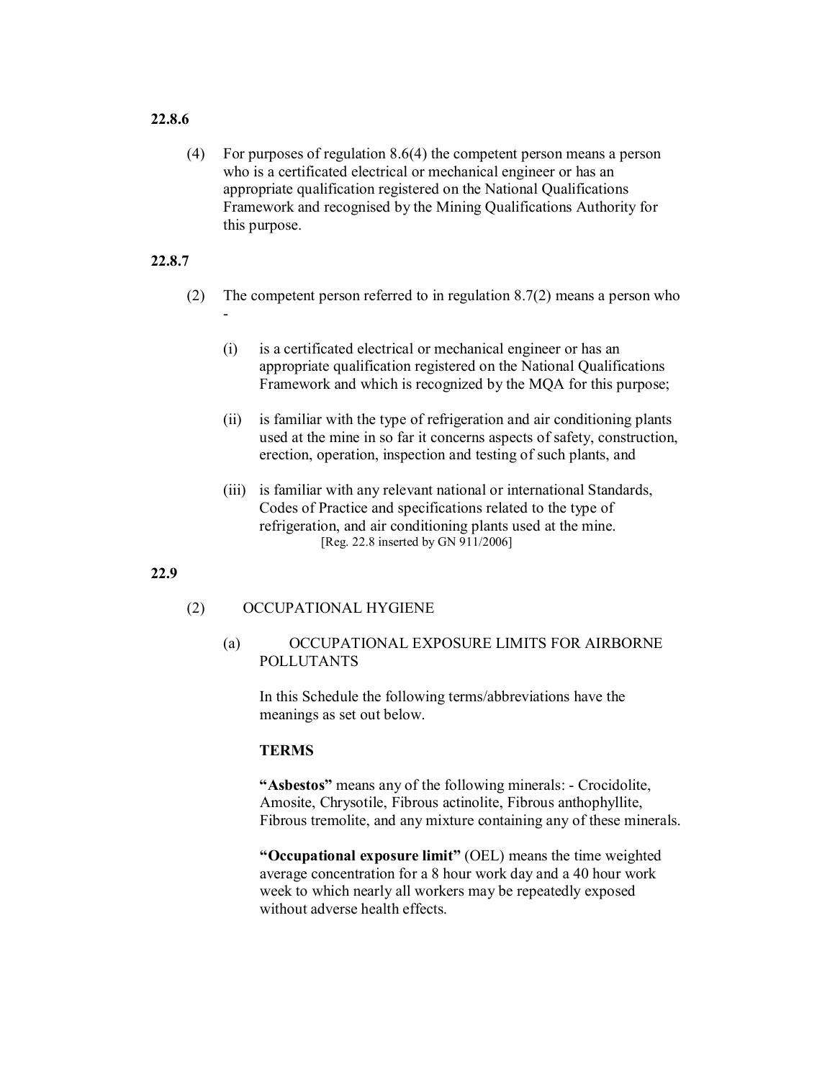# **22.8.6**

(4) For purposes of regulation 8.6(4) the competent person means a person who is a certificated electrical or mechanical engineer or has an appropriate qualification registered on the National Qualifications Framework and recognised by the Mining Qualifications Authority for this purpose.

# **22.8.7**

- (2) The competent person referred to in regulation 8.7(2) means a person who  $\blacksquare$ 
	- (i) is a certificated electrical or mechanical engineer or has an appropriate qualification registered on the National Qualifications Framework and which is recognized by the MQA for this purpose;
	- (ii) is familiar with the type of refrigeration and air conditioning plants used at the mine in so far it concerns aspects of safety, construction, erection, operation, inspection and testing of such plants, and
	- (iii) is familiar with any relevant national or international Standards, Codes of Practice and specifications related to the type of refrigeration, and air conditioning plants used at the mine. [Reg. 22.8 inserted by GN 911/2006]

#### **22.9**

### (2) OCCUPATIONAL HYGIENE

# (a) OCCUPATIONAL EXPOSURE LIMITS FOR AIRBORNE POLLUTANTS

In this Schedule the following terms/abbreviations have the meanings as set out below.

## **TERMS**

"Asbestos" means any of the following minerals: - Crocidolite, Amosite, Chrysotile, Fibrous actinolite, Fibrous anthophyllite, Fibrous tremolite, and any mixture containing any of these minerals.

**"Occupational exposure limit"** (OEL) means the time weighted average concentration for a 8 hour work day and a 40 hour work week to which nearly all workers may be repeatedly exposed without adverse health effects.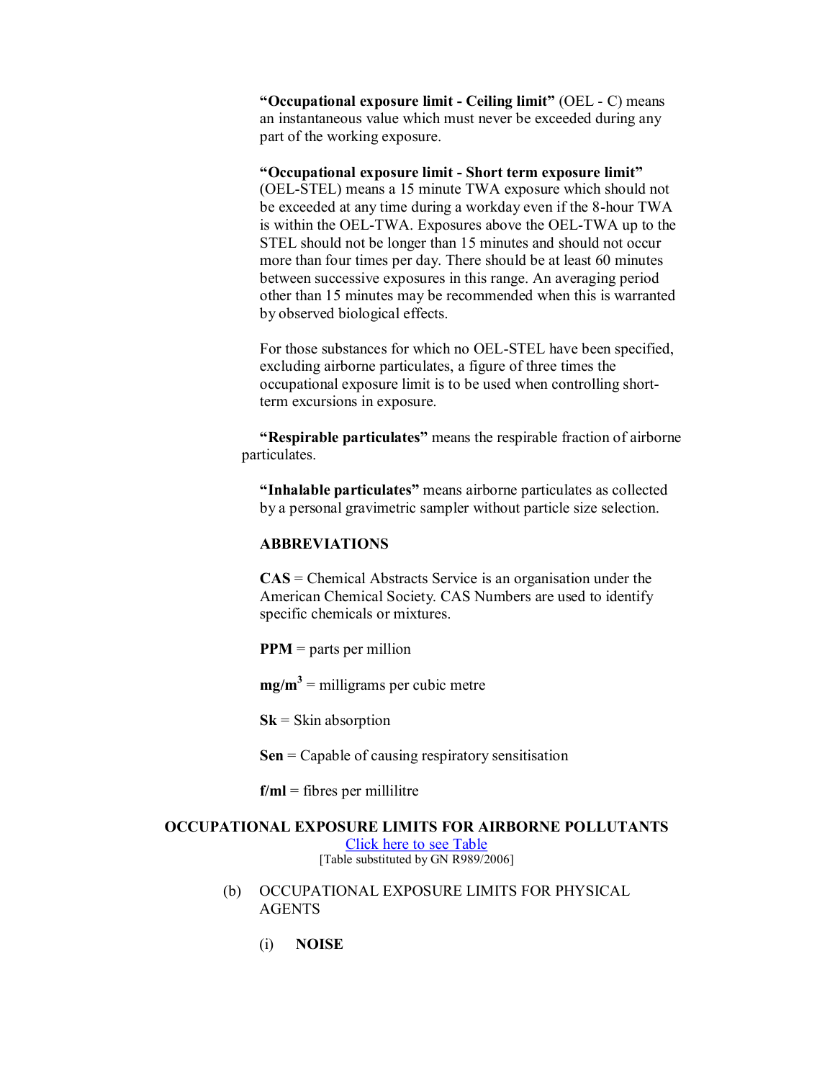**"Occupational exposure limit Ceiling limit"** (OEL C) means an instantaneous value which must never be exceeded during any part of the working exposure.

### **"Occupational exposure limit Short term exposure limit"**

(OEL-STEL) means a 15 minute TWA exposure which should not be exceeded at any time during a workday even if the 8-hour TWA is within the OELTWA. Exposures above the OELTWA up to the STEL should not be longer than 15 minutes and should not occur more than four times per day. There should be at least 60 minutes between successive exposures in this range. An averaging period other than 15 minutes may be recommended when this is warranted by observed biological effects.

For those substances for which no OEL-STEL have been specified, excluding airborne particulates, a figure of three times the occupational exposure limit is to be used when controlling short term excursions in exposure.

**"Respirable particulates"** means the respirable fraction of airborne particulates.

**"Inhalable particulates"** means airborne particulates as collected by a personal gravimetric sampler without particle size selection.

## **ABBREVIATIONS**

**CAS** = Chemical Abstracts Service is an organisation under the American Chemical Society. CAS Numbers are used to identify specific chemicals or mixtures.

**PPM** = parts per million

 $mg/m<sup>3</sup>$  = milligrams per cubic metre

**Sk** = Skin absorption

**Sen** = Capable of causing respiratory sensitisation

 $f/ml =$  fibres per millilitre

# **OCCUPATIONAL EXPOSURE LIMITS FOR AIRBORNE POLLUTANTS**

Click here to see Table [Table substituted by GN R989/2006]

- (b) OCCUPATIONAL EXPOSURE LIMITS FOR PHYSICAL AGENTS
	- (i) **NOISE**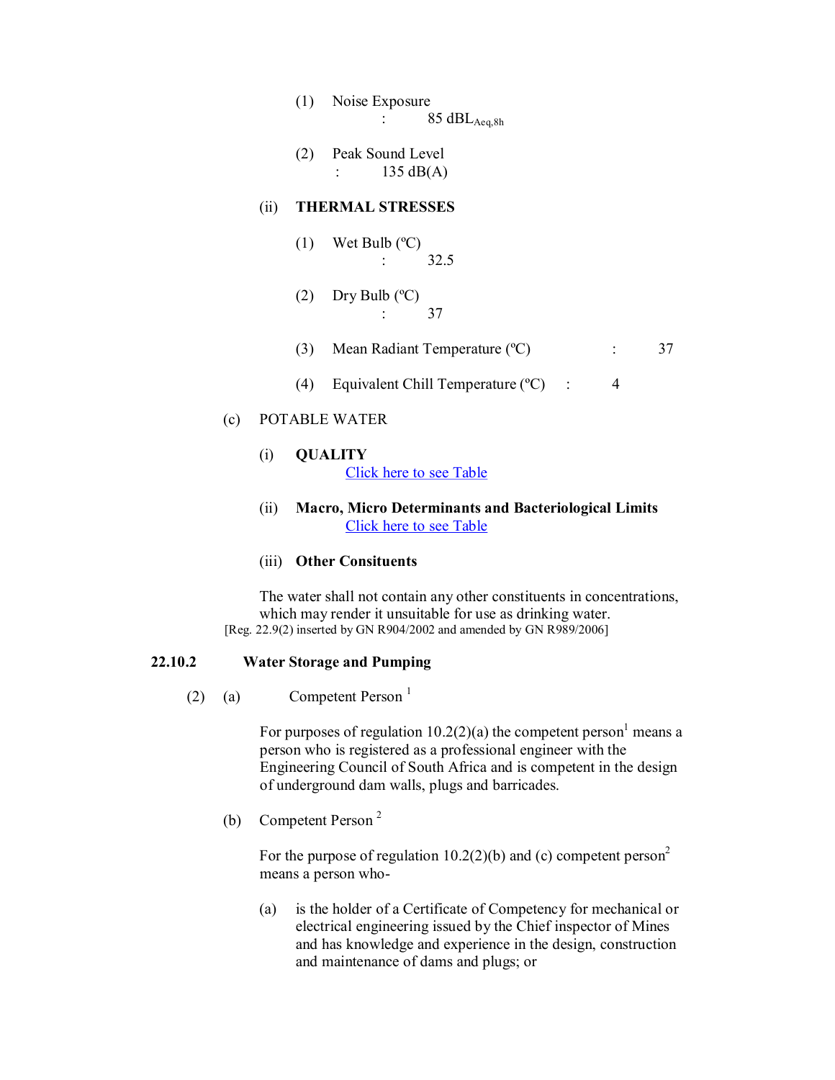- (1) Noise Exposure :  $85 \text{ dBL}_{\text{Aeq,8h}}$
- (2) Peak Sound Level :  $135 \text{ dB}(A)$

### (ii) **THERMAL STRESSES**

- $(1)$  Wet Bulb  $(°C)$ : 32.5
- (2) Dry Bulb  $(^{\circ}C)$ : 37
- (3) Mean Radiant Temperature (°C)  $\qquad \qquad$  : 37
- (4) Equivalent Chill Temperature  $(^{\circ}C)$  : 4

# (c) POTABLE WATER

(i) **QUALITY** Click here to see Table

# (ii) **Macro, Micro Determinants and Bacteriological Limits** Click here to see Table

# (iii) **Other Consituents**

The water shall not contain any other constituents in concentrations, which may render it unsuitable for use as drinking water. [Reg. 22.9(2) inserted by GN R904/2002 and amended by GN R989/2006]

#### **22.10.2 Water Storage and Pumping**

(2) (a) Competent Person<sup>1</sup>

For purposes of regulation 10.2(2)(a) the competent person<sup>1</sup> means a person who is registered as a professional engineer with the Engineering Council of South Africa and is competent in the design of underground dam walls, plugs and barricades.

(b) Competent Person<sup>2</sup>

For the purpose of regulation  $10.2(2)(b)$  and (c) competent person<sup>2</sup> means a person who

(a) is the holder of a Certificate of Competency for mechanical or electrical engineering issued by the Chief inspector of Mines and has knowledge and experience in the design, construction and maintenance of dams and plugs; or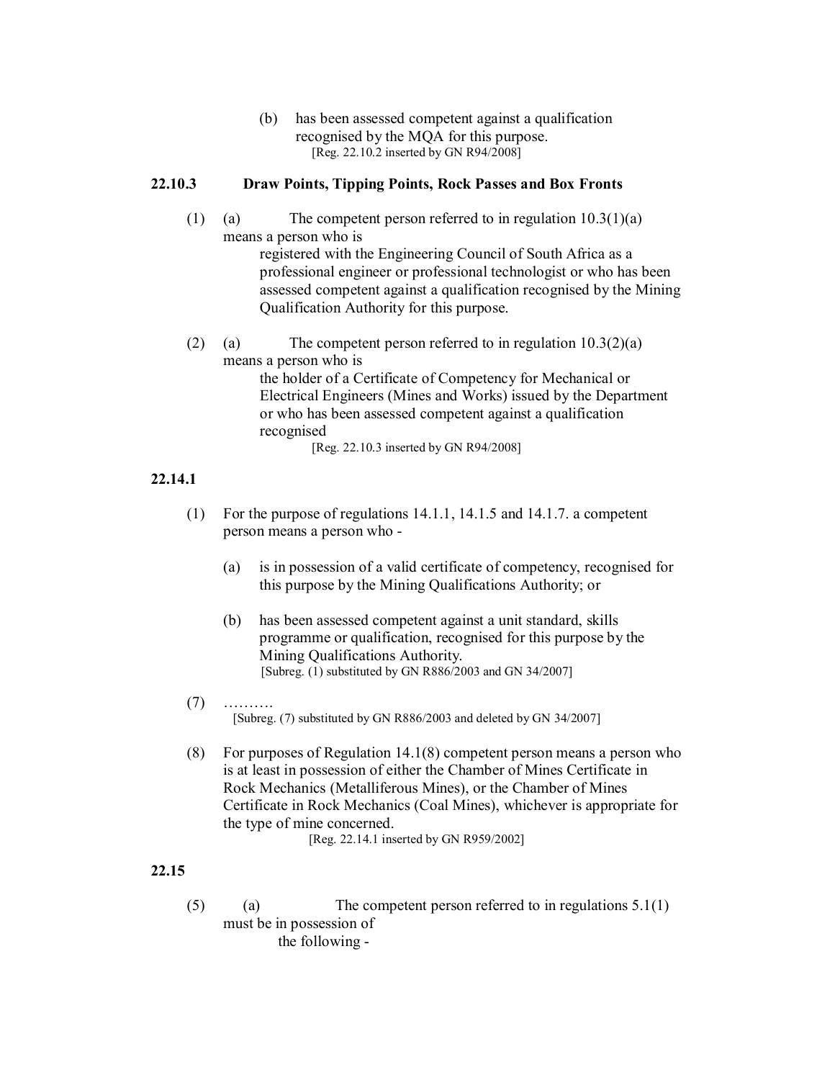(b) has been assessed competent against a qualification recognised by the MQA for this purpose. [Reg. 22.10.2 inserted by GN R94/2008]

# **22.10.3 Draw Points, Tipping Points, Rock Passes and Box Fronts**

- (1) (a) The competent person referred to in regulation  $10.3(1)(a)$ means a person who is registered with the Engineering Council of South Africa as a professional engineer or professional technologist or who has been assessed competent against a qualification recognised by the Mining Qualification Authority for this purpose.
- (2) (a) The competent person referred to in regulation  $10.3(2)(a)$ means a person who is the holder of a Certificate of Competency for Mechanical or Electrical Engineers (Mines and Works) issued by the Department or who has been assessed competent against a qualification recognised [Reg. 22.10.3 inserted by GN R94/2008]

### **22.14.1**

- (1) For the purpose of regulations 14.1.1, 14.1.5 and 14.1.7. a competent person means a person who
	- (a) is in possession of a valid certificate of competency, recognised for this purpose by the Mining Qualifications Authority; or
	- (b) has been assessed competent against a unit standard, skills programme or qualification, recognised for this purpose by the Mining Qualifications Authority. [Subreg. (1) substituted by GN R886/2003 and GN 34/2007]
- (7) ………. [Subreg. (7) substituted by GN R886/2003 and deleted by GN 34/2007]
- (8) For purposes of Regulation 14.1(8) competent person means a person who is at least in possession of either the Chamber of Mines Certificate in Rock Mechanics (Metalliferous Mines), or the Chamber of Mines Certificate in Rock Mechanics (Coal Mines), whichever is appropriate for the type of mine concerned.

[Reg. 22.14.1 inserted by GN R959/2002]

## **22.15**

(5) (a) The competent person referred to in regulations  $5.1(1)$ must be in possession of the following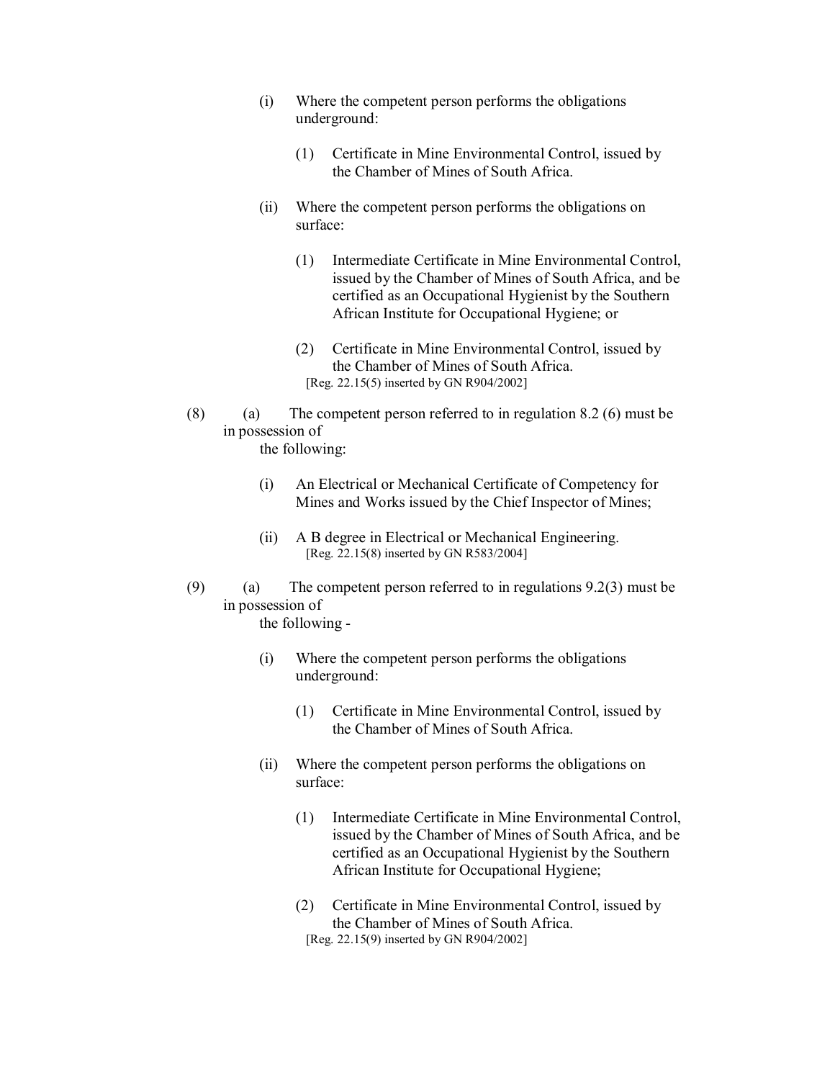- (i) Where the competent person performs the obligations underground:
	- (1) Certificate in Mine Environmental Control, issued by the Chamber of Mines of South Africa.
- (ii) Where the competent person performs the obligations on surface:
	- (1) Intermediate Certificate in Mine Environmental Control, issued by the Chamber of Mines of South Africa, and be certified as an Occupational Hygienist by the Southern African Institute for Occupational Hygiene; or
	- (2) Certificate in Mine Environmental Control, issued by the Chamber of Mines of South Africa. [Reg. 22.15(5) inserted by GN R904/2002]
- (8) (a) The competent person referred to in regulation  $8.2$  (6) must be in possession of
	- the following:
	- (i) An Electrical or Mechanical Certificate of Competency for Mines and Works issued by the Chief Inspector of Mines;
	- (ii) A B degree in Electrical or Mechanical Engineering. [Reg. 22.15(8) inserted by GN R583/2004]
- (9) (a) The competent person referred to in regulations 9.2(3) must be in possession of the following
	- (i) Where the competent person performs the obligations underground:
		- (1) Certificate in Mine Environmental Control, issued by the Chamber of Mines of South Africa.
	- (ii) Where the competent person performs the obligations on surface:
		- (1) Intermediate Certificate in Mine Environmental Control, issued by the Chamber of Mines of South Africa, and be certified as an Occupational Hygienist by the Southern African Institute for Occupational Hygiene;
		- (2) Certificate in Mine Environmental Control, issued by the Chamber of Mines of South Africa. [Reg. 22.15(9) inserted by GN R904/2002]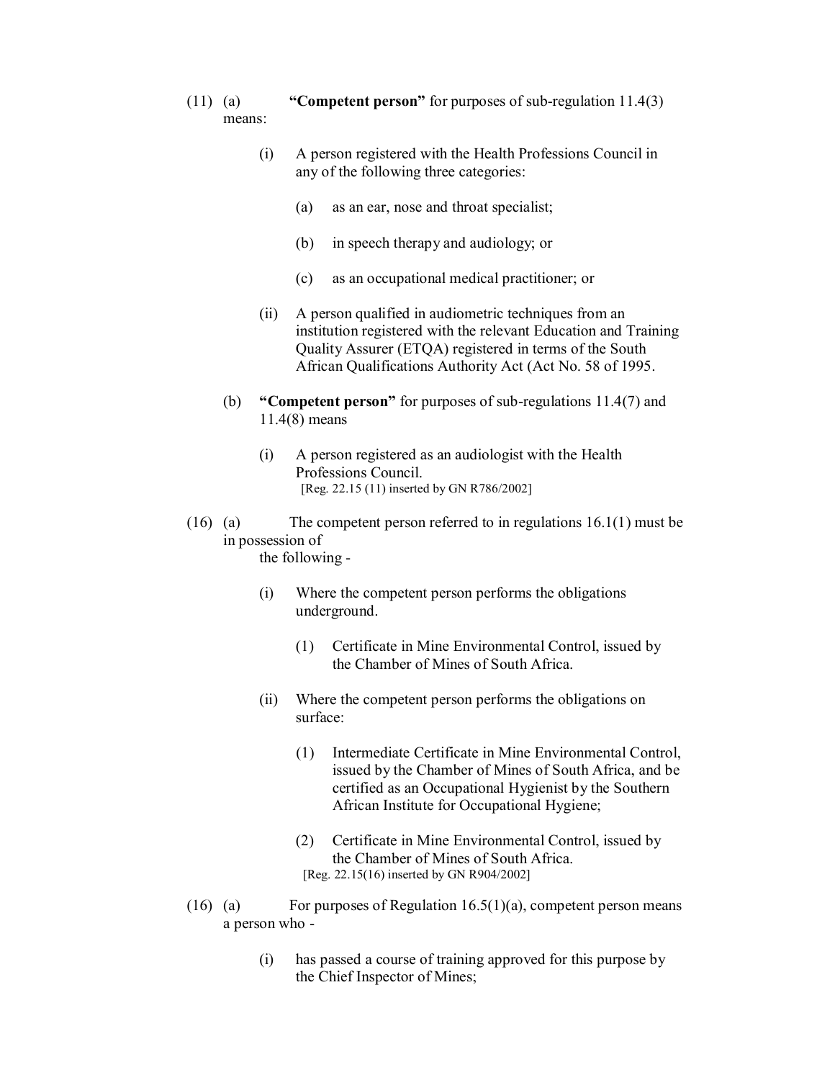- (11) (a) **"Competent person"** for purposes of sub-regulation 11.4(3) means:
	- (i) A person registered with the Health Professions Council in any of the following three categories:
		- (a) as an ear, nose and throat specialist;
		- (b) in speech therapy and audiology; or
		- (c) as an occupational medical practitioner; or
	- (ii) A person qualified in audiometric techniques from an institution registered with the relevant Education and Training Quality Assurer (ETQA) registered in terms of the South African Qualifications Authority Act (Act No. 58 of 1995.
	- (b) **"Competent person"** for purposes of sub-regulations 11.4(7) and 11.4(8) means
		- (i) A person registered as an audiologist with the Health Professions Council. [Reg. 22.15 (11) inserted by GN R786/2002]
- (16) (a) The competent person referred to in regulations 16.1(1) must be in possession of the following

- (i) Where the competent person performs the obligations underground.
	- (1) Certificate in Mine Environmental Control, issued by the Chamber of Mines of South Africa.
- (ii) Where the competent person performs the obligations on surface:
	- (1) Intermediate Certificate in Mine Environmental Control, issued by the Chamber of Mines of South Africa, and be certified as an Occupational Hygienist by the Southern African Institute for Occupational Hygiene;
	- (2) Certificate in Mine Environmental Control, issued by the Chamber of Mines of South Africa. [Reg. 22.15(16) inserted by GN R904/2002]
- (16) (a) For purposes of Regulation 16.5(1)(a), competent person means a person who
	- (i) has passed a course of training approved for this purpose by the Chief Inspector of Mines;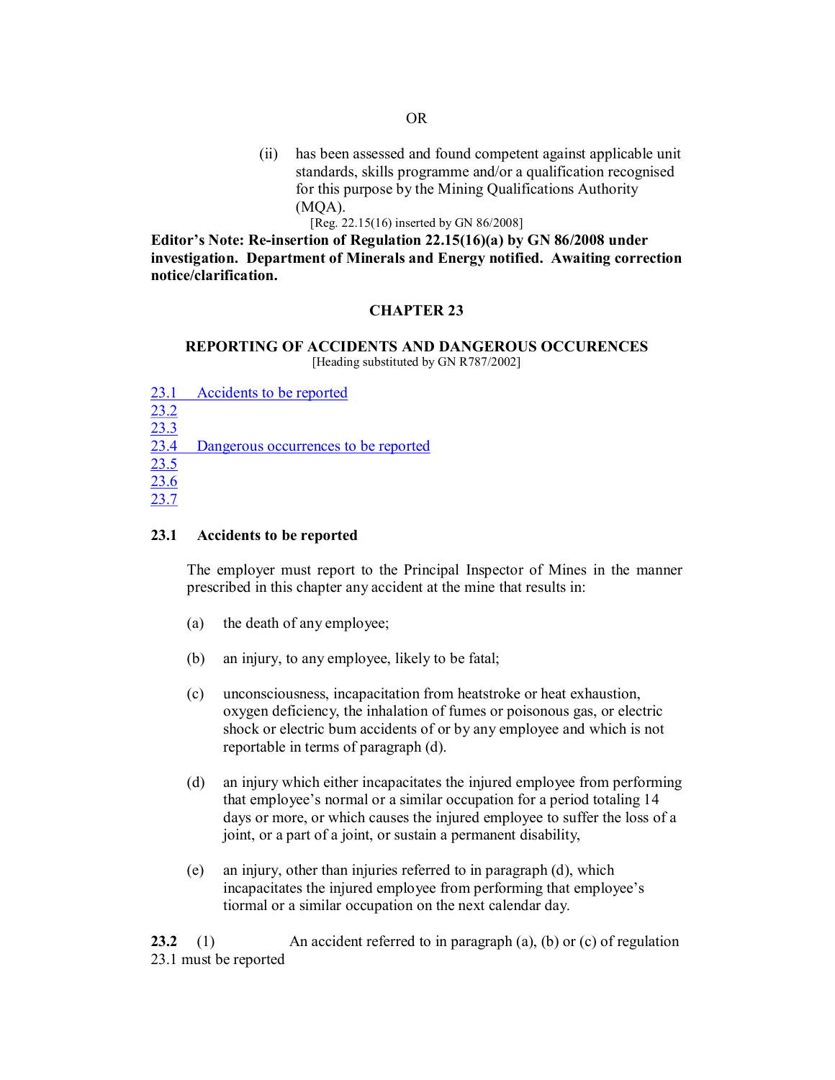- (ii) has been assessed and found competent against applicable unit standards, skills programme and/or a qualification recognised for this purpose by the Mining Qualifications Authority  $(MOA)$ .
	- [Reg. 22.15(16) inserted by GN 86/2008]

**Editor's Note: Reinsertion of Regulation 22.15(16)(a) by GN 86/2008 under investigation. Department of Minerals and Energy notified. Awaiting correction notice/clarification.** 

### **CHAPTER 23**

#### **REPORTING OF ACCIDENTS AND DANGEROUS OCCURENCES** [Heading substituted by GN R787/2002]

| 23.1 | Accidents to be reported             |
|------|--------------------------------------|
| 23.2 |                                      |
| 23.3 |                                      |
| 23.4 | Dangerous occurrences to be reported |
| 23.5 |                                      |
| 23.6 |                                      |
| 23.7 |                                      |

#### **23.1 Accidents to be reported**

The employer must report to the Principal Inspector of Mines in the manner prescribed in this chapter any accident at the mine that results in:

- (a) the death of any employee;
- (b) an injury, to any employee, likely to be fatal;
- (c) unconsciousness, incapacitation from heatstroke or heat exhaustion, oxygen deficiency, the inhalation of fumes or poisonous gas, or electric shock or electric bum accidents of or by any employee and which is not reportable in terms of paragraph (d).
- (d) an injury which either incapacitates the injured employee from performing that employee's normal or a similar occupation for a period totaling 14 days or more, or which causes the injured employee to suffer the loss of a joint, or a part of a joint, or sustain a permanent disability,
- (e) an injury, other than injuries referred to in paragraph (d), which incapacitates the injured employee from performing that employee's tiormal or a similar occupation on the next calendar day.

**23.2** (1) An accident referred to in paragraph (a), (b) or (c) of regulation 23.1 must be reported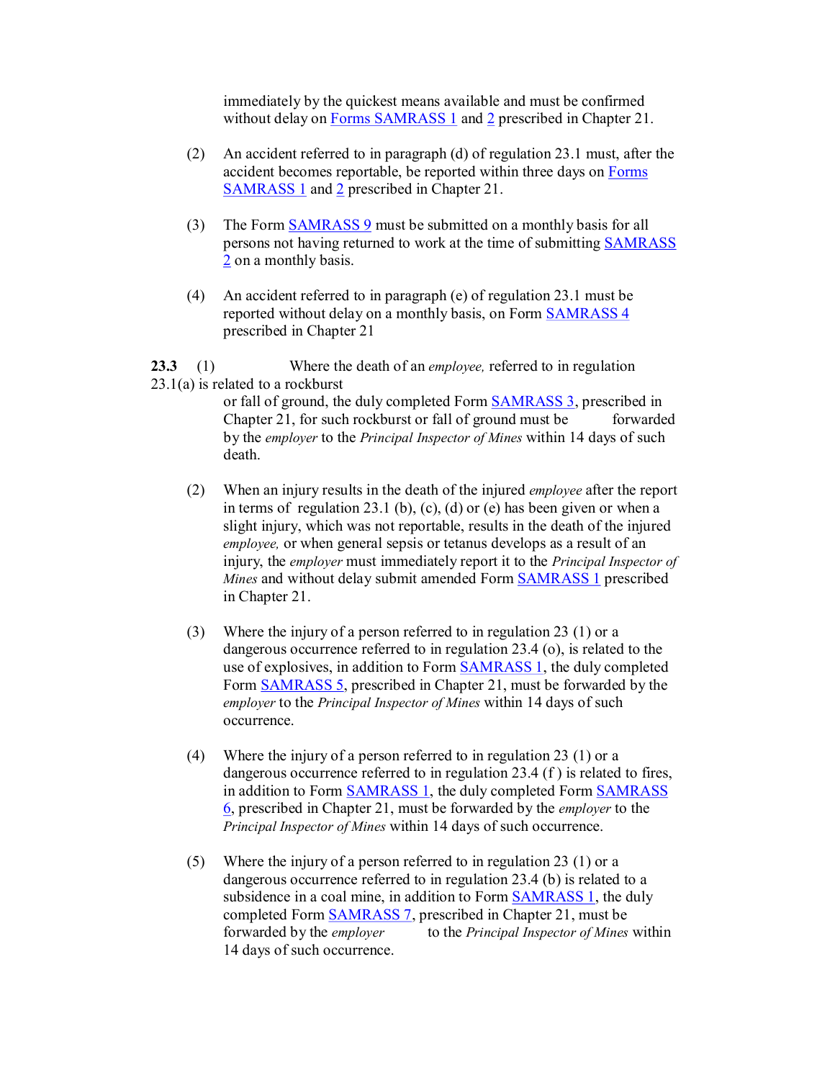immediately by the quickest means available and must be confirmed without delay on Forms SAMRASS 1 and 2 prescribed in Chapter 21.

- (2) An accident referred to in paragraph (d) of regulation 23.1 must, after the accident becomes reportable, be reported within three days on Forms SAMRASS 1 and 2 prescribed in Chapter 21.
- (3) The Form **SAMRASS 9** must be submitted on a monthly basis for all persons not having returned to work at the time of submitting SAMRASS 2 on a monthly basis.
- (4) An accident referred to in paragraph (e) of regulation 23.1 must be reported without delay on a monthly basis, on Form SAMRASS 4 prescribed in Chapter 21

**23.3** (1) Where the death of an *employee,* referred to in regulation  $23.1(a)$  is related to a rockburst

> or fall of ground, the duly completed Form SAMRASS 3, prescribed in Chapter 21, for such rockburst or fall of ground must be forwarded by the *employer* to the *Principal Inspector of Mines* within 14 days of such death.

- (2) When an injury results in the death of the injured *employee* after the report in terms of regulation 23.1 (b), (c), (d) or (e) has been given or when a slight injury, which was not reportable, results in the death of the injured *employee,* or when general sepsis or tetanus develops as a result of an injury, the *employer* must immediately report it to the *Principal Inspector of Mines* and without delay submit amended Form SAMRASS 1 prescribed in Chapter 21.
- (3) Where the injury of a person referred to in regulation 23 (1) or a dangerous occurrence referred to in regulation 23.4 (o), is related to the use of explosives, in addition to Form SAMRASS 1, the duly completed Form SAMRASS 5, prescribed in Chapter 21, must be forwarded by the *employer* to the *Principal Inspector of Mines* within 14 days of such occurrence.
- (4) Where the injury of a person referred to in regulation 23 (1) or a dangerous occurrence referred to in regulation 23.4 (f ) is related to fires, in addition to Form SAMRASS 1, the duly completed Form SAMRASS 6, prescribed in Chapter 21, must be forwarded by the *employer* to the *Principal Inspector of Mines* within 14 days of such occurrence.
- (5) Where the injury of a person referred to in regulation 23 (1) or a dangerous occurrence referred to in regulation 23.4 (b) is related to a subsidence in a coal mine, in addition to Form **SAMRASS 1**, the duly completed Form SAMRASS 7, prescribed in Chapter 21, must be forwarded by the *employer* to the *Principal Inspector of Mines* within 14 days of such occurrence.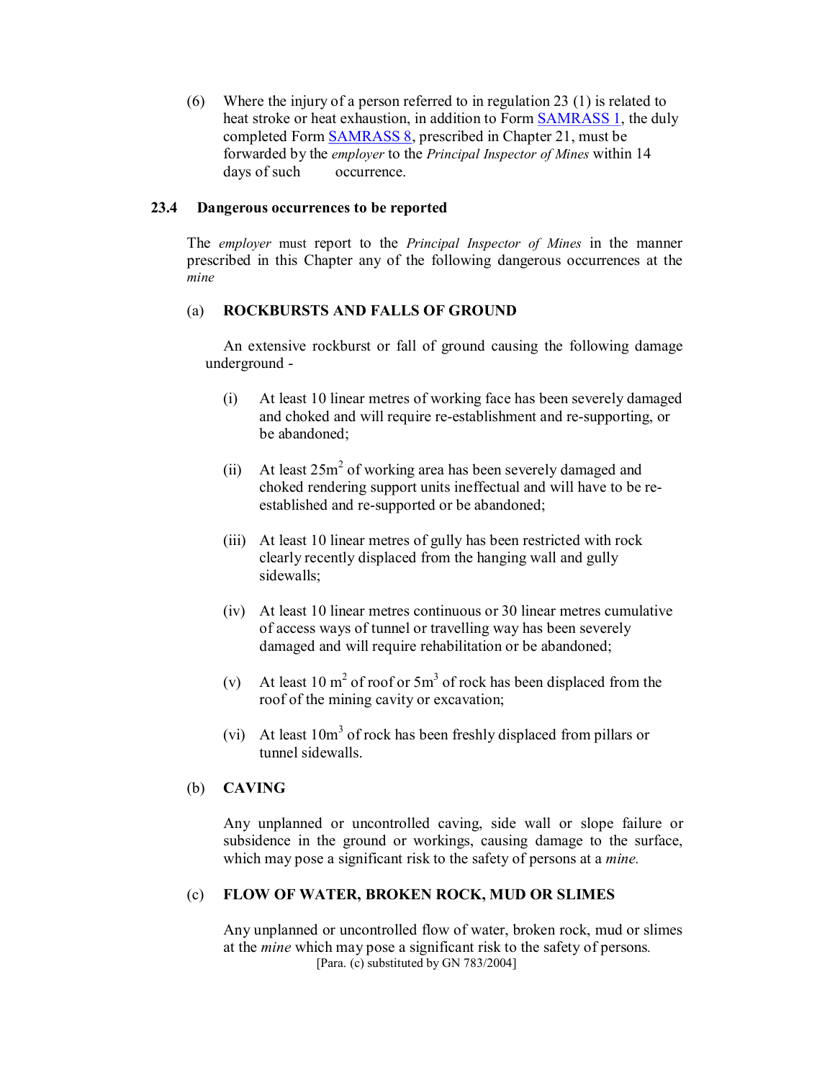(6) Where the injury of a person referred to in regulation 23 (1) is related to heat stroke or heat exhaustion, in addition to Form SAMRASS 1, the duly completed Form SAMRASS 8, prescribed in Chapter 21, must be forwarded by the *employer* to the *Principal Inspector of Mines* within 14 days of such occurrence.

### **23.4 Dangerous occurrences to be reported**

The *employer* must report to the *Principal Inspector of Mines* in the manner prescribed in this Chapter any of the following dangerous occurrences at the *mine*

#### (a) **ROCKBURSTS AND FALLS OF GROUND**

An extensive rockburst or fall of ground causing the following damage underground

- (i) At least 10 linear metres of working face has been severely damaged and choked and will require re-establishment and re-supporting, or be abandoned;
- (ii) At least  $25m^2$  of working area has been severely damaged and choked rendering support units ineffectual and will have to be reestablished and re-supported or be abandoned;
- (iii) At least 10 linear metres of gully has been restricted with rock clearly recently displaced from the hanging wall and gully sidewalls;
- (iv) At least 10 linear metres continuous or 30 linear metres cumulative of access ways of tunnel or travelling way has been severely damaged and will require rehabilitation or be abandoned;
- (v) At least 10 m<sup>2</sup> of roof or 5m<sup>3</sup> of rock has been displaced from the roof of the mining cavity or excavation;
- (vi) At least  $10m<sup>3</sup>$  of rock has been freshly displaced from pillars or tunnel sidewalls.

### (b) **CAVING**

Any unplanned or uncontrolled caving, side wall or slope failure or subsidence in the ground or workings, causing damage to the surface, which may pose a significant risk to the safety of persons at a *mine.*

### (c) **FLOW OF WATER, BROKEN ROCK, MUD OR SLIMES**

Any unplanned or uncontrolled flow of water, broken rock, mud or slimes at the *mine* which may pose a significant risk to the safety of persons*.* [Para. (c) substituted by GN 783/2004]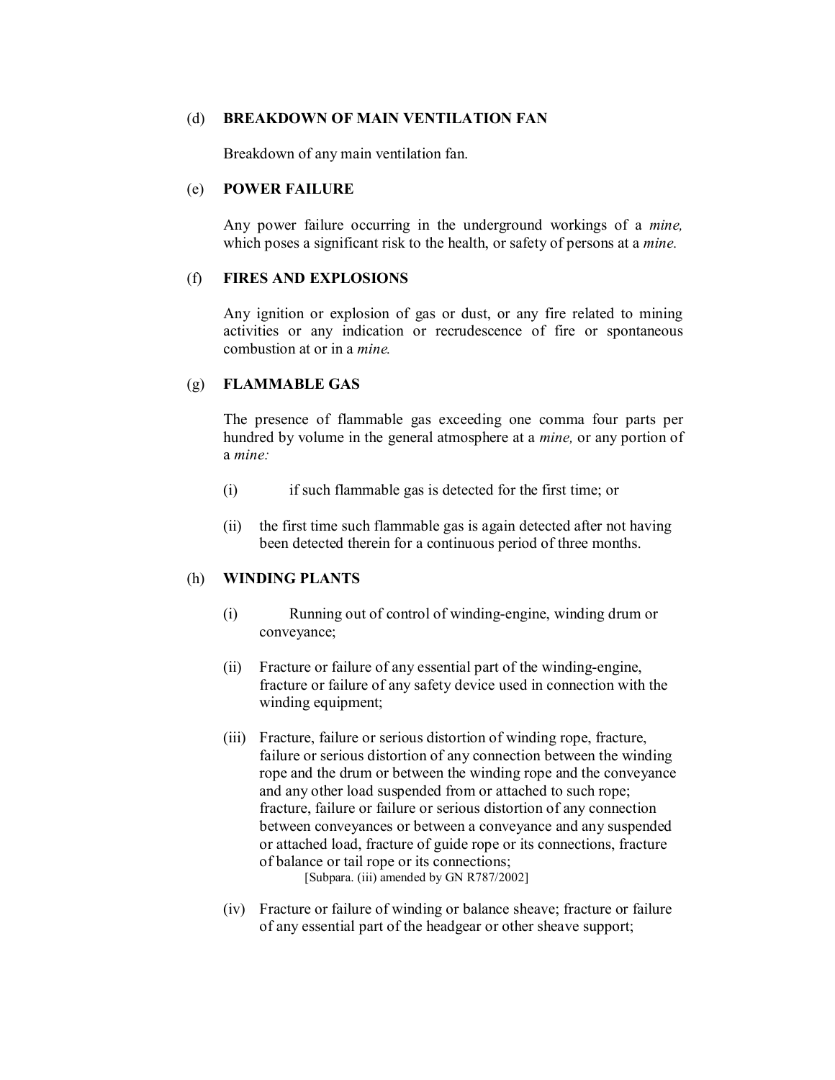#### (d) **BREAKDOWN OF MAIN VENTILATION FAN**

Breakdown of any main ventilation fan.

### (e) **POWER FAILURE**

Any power failure occurring in the underground workings of a *mine,* which poses a significant risk to the health, or safety of persons at a *mine.*

### (f) **FIRES AND EXPLOSIONS**

Any ignition or explosion of gas or dust, or any fire related to mining activities or any indication or recrudescence of fire or spontaneous combustion at or in a *mine.*

# (g) **FLAMMABLE GAS**

The presence of flammable gas exceeding one comma four parts per hundred by volume in the general atmosphere at a *mine,* or any portion of a *mine:*

- (i) if such flammable gas is detected for the first time; or
- (ii) the first time such flammable gas is again detected after not having been detected therein for a continuous period of three months.

## (h) **WINDING PLANTS**

- (i) Running out of control of windingengine, winding drum or conveyance;
- $(ii)$  Fracture or failure of any essential part of the winding-engine, fracture or failure of any safety device used in connection with the winding equipment;
- (iii) Fracture, failure or serious distortion of winding rope, fracture, failure or serious distortion of any connection between the winding rope and the drum or between the winding rope and the conveyance and any other load suspended from or attached to such rope; fracture, failure or failure or serious distortion of any connection between conveyances or between a conveyance and any suspended or attached load, fracture of guide rope or its connections, fracture of balance or tail rope or its connections;

[Subpara. (iii) amended by GN R787/2002]

(iv) Fracture or failure of winding or balance sheave; fracture or failure of any essential part of the headgear or other sheave support;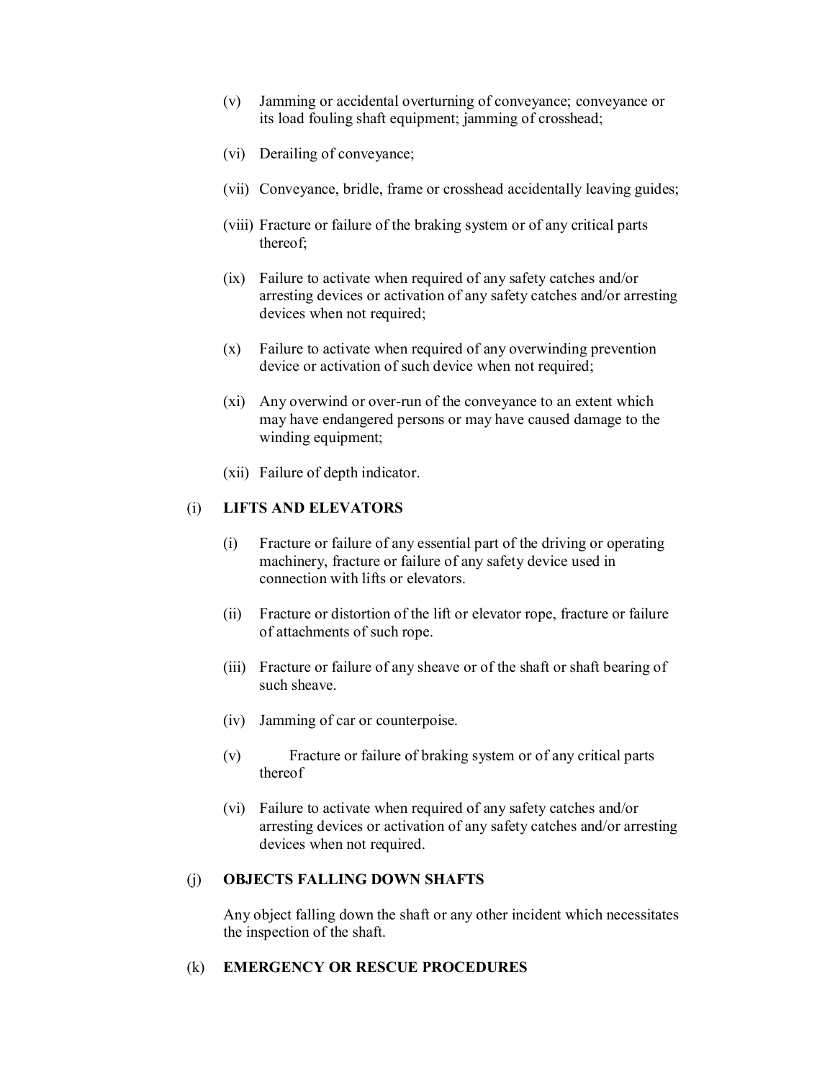- (v) Jamming or accidental overturning of conveyance; conveyance or its load fouling shaft equipment; jamming of crosshead;
- (vi) Derailing of conveyance;
- (vii) Conveyance, bridle, frame or crosshead accidentally leaving guides;
- (viii) Fracture or failure of the braking system or of any critical parts thereof;
- (ix) Failure to activate when required of any safety catches and/or arresting devices or activation of any safety catches and/or arresting devices when not required;
- (x) Failure to activate when required of any overwinding prevention device or activation of such device when not required;
- $(x_i)$  Any overwind or over-run of the conveyance to an extent which may have endangered persons or may have caused damage to the winding equipment;
- (xii) Failure of depth indicator.

# (i) **LIFTS AND ELEVATORS**

- (i) Fracture or failure of any essential part of the driving or operating machinery, fracture or failure of any safety device used in connection with lifts or elevators.
- (ii) Fracture or distortion of the lift or elevator rope, fracture or failure of attachments of such rope.
- (iii) Fracture or failure of any sheave or of the shaft or shaft bearing of such sheave.
- (iv) Jamming of car or counterpoise.
- (v) Fracture or failure of braking system or of any critical parts thereof
- (vi) Failure to activate when required of any safety catches and/or arresting devices or activation of any safety catches and/or arresting devices when not required.

# (j) **OBJECTS FALLING DOWN SHAFTS**

Any object falling down the shaft or any other incident which necessitates the inspection of the shaft.

# (k) **EMERGENCY OR RESCUE PROCEDURES**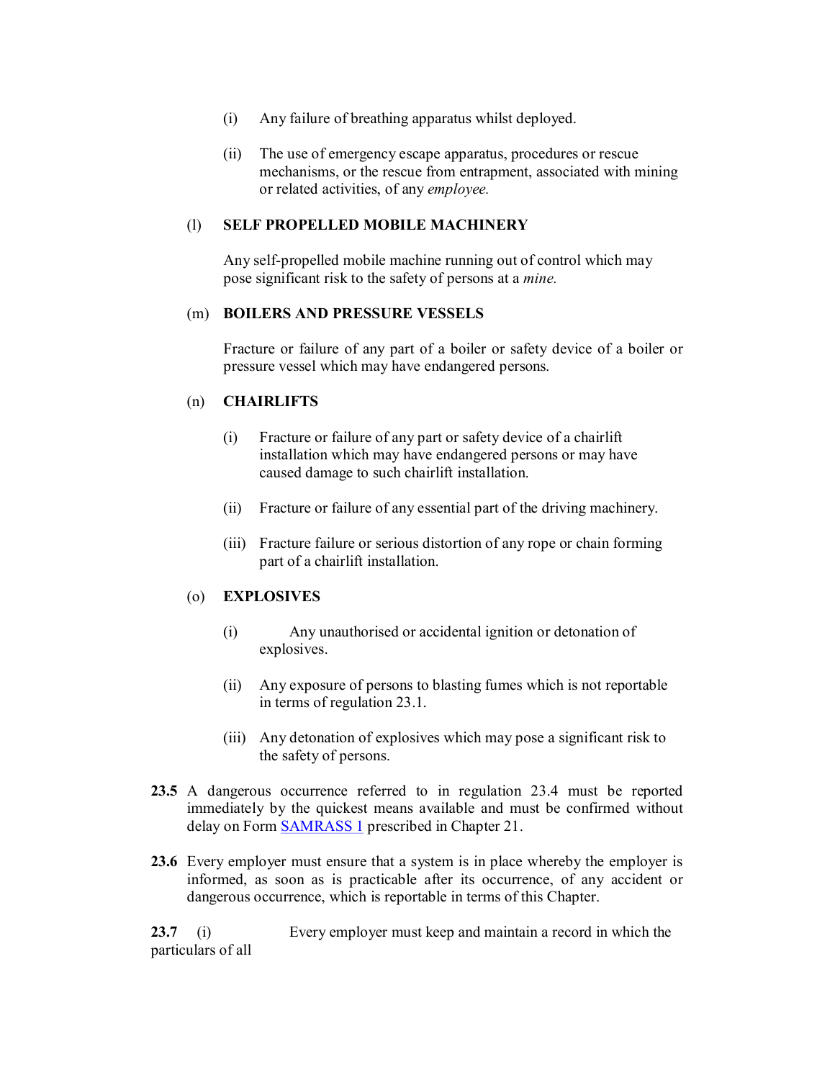- (i) Any failure of breathing apparatus whilst deployed.
- (ii) The use of emergency escape apparatus, procedures or rescue mechanisms, or the rescue from entrapment, associated with mining or related activities, of any *employee.*

# (l) **SELF PROPELLED MOBILE MACHINERY**

Any self-propelled mobile machine running out of control which may pose significant risk to the safety of persons at a *mine.*

## (m) **BOILERS AND PRESSURE VESSELS**

Fracture or failure of any part of a boiler or safety device of a boiler or pressure vessel which may have endangered persons.

### (n) **CHAIRLIFTS**

- (i) Fracture or failure of any part or safety device of a chairlift installation which may have endangered persons or may have caused damage to such chairlift installation.
- (ii) Fracture or failure of any essential part of the driving machinery.
- (iii) Fracture failure or serious distortion of any rope or chain forming part of a chairlift installation.

## (o) **EXPLOSIVES**

- (i) Any unauthorised or accidental ignition or detonation of explosives.
- (ii) Any exposure of persons to blasting fumes which is not reportable in terms of regulation 23.1.
- (iii) Any detonation of explosives which may pose a significant risk to the safety of persons.
- **23.5** A dangerous occurrence referred to in regulation 23.4 must be reported immediately by the quickest means available and must be confirmed without delay on Form **SAMRASS 1** prescribed in Chapter 21.
- **23.6** Every employer must ensure that a system is in place whereby the employer is informed, as soon as is practicable after its occurrence, of any accident or dangerous occurrence, which is reportable in terms of this Chapter.

**23.7** (i) Every employer must keep and maintain a record in which the particulars of all